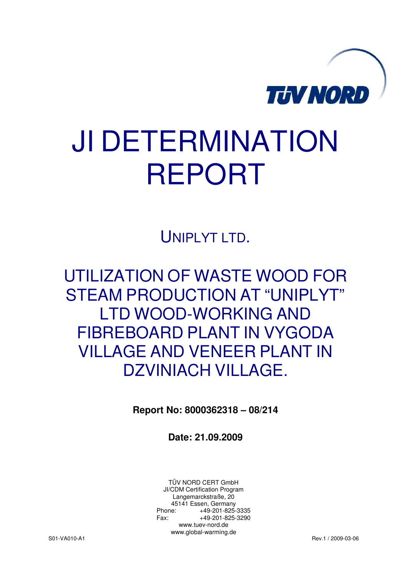

# JI DETERMINATION REPORT

UNIPLYT LTD.

UTILIZATION OF WASTE WOOD FOR STEAM PRODUCTION AT "UNIPLYT" LTD WOOD-WORKING AND FIBREBOARD PLANT IN VYGODA VILLAGE AND VENEER PLANT IN DZVINIACH VILLAGE.

**Report No: 8000362318 – 08/214** 

**Date: 21.09.2009** 

TÜV NORD CERT GmbH JI/CDM Certification Program Langemarckstraße, 20 45141 Essen, Germany<br>+49-201-825-49 +49-201-825-3335 Fax: +49-201-825-3290 www.tuev-nord.de www.global-warming.de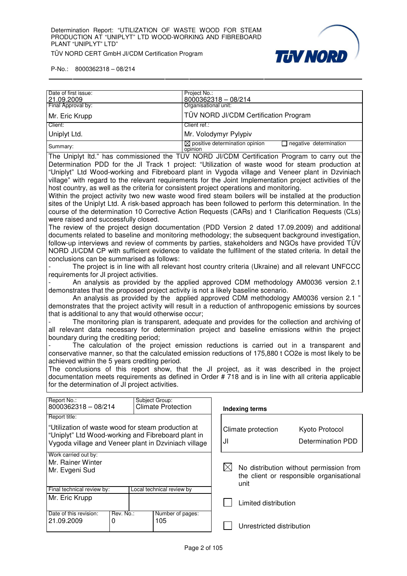

P-No.: 8000362318 – 08/214

| Date of first issue: | Project No.:                                                                    |
|----------------------|---------------------------------------------------------------------------------|
| 21.09.2009           | 8000362318 - 08/214                                                             |
| Final Approval by:   | Organisational unit:                                                            |
| Mr. Eric Krupp       | TÜV NORD JI/CDM Certification Program                                           |
| Client:              | Client ref.:                                                                    |
| Uniplyt Ltd.         | Mr. Volodymyr Pylypiv                                                           |
| Summary:             | $\boxtimes$ positive determination opinion<br>negative determination<br>opinion |

The Uniplyt ltd." has commissioned the TÜV NORD JI/CDM Certification Program to carry out the Determination PDD for the JI Track 1 project: "Utilization of waste wood for steam production at "Uniplyt" Ltd Wood-working and Fibreboard plant in Vygoda village and Veneer plant in Dzviniach village" with regard to the relevant requirements for the Joint Implementation project activities of the host country, as well as the criteria for consistent project operations and monitoring.

Within the project activity two new waste wood fired steam boilers will be installed at the production sites of the Uniplyt Ltd. A risk-based approach has been followed to perform this determination. In the course of the determination 10 Corrective Action Requests (CARs) and 1 Clarification Requests (CLs) were raised and successfully closed.

The review of the project design documentation (PDD Version 2 dated 17.09.2009) and additional documents related to baseline and monitoring methodology; the subsequent background investigation, follow-up interviews and review of comments by parties, stakeholders and NGOs have provided TÜV NORD JI/CDM CP with sufficient evidence to validate the fulfilment of the stated criteria. In detail the conclusions can be summarised as follows:

The project is in line with all relevant host country criteria (Ukraine) and all relevant UNFCCC requirements for JI project activities.

- An analysis as provided by the applied approved CDM methodology AM0036 version 2.1 demonstrates that the proposed project activity is not a likely baseline scenario.

 An analysis as provided by the applied approved CDM methodology AM0036 version 2.1 " demonstrates that the project activity will result in a reduction of anthropogenic emissions by sources that is additional to any that would otherwise occur;

The monitoring plan is transparent, adequate and provides for the collection and archiving of all relevant data necessary for determination project and baseline emissions within the project boundary during the crediting period;

The calculation of the project emission reductions is carried out in a transparent and conservative manner, so that the calculated emission reductions of 175,880 t CO2e is most likely to be achieved within the 5 years crediting period.

The conclusions of this report show, that the JI project, as it was described in the project documentation meets requirements as defined in Order # 718 and is in line with all criteria applicable for the determination of JI project activities.

| Report No.:<br>8000362318 - 08/214                                                                       |           | Subject Group:<br><b>Climate Protection</b> |    | <b>Indexing terms</b>                                                                              |                   |  |
|----------------------------------------------------------------------------------------------------------|-----------|---------------------------------------------|----|----------------------------------------------------------------------------------------------------|-------------------|--|
| Report title:                                                                                            |           |                                             |    |                                                                                                    |                   |  |
| "Utilization of waste wood for steam production at<br>"Uniplyt" Ltd Wood-working and Fibreboard plant in |           |                                             |    | Climate protection                                                                                 | Kyoto Protocol    |  |
| Vygoda village and Veneer plant in Dzviniach village                                                     |           |                                             | J۱ |                                                                                                    | Determination PDD |  |
| Work carried out by:                                                                                     |           |                                             |    |                                                                                                    |                   |  |
| Mr. Rainer Winter                                                                                        |           |                                             |    |                                                                                                    |                   |  |
| Mr. Evgeni Sud                                                                                           |           |                                             |    | IXI<br>No distribution without permission from<br>the client or responsible organisational<br>unit |                   |  |
| Final technical review by:                                                                               |           | Local technical review by                   |    |                                                                                                    |                   |  |
| Mr. Eric Krupp                                                                                           |           |                                             |    | Limited distribution                                                                               |                   |  |
| Date of this revision:                                                                                   | Rev. No.: | Number of pages:                            |    |                                                                                                    |                   |  |
| 21.09.2009<br>0                                                                                          |           | 105                                         |    | Unrestricted distribution                                                                          |                   |  |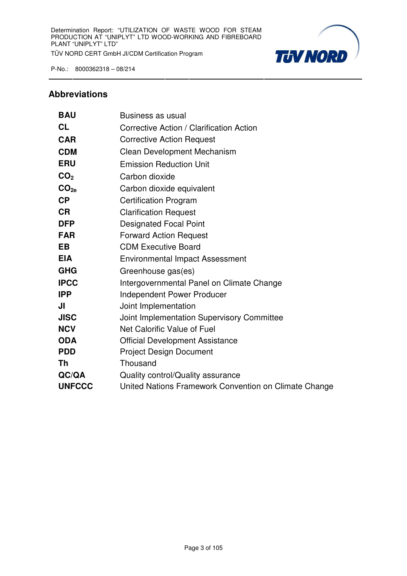

#### **Abbreviations**

| <b>BAU</b>       | Business as usual                                     |
|------------------|-------------------------------------------------------|
| <b>CL</b>        | Corrective Action / Clarification Action              |
| <b>CAR</b>       | <b>Corrective Action Request</b>                      |
| <b>CDM</b>       | <b>Clean Development Mechanism</b>                    |
| <b>ERU</b>       | <b>Emission Reduction Unit</b>                        |
| CO <sub>2</sub>  | Carbon dioxide                                        |
| CO <sub>2e</sub> | Carbon dioxide equivalent                             |
| <b>CP</b>        | <b>Certification Program</b>                          |
| <b>CR</b>        | <b>Clarification Request</b>                          |
| <b>DFP</b>       | <b>Designated Focal Point</b>                         |
| <b>FAR</b>       | <b>Forward Action Request</b>                         |
| <b>EB</b>        | <b>CDM Executive Board</b>                            |
| <b>EIA</b>       | <b>Environmental Impact Assessment</b>                |
| <b>GHG</b>       | Greenhouse gas(es)                                    |
| <b>IPCC</b>      | Intergovernmental Panel on Climate Change             |
| <b>IPP</b>       | <b>Independent Power Producer</b>                     |
| JI               | Joint Implementation                                  |
| <b>JISC</b>      | Joint Implementation Supervisory Committee            |
| <b>NCV</b>       | Net Calorific Value of Fuel                           |
| <b>ODA</b>       | <b>Official Development Assistance</b>                |
| <b>PDD</b>       | <b>Project Design Document</b>                        |
| <b>Th</b>        | Thousand                                              |
| QC/QA            | Quality control/Quality assurance                     |
| <b>UNFCCC</b>    | United Nations Framework Convention on Climate Change |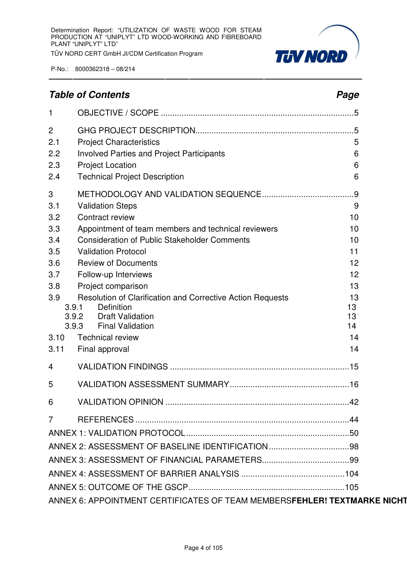

# **Table of Contents Page 2018**

| $\mathbf{1}$          |                                                                          |          |
|-----------------------|--------------------------------------------------------------------------|----------|
| $\overline{2}$<br>2.1 | <b>Project Characteristics</b>                                           | 5        |
| 2.2                   | <b>Involved Parties and Project Participants</b>                         | 6        |
| 2.3                   | <b>Project Location</b>                                                  | 6        |
| 2.4                   | <b>Technical Project Description</b>                                     | 6        |
| $\sqrt{3}$            |                                                                          |          |
| 3.1                   | <b>Validation Steps</b>                                                  | 9        |
| 3.2                   | Contract review                                                          | 10       |
| 3.3                   | Appointment of team members and technical reviewers                      | 10       |
| 3.4                   | <b>Consideration of Public Stakeholder Comments</b>                      | 10       |
| 3.5                   | <b>Validation Protocol</b>                                               | 11       |
| 3.6                   | <b>Review of Documents</b>                                               | 12       |
| 3.7                   | Follow-up Interviews                                                     | 12       |
| 3.8                   | Project comparison                                                       | 13       |
| 3.9                   | Resolution of Clarification and Corrective Action Requests               | 13       |
| 3.9.1<br>3.9.2        | Definition<br><b>Draft Validation</b>                                    | 13<br>13 |
| 3.9.3                 | <b>Final Validation</b>                                                  | 14       |
| 3.10                  | <b>Technical review</b>                                                  | 14       |
| 3.11                  | Final approval                                                           | 14       |
| 4                     |                                                                          |          |
| 5                     |                                                                          |          |
| 6                     |                                                                          |          |
| $\overline{7}$        |                                                                          |          |
|                       |                                                                          |          |
|                       |                                                                          |          |
|                       |                                                                          |          |
|                       |                                                                          |          |
|                       |                                                                          |          |
|                       | ANNEX 6: APPOINTMENT CERTIFICATES OF TEAM MEMBERSFEHLER! TEXTMARKE NICHT |          |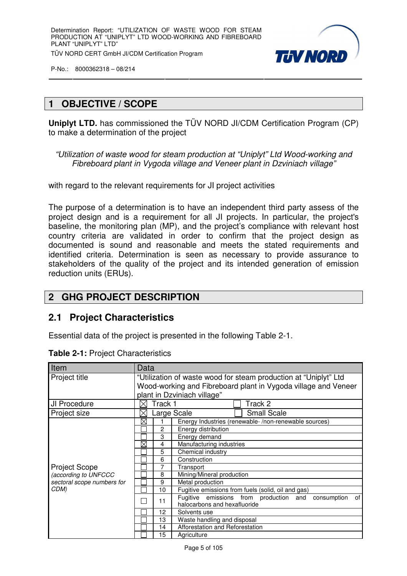

# **1 OBJECTIVE / SCOPE**

**Uniplyt LTD.** has commissioned the TÜV NORD JI/CDM Certification Program (CP) to make a determination of the project

"Utilization of waste wood for steam production at "Uniplyt" Ltd Wood-working and Fibreboard plant in Vygoda village and Veneer plant in Dzviniach village"

with regard to the relevant requirements for JI project activities

The purpose of a determination is to have an independent third party assess of the project design and is a requirement for all JI projects. In particular, the project's baseline, the monitoring plan (MP), and the project's compliance with relevant host country criteria are validated in order to confirm that the project design as documented is sound and reasonable and meets the stated requirements and identified criteria. Determination is seen as necessary to provide assurance to stakeholders of the quality of the project and its intended generation of emission reduction units (ERUs).

# **2 GHG PROJECT DESCRIPTION**

# **2.1 Project Characteristics**

Essential data of the project is presented in the following Table 2-1.

| Item                       |                                                                  | Data                        |                                                                                             |  |  |  |  |
|----------------------------|------------------------------------------------------------------|-----------------------------|---------------------------------------------------------------------------------------------|--|--|--|--|
| Project title              | "Utilization of waste wood for steam production at "Uniplyt" Ltd |                             |                                                                                             |  |  |  |  |
|                            | Wood-working and Fibreboard plant in Vygoda village and Veneer   |                             |                                                                                             |  |  |  |  |
|                            |                                                                  | plant in Dzviniach village" |                                                                                             |  |  |  |  |
| JI Procedure               |                                                                  | Track 1                     | Track 2                                                                                     |  |  |  |  |
| Project size               |                                                                  |                             | <b>Small Scale</b><br>Large Scale                                                           |  |  |  |  |
|                            | $\boxtimes$                                                      |                             | Energy Industries (renewable-/non-renewable sources)                                        |  |  |  |  |
|                            |                                                                  | 2                           | Energy distribution                                                                         |  |  |  |  |
|                            |                                                                  | 3                           | Energy demand                                                                               |  |  |  |  |
|                            | $\boxtimes$                                                      | 4                           | Manufacturing industries                                                                    |  |  |  |  |
|                            |                                                                  | 5                           | Chemical industry                                                                           |  |  |  |  |
|                            |                                                                  | 6                           | Construction                                                                                |  |  |  |  |
| <b>Project Scope</b>       |                                                                  | 7                           | Transport                                                                                   |  |  |  |  |
| (according to UNFCCC       |                                                                  | 8                           | Mining/Mineral production                                                                   |  |  |  |  |
| sectoral scope numbers for |                                                                  | 9                           | Metal production                                                                            |  |  |  |  |
| CDM)                       |                                                                  | 10                          | Fugitive emissions from fuels (solid, oil and gas)                                          |  |  |  |  |
|                            |                                                                  | 11                          | Fugitive emissions from production and<br>consumption<br>οf<br>halocarbons and hexafluoride |  |  |  |  |
|                            |                                                                  | 12                          | Solvents use                                                                                |  |  |  |  |
|                            |                                                                  | 13                          | Waste handling and disposal                                                                 |  |  |  |  |
|                            |                                                                  | 14                          | Afforestation and Reforestation                                                             |  |  |  |  |
|                            |                                                                  | 15                          | Agriculture                                                                                 |  |  |  |  |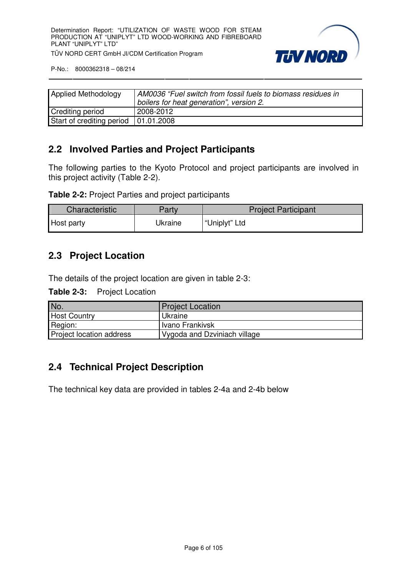

| <b>Applied Methodology</b>             | AM0036 "Fuel switch from fossil fuels to biomass residues in<br>boilers for heat generation", version 2. |
|----------------------------------------|----------------------------------------------------------------------------------------------------------|
| <b>Crediting period</b>                | 2008-2012                                                                                                |
| Start of crediting period   01.01.2008 |                                                                                                          |

# **2.2 Involved Parties and Project Participants**

The following parties to the Kyoto Protocol and project participants are involved in this project activity (Table 2-2).

| <b>Characteristic</b> | Party   | <b>Project Participant</b> |
|-----------------------|---------|----------------------------|
| Host party            | Ukraine | "Uniplyt" Ltd              |

# **2.3 Project Location**

The details of the project location are given in table 2-3:

| <b>Table 2-3:</b> | <b>Project Location</b> |
|-------------------|-------------------------|
|-------------------|-------------------------|

| No.                      | <b>Project Location</b>      |
|--------------------------|------------------------------|
| <b>Host Country</b>      | Ukraine                      |
| Region:                  | Ivano Frankivsk              |
| Project location address | Vygoda and Dzviniach village |

# **2.4 Technical Project Description**

The technical key data are provided in tables 2-4a and 2-4b below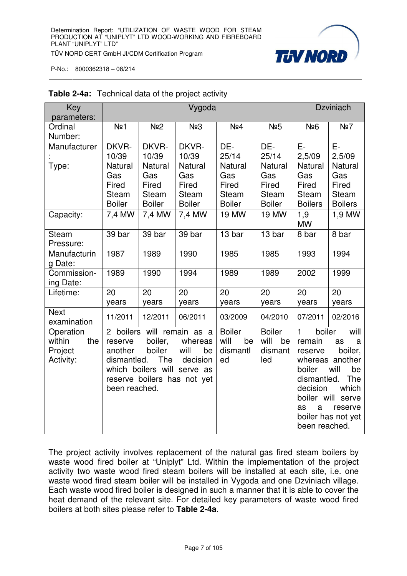

| Key<br>parameters:                                 |                                                                                                                                                                                                                        |                                                          | Vygoda                                                   |                                                                 |                                                                 | <b>Dzviniach</b>                                                                                                                                                                                                                                         |                                                           |
|----------------------------------------------------|------------------------------------------------------------------------------------------------------------------------------------------------------------------------------------------------------------------------|----------------------------------------------------------|----------------------------------------------------------|-----------------------------------------------------------------|-----------------------------------------------------------------|----------------------------------------------------------------------------------------------------------------------------------------------------------------------------------------------------------------------------------------------------------|-----------------------------------------------------------|
| Ordinal<br>Number:                                 | No <sub>1</sub>                                                                                                                                                                                                        | No <sub>2</sub>                                          | N <sub>2</sub> 3                                         | No <sub>4</sub>                                                 | No <sub>5</sub>                                                 | <b>N</b> <sup>26</sup>                                                                                                                                                                                                                                   | Nº7                                                       |
| Manufacturer                                       | DKVR-<br>10/39                                                                                                                                                                                                         | DKVR-<br>10/39                                           | DKVR-<br>10/39                                           | DE-<br>25/14                                                    | DE-<br>25/14                                                    | E-<br>2,5/09                                                                                                                                                                                                                                             | E-<br>2,5/09                                              |
| Type:                                              | Natural<br>Gas<br>Fired<br><b>Steam</b><br><b>Boiler</b>                                                                                                                                                               | Natural<br>Gas<br>Fired<br><b>Steam</b><br><b>Boiler</b> | <b>Natural</b><br>Gas<br>Fired<br>Steam<br><b>Boiler</b> | <b>Natural</b><br>Gas<br>Fired<br><b>Steam</b><br><b>Boiler</b> | <b>Natural</b><br>Gas<br>Fired<br><b>Steam</b><br><b>Boiler</b> | Natural<br>Gas<br>Fired<br><b>Steam</b><br><b>Boilers</b>                                                                                                                                                                                                | Natural<br>Gas<br>Fired<br><b>Steam</b><br><b>Boilers</b> |
| Capacity:                                          | 7,4 MW                                                                                                                                                                                                                 | 7,4 MW                                                   | $\overline{7}$ ,4 MW                                     | <b>19 MW</b>                                                    | <b>19 MW</b>                                                    | 1,9<br><b>MW</b>                                                                                                                                                                                                                                         | $1,9$ MW                                                  |
| <b>Steam</b><br>Pressure:                          | 39 bar                                                                                                                                                                                                                 | 39 bar                                                   | 39 bar                                                   | 13 bar                                                          | 13 bar                                                          | 8 bar                                                                                                                                                                                                                                                    | 8 bar                                                     |
| Manufacturin<br>g Date:                            | 1987                                                                                                                                                                                                                   | 1989                                                     | 1990                                                     | 1985                                                            | 1985                                                            | 1993                                                                                                                                                                                                                                                     | 1994                                                      |
| Commission-<br>ing Date:                           | 1989                                                                                                                                                                                                                   | 1990                                                     | 1994                                                     | 1989                                                            | 1989                                                            | 2002                                                                                                                                                                                                                                                     | 1999                                                      |
| Lifetime:                                          | 20<br>years                                                                                                                                                                                                            | 20<br>years                                              | 20<br>years                                              | 20<br>years                                                     | 20<br>years                                                     | 20<br>years                                                                                                                                                                                                                                              | 20<br>years                                               |
| <b>Next</b><br>examination                         | 11/2011                                                                                                                                                                                                                | 12/2011                                                  | 06/2011                                                  | 03/2009                                                         | 04/2010                                                         | 07/2011                                                                                                                                                                                                                                                  | 02/2016                                                   |
| Operation<br>within<br>the<br>Project<br>Activity: | 2 boilers will remain as a<br>boiler,<br>whereas<br>reserve<br>boiler<br>will<br>another<br>be<br>dismantled.<br><b>The</b><br>decision<br>which boilers will serve as<br>reserve boilers has not yet<br>been reached. |                                                          |                                                          | <b>Boiler</b><br>will<br>be<br>dismantl<br>ed                   | <b>Boiler</b><br>will<br>be<br>dismant<br>led                   | $\mathbf{1}$<br>boiler<br>will<br>remain<br>as<br>a<br>boiler,<br>reserve<br>whereas another<br>boiler<br>will<br>be<br><b>The</b><br>dismantled.<br>which<br>decision<br>boiler will serve<br>as<br>a<br>reserve<br>boiler has not yet<br>been reached. |                                                           |

#### **Table 2-4a:** Technical data of the project activity

The project activity involves replacement of the natural gas fired steam boilers by waste wood fired boiler at "Uniplyt" Ltd. Within the implementation of the project activity two waste wood fired steam boilers will be installed at each site, i.e. one waste wood fired steam boiler will be installed in Vygoda and one Dzviniach village. Each waste wood fired boiler is designed in such a manner that it is able to cover the heat demand of the relevant site. For detailed key parameters of waste wood fired boilers at both sites please refer to **Table 2-4a**.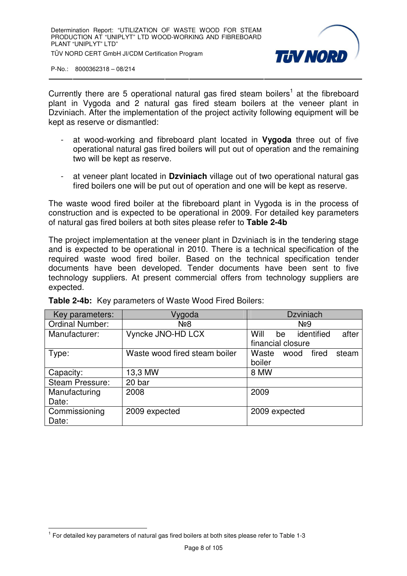

Currently there are 5 operational natural gas fired steam boilers<sup>1</sup> at the fibreboard plant in Vygoda and 2 natural gas fired steam boilers at the veneer plant in Dzviniach. After the implementation of the project activity following equipment will be kept as reserve or dismantled:

- at wood-working and fibreboard plant located in **Vygoda** three out of five operational natural gas fired boilers will put out of operation and the remaining two will be kept as reserve.
- at veneer plant located in **Dzviniach** village out of two operational natural gas fired boilers one will be put out of operation and one will be kept as reserve.

The waste wood fired boiler at the fibreboard plant in Vygoda is in the process of construction and is expected to be operational in 2009. For detailed key parameters of natural gas fired boilers at both sites please refer to **Table 2-4b**

The project implementation at the veneer plant in Dzviniach is in the tendering stage and is expected to be operational in 2010. There is a technical specification of the required waste wood fired boiler. Based on the technical specification tender documents have been developed. Tender documents have been sent to five technology suppliers. At present commercial offers from technology suppliers are expected.

| Key parameters:        | Vygoda                        | <b>Dzviniach</b>                  |
|------------------------|-------------------------------|-----------------------------------|
| <b>Ordinal Number:</b> | N <sub>2</sub> 8              | N <sub>29</sub>                   |
| Manufacturer:          | Vyncke JNO-HD LCX             | Will<br>after<br>identified<br>be |
|                        |                               | financial closure                 |
| Type:                  | Waste wood fired steam boiler | Waste<br>fired<br>steam<br>wood   |
|                        |                               | boiler                            |
| Capacity:              | 13,3 MW                       | 8 MW                              |
| <b>Steam Pressure:</b> | 20 bar                        |                                   |
| Manufacturing          | 2008                          | 2009                              |
| Date:                  |                               |                                   |
| Commissioning          | 2009 expected                 | 2009 expected                     |
| Date:                  |                               |                                   |

**Table 2-4b:** Key parameters of Waste Wood Fired Boilers:

 $\overline{a}$  $1$  For detailed key parameters of natural gas fired boilers at both sites please refer to Table 1-3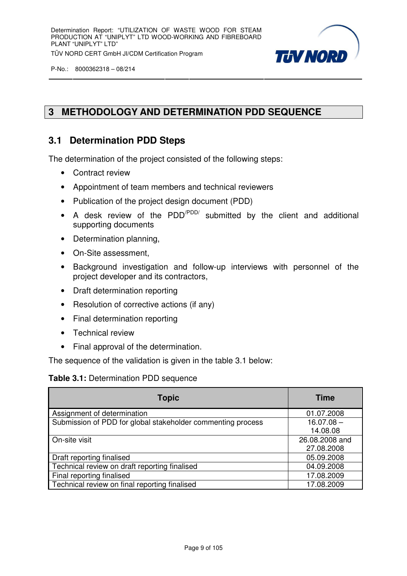

# **3 METHODOLOGY AND DETERMINATION PDD SEQUENCE**

# **3.1 Determination PDD Steps**

The determination of the project consisted of the following steps:

- Contract review
- Appointment of team members and technical reviewers
- Publication of the project design document (PDD)
- A desk review of the PDD<sup>/PDD/</sup> submitted by the client and additional supporting documents
- Determination planning,
- On-Site assessment,
- Background investigation and follow-up interviews with personnel of the project developer and its contractors,
- Draft determination reporting
- Resolution of corrective actions (if any)
- Final determination reporting
- Technical review
- Final approval of the determination.

The sequence of the validation is given in the table 3.1 below:

#### **Table 3.1:** Determination PDD sequence

| <b>Topic</b>                                                | <b>Time</b>    |
|-------------------------------------------------------------|----------------|
| Assignment of determination                                 | 01.07.2008     |
| Submission of PDD for global stakeholder commenting process | $16.07.08 -$   |
|                                                             | 14.08.08       |
| On-site visit                                               | 26.08.2008 and |
|                                                             | 27.08.2008     |
| Draft reporting finalised                                   | 05.09.2008     |
| Technical review on draft reporting finalised               | 04.09.2008     |
| Final reporting finalised                                   | 17.08.2009     |
| Technical review on final reporting finalised               | 17.08.2009     |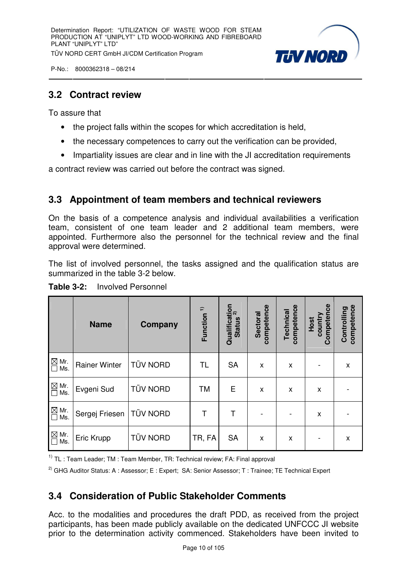

# **3.2 Contract review**

To assure that

- the project falls within the scopes for which accreditation is held.
- the necessary competences to carry out the verification can be provided,
- Impartiality issues are clear and in line with the JI accreditation requirements

a contract review was carried out before the contract was signed.

# **3.3 Appointment of team members and technical reviewers**

On the basis of a competence analysis and individual availabilities a verification team, consistent of one team leader and 2 additional team members, were appointed. Furthermore also the personnel for the technical review and the final approval were determined.

The list of involved personnel, the tasks assigned and the qualification status are summarized in the table 3-2 below.

|                                  | <b>Name</b>          | Company         | Function <sup>1)</sup> | Qualification<br>Ctatius <sup>2)</sup><br><b>Status</b> | competence<br><b>Sectoral</b> | competence<br><b>Technical</b> | Competence<br>country<br>Host | competence<br>Controlling |
|----------------------------------|----------------------|-----------------|------------------------|---------------------------------------------------------|-------------------------------|--------------------------------|-------------------------------|---------------------------|
| $\boxtimes$ Mr.<br>$\Box$<br>Ms. | <b>Rainer Winter</b> | <b>TÜV NORD</b> | TL.                    | <b>SA</b>                                               | X                             | X                              |                               | x                         |
| $\boxtimes$ Mr.<br>$\square$ Ms. | Evgeni Sud           | <b>TÜV NORD</b> | <b>TM</b>              | Е                                                       | X                             | $\mathsf{x}$                   | X                             |                           |
| $\boxtimes$ Mr.<br>$\Box$<br>Ms. | Sergej Friesen       | <b>TÜV NORD</b> | Τ                      | Τ                                                       |                               |                                | Χ                             |                           |
| ⊠<br>Mr.<br>Ms.                  | Eric Krupp           | <b>TÜV NORD</b> | TR, FA                 | <b>SA</b>                                               | X                             | $\boldsymbol{\mathsf{x}}$      | -                             | X                         |

**Table 3-2:** Involved Personnel

 $1)$  TL : Team Leader; TM : Team Member, TR: Technical review; FA: Final approval

<sup>2)</sup> GHG Auditor Status: A : Assessor; E : Expert; SA: Senior Assessor; T : Trainee; TE Technical Expert

# **3.4 Consideration of Public Stakeholder Comments**

Acc. to the modalities and procedures the draft PDD, as received from the project participants, has been made publicly available on the dedicated UNFCCC JI website prior to the determination activity commenced. Stakeholders have been invited to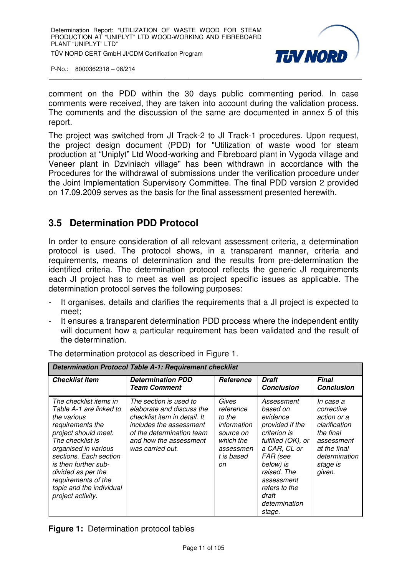

comment on the PDD within the 30 days public commenting period. In case comments were received, they are taken into account during the validation process. The comments and the discussion of the same are documented in annex 5 of this report.

The project was switched from JI Track-2 to JI Track-1 procedures. Upon request, the project design document (PDD) for "Utilization of waste wood for steam production at "Uniplyt" Ltd Wood-working and Fibreboard plant in Vygoda village and Veneer plant in Dzviniach village" has been withdrawn in accordance with the Procedures for the withdrawal of submissions under the verification procedure under the Joint Implementation Supervisory Committee. The final PDD version 2 provided on 17.09.2009 serves as the basis for the final assessment presented herewith.

# **3.5 Determination PDD Protocol**

In order to ensure consideration of all relevant assessment criteria, a determination protocol is used. The protocol shows, in a transparent manner, criteria and requirements, means of determination and the results from pre-determination the identified criteria. The determination protocol reflects the generic JI requirements each JI project has to meet as well as project specific issues as applicable. The determination protocol serves the following purposes:

- It organises, details and clarifies the requirements that a JI project is expected to meet;
- It ensures a transparent determination PDD process where the independent entity will document how a particular requirement has been validated and the result of the determination.

| <b>Determination Protocol Table A-1: Requirement checklist</b>                                                                                                                                                                                                                                           |                                                                                                                                                                                           |                                                                                                        |                                                                                                                                                                                                                        |                                                                                                                                           |
|----------------------------------------------------------------------------------------------------------------------------------------------------------------------------------------------------------------------------------------------------------------------------------------------------------|-------------------------------------------------------------------------------------------------------------------------------------------------------------------------------------------|--------------------------------------------------------------------------------------------------------|------------------------------------------------------------------------------------------------------------------------------------------------------------------------------------------------------------------------|-------------------------------------------------------------------------------------------------------------------------------------------|
| <b>Checklist Item</b>                                                                                                                                                                                                                                                                                    | <b>Determination PDD</b><br><b>Team Comment</b>                                                                                                                                           | <b>Reference</b>                                                                                       | <b>Draft</b><br><b>Conclusion</b>                                                                                                                                                                                      | <b>Final</b><br><b>Conclusion</b>                                                                                                         |
| The checklist items in<br>Table A-1 are linked to<br>the various<br>requirements the<br>project should meet.<br>The checklist is<br>organised in various<br>sections. Each section<br>is then further sub-<br>divided as per the<br>requirements of the<br>topic and the individual<br>project activity. | The section is used to<br>elaborate and discuss the<br>checklist item in detail. It<br>includes the assessment<br>of the determination team<br>and how the assessment<br>was carried out. | Gives<br>reference<br>to the<br>information<br>source on<br>which the<br>assessmen<br>t is based<br>on | Assessment<br>based on<br>evidence<br>provided if the<br>criterion is<br>fulfilled (OK), or<br>a CAR, CL or<br>FAR (see<br>below) is<br>raised. The<br>assessment<br>refers to the<br>draft<br>determination<br>stage. | In case a<br>corrective<br>action or a<br>clarification<br>the final<br>assessment<br>at the final<br>determination<br>stage is<br>given. |

The determination protocol as described in Figure 1.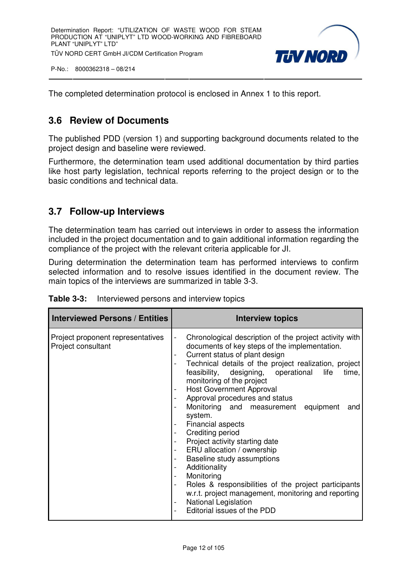

The completed determination protocol is enclosed in Annex 1 to this report.

# **3.6 Review of Documents**

The published PDD (version 1) and supporting background documents related to the project design and baseline were reviewed.

Furthermore, the determination team used additional documentation by third parties like host party legislation, technical reports referring to the project design or to the basic conditions and technical data.

# **3.7 Follow-up Interviews**

The determination team has carried out interviews in order to assess the information included in the project documentation and to gain additional information regarding the compliance of the project with the relevant criteria applicable for JI.

During determination the determination team has performed interviews to confirm selected information and to resolve issues identified in the document review. The main topics of the interviews are summarized in table 3-3.

| <b>Interviewed Persons / Entities</b>                   | Interview topics                                                                                                                                                                                                                                                                                                                                                                                                                                                                                                                                                                                                                                                                                                                                                                                                                                                                       |
|---------------------------------------------------------|----------------------------------------------------------------------------------------------------------------------------------------------------------------------------------------------------------------------------------------------------------------------------------------------------------------------------------------------------------------------------------------------------------------------------------------------------------------------------------------------------------------------------------------------------------------------------------------------------------------------------------------------------------------------------------------------------------------------------------------------------------------------------------------------------------------------------------------------------------------------------------------|
| Project proponent representatives<br>Project consultant | Chronological description of the project activity with<br>$\blacksquare$<br>documents of key steps of the implementation.<br>Current status of plant design<br>$\overline{\phantom{a}}$<br>Technical details of the project realization, project<br>feasibility, designing, operational<br>life<br>time,<br>monitoring of the project<br><b>Host Government Approval</b><br>Approval procedures and status<br>Monitoring and measurement equipment<br>and<br>system.<br><b>Financial aspects</b><br>Crediting period<br>Project activity starting date<br>ERU allocation / ownership<br>Baseline study assumptions<br>Additionality<br>$\overline{\phantom{a}}$<br>Monitoring<br>$\overline{\phantom{a}}$<br>Roles & responsibilities of the project participants<br>w.r.t. project management, monitoring and reporting<br><b>National Legislation</b><br>Editorial issues of the PDD |

|  | <b>Table 3-3:</b> Interviewed persons and interview topics |  |
|--|------------------------------------------------------------|--|
|--|------------------------------------------------------------|--|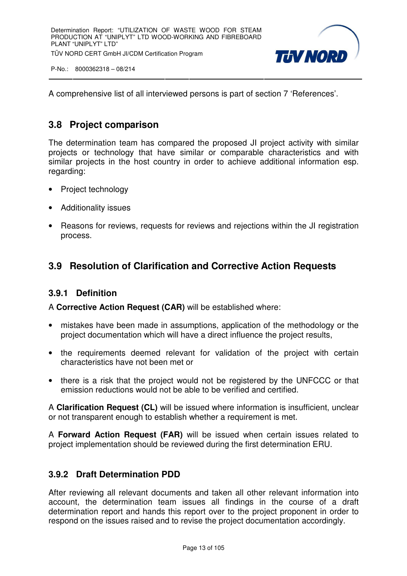

A comprehensive list of all interviewed persons is part of section 7 'References'.

# **3.8 Project comparison**

The determination team has compared the proposed JI project activity with similar projects or technology that have similar or comparable characteristics and with similar projects in the host country in order to achieve additional information esp. regarding:

- Project technology
- Additionality issues
- Reasons for reviews, requests for reviews and rejections within the JI registration process.

# **3.9 Resolution of Clarification and Corrective Action Requests**

#### **3.9.1 Definition**

A **Corrective Action Request (CAR)** will be established where:

- mistakes have been made in assumptions, application of the methodology or the project documentation which will have a direct influence the project results,
- the requirements deemed relevant for validation of the project with certain characteristics have not been met or
- there is a risk that the project would not be registered by the UNFCCC or that emission reductions would not be able to be verified and certified.

A **Clarification Request (CL)** will be issued where information is insufficient, unclear or not transparent enough to establish whether a requirement is met.

A **Forward Action Request (FAR)** will be issued when certain issues related to project implementation should be reviewed during the first determination ERU.

#### **3.9.2 Draft Determination PDD**

After reviewing all relevant documents and taken all other relevant information into account, the determination team issues all findings in the course of a draft determination report and hands this report over to the project proponent in order to respond on the issues raised and to revise the project documentation accordingly.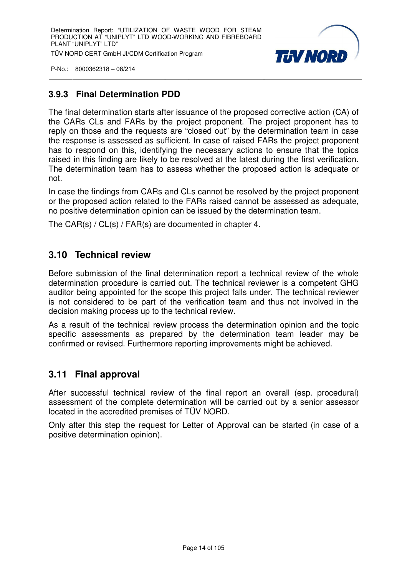

# **3.9.3 Final Determination PDD**

The final determination starts after issuance of the proposed corrective action (CA) of the CARs CLs and FARs by the project proponent. The project proponent has to reply on those and the requests are "closed out" by the determination team in case the response is assessed as sufficient. In case of raised FARs the project proponent has to respond on this, identifying the necessary actions to ensure that the topics raised in this finding are likely to be resolved at the latest during the first verification. The determination team has to assess whether the proposed action is adequate or not.

In case the findings from CARs and CLs cannot be resolved by the project proponent or the proposed action related to the FARs raised cannot be assessed as adequate, no positive determination opinion can be issued by the determination team.

The CAR(s) / CL(s) / FAR(s) are documented in chapter 4.

# **3.10 Technical review**

Before submission of the final determination report a technical review of the whole determination procedure is carried out. The technical reviewer is a competent GHG auditor being appointed for the scope this project falls under. The technical reviewer is not considered to be part of the verification team and thus not involved in the decision making process up to the technical review.

As a result of the technical review process the determination opinion and the topic specific assessments as prepared by the determination team leader may be confirmed or revised. Furthermore reporting improvements might be achieved.

# **3.11 Final approval**

After successful technical review of the final report an overall (esp. procedural) assessment of the complete determination will be carried out by a senior assessor located in the accredited premises of TÜV NORD.

Only after this step the request for Letter of Approval can be started (in case of a positive determination opinion).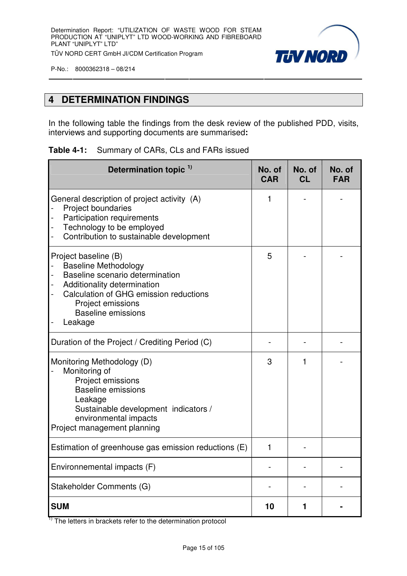

# **4 DETERMINATION FINDINGS**

In the following table the findings from the desk review of the published PDD, visits, interviews and supporting documents are summarised**:**

| Determination topic <sup>1)</sup>                                                                                                                                                                                            | No. of<br><b>CAR</b> | No. of<br><b>CL</b> | No. of<br><b>FAR</b> |
|------------------------------------------------------------------------------------------------------------------------------------------------------------------------------------------------------------------------------|----------------------|---------------------|----------------------|
| General description of project activity (A)<br><b>Project boundaries</b><br>Participation requirements<br>Technology to be employed<br>Contribution to sustainable development                                               | 1                    |                     |                      |
| Project baseline (B)<br><b>Baseline Methodology</b><br>Baseline scenario determination<br>Additionality determination<br>Calculation of GHG emission reductions<br>Project emissions<br><b>Baseline emissions</b><br>Leakage |                      |                     |                      |
| Duration of the Project / Crediting Period (C)                                                                                                                                                                               |                      |                     |                      |
| Monitoring Methodology (D)<br>Monitoring of<br>Project emissions<br><b>Baseline emissions</b><br>Leakage<br>Sustainable development indicators /<br>environmental impacts<br>Project management planning                     |                      | 1                   |                      |
| Estimation of greenhouse gas emission reductions (E)                                                                                                                                                                         | 1                    |                     |                      |
| Environnemental impacts (F)                                                                                                                                                                                                  |                      |                     |                      |
| Stakeholder Comments (G)                                                                                                                                                                                                     |                      |                     |                      |
| <b>SUM</b>                                                                                                                                                                                                                   | 10                   | 1                   |                      |

 $1)$  The letters in brackets refer to the determination protocol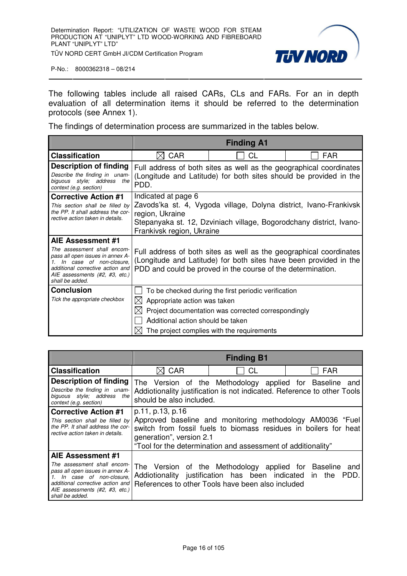

The following tables include all raised CARs, CLs and FARs. For an in depth evaluation of all determination items it should be referred to the determination protocols (see Annex 1).

The findings of determination process are summarized in the tables below.

|                                                                                                                                                                                                             | <b>Finding A1</b>                                                                                                                                                                                               |                                                                                                                                                           |            |  |
|-------------------------------------------------------------------------------------------------------------------------------------------------------------------------------------------------------------|-----------------------------------------------------------------------------------------------------------------------------------------------------------------------------------------------------------------|-----------------------------------------------------------------------------------------------------------------------------------------------------------|------------|--|
| <b>Classification</b>                                                                                                                                                                                       | <b>CAR</b>                                                                                                                                                                                                      | CL                                                                                                                                                        | <b>FAR</b> |  |
| Description of finding<br>Describe the finding in unam-<br>biguous style; address the<br>context (e.g. section)                                                                                             | Full address of both sites as well as the geographical coordinates<br>(Longitude and Latitude) for both sites should be provided in the<br>PDD.                                                                 |                                                                                                                                                           |            |  |
| <b>Corrective Action #1</b><br>This section shall be filled by<br>the PP. It shall address the cor-<br>rective action taken in details.                                                                     | Indicated at page 6<br>Zavods'ka st. 4, Vygoda village, Dolyna district, Ivano-Frankivsk<br>region, Ukraine<br>Stepanyaka st. 12, Dzviniach village, Bogorodchany district, Ivano-<br>Frankivsk region, Ukraine |                                                                                                                                                           |            |  |
| AIE Assessment #1<br>The assessment shall encom-<br>pass all open issues in annex A-<br>1. In case of non-closure,<br>additional corrective action and<br>AIE assessments (#2, #3, etc.)<br>shall be added. | Full address of both sites as well as the geographical coordinates<br>(Longitude and Latitude) for both sites have been provided in the<br>PDD and could be proved in the course of the determination.          |                                                                                                                                                           |            |  |
| <b>Conclusion</b><br>Tick the appropriate checkbox                                                                                                                                                          | $\boxtimes$ Appropriate action was taken<br>Additional action should be taken                                                                                                                                   | To be checked during the first periodic verification<br>Project documentation was corrected correspondingly<br>The project complies with the requirements |            |  |

|                                                                                                                                                                                                             | <b>Finding B1</b>                                                                                                                                                                                                                             |                                                                                                             |                                                                 |
|-------------------------------------------------------------------------------------------------------------------------------------------------------------------------------------------------------------|-----------------------------------------------------------------------------------------------------------------------------------------------------------------------------------------------------------------------------------------------|-------------------------------------------------------------------------------------------------------------|-----------------------------------------------------------------|
| <b>Classification</b>                                                                                                                                                                                       | CAR                                                                                                                                                                                                                                           | СL                                                                                                          | <b>FAR</b>                                                      |
| Description of finding<br>Describe the finding in unam-<br>biguous style; address the<br>context (e.g. section)                                                                                             | The Version of the Methodology applied for Baseline and<br>Addiotionality justification is not indicated. Reference to other Tools<br>should be also included.                                                                                |                                                                                                             |                                                                 |
| <b>Corrective Action #1</b><br>This section shall be filled by<br>the PP. It shall address the cor-<br>rective action taken in details.                                                                     | p.11, p.13, p.16<br>Approved baseline and monitoring methodology AM0036 "Fuel<br>switch from fossil fuels to biomass residues in boilers for heat<br>generation", version 2.1<br>"Tool for the determination and assessment of additionality" |                                                                                                             |                                                                 |
| AIE Assessment #1<br>The assessment shall encom-<br>pass all open issues in annex A-<br>1. In case of non-closure,<br>additional corrective action and<br>AIE assessments (#2, #3, etc.)<br>shall be added. |                                                                                                                                                                                                                                               | Addiotionality justification has been indicated in the<br>References to other Tools have been also included | The Version of the Methodology applied for Baseline and<br>PDD. |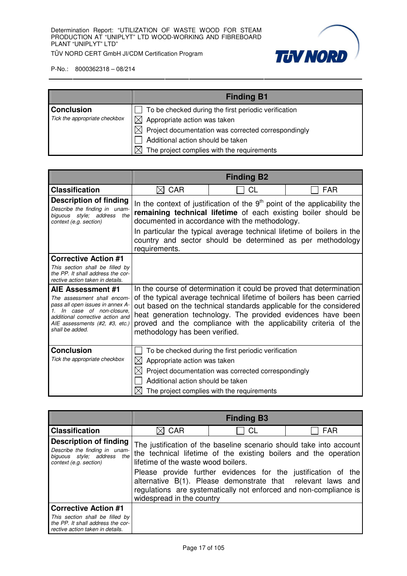

|                               | <b>Finding B1</b>                                          |
|-------------------------------|------------------------------------------------------------|
| <b>Conclusion</b>             | To be checked during the first periodic verification       |
| Tick the appropriate checkbox | Appropriate action was taken                               |
|                               | Project documentation was corrected correspondingly<br>IХI |
|                               | Additional action should be taken                          |
|                               | The project complies with the requirements                 |

|                                                                                                                                                                                                          |                                                                          | <b>Finding B2</b>                                                                                                                                                                                                                                                                                                                                       |     |
|----------------------------------------------------------------------------------------------------------------------------------------------------------------------------------------------------------|--------------------------------------------------------------------------|---------------------------------------------------------------------------------------------------------------------------------------------------------------------------------------------------------------------------------------------------------------------------------------------------------------------------------------------------------|-----|
| <b>Classification</b>                                                                                                                                                                                    | <b>CAR</b><br>IXI                                                        | СL                                                                                                                                                                                                                                                                                                                                                      | FAR |
| <b>Description of finding</b><br>Describe the finding in unam-<br>the<br>biguous style; address<br>context (e.g. section)                                                                                | requirements.                                                            | In the context of justification of the $9th$ point of the applicability the<br>remaining technical lifetime of each existing boiler should be<br>documented in accordance with the methodology.<br>In particular the typical average technical lifetime of boilers in the<br>country and sector should be determined as per methodology                 |     |
| <b>Corrective Action #1</b><br>This section shall be filled by<br>the PP. It shall address the cor-<br>rective action taken in details.                                                                  |                                                                          |                                                                                                                                                                                                                                                                                                                                                         |     |
| AIE Assessment #1<br>The assessment shall encom-<br>pass all open issues in annex A-<br>In case of non-closure.<br>additional corrective action and<br>AIE assessments (#2, #3, etc.)<br>shall be added. | methodology has been verified.                                           | In the course of determination it could be proved that determination<br>of the typical average technical lifetime of boilers has been carried<br>out based on the technical standards applicable for the considered<br>heat generation technology. The provided evidences have been<br>proved and the compliance with the applicability criteria of the |     |
| <b>Conclusion</b><br>Tick the appropriate checkbox                                                                                                                                                       | Appropriate action was taken<br>IХI<br>Additional action should be taken | To be checked during the first periodic verification<br>Project documentation was corrected correspondingly<br>The project complies with the requirements                                                                                                                                                                                               |     |

|                                                                                                                    |                                     | <b>Finding B3</b>                                                                                                            |                                                                                                                                         |
|--------------------------------------------------------------------------------------------------------------------|-------------------------------------|------------------------------------------------------------------------------------------------------------------------------|-----------------------------------------------------------------------------------------------------------------------------------------|
| <b>Classification</b>                                                                                              | $\boxtimes$ CAR                     | <b>CL</b>                                                                                                                    | <b>FAR</b>                                                                                                                              |
| Description of finding<br>Describe the finding in unam-<br>biguous style; address<br>the<br>context (e.g. section) | lifetime of the waste wood boilers. |                                                                                                                              | The justification of the baseline scenario should take into account<br>the technical lifetime of the existing boilers and the operation |
|                                                                                                                    | widespread in the country           | Please provide further evidences for the justification of the<br>alternative B(1). Please demonstrate that relevant laws and | regulations are systematically not enforced and non-compliance is                                                                       |
| <b>Corrective Action #1</b>                                                                                        |                                     |                                                                                                                              |                                                                                                                                         |
| This section shall be filled by<br>the PP. It shall address the cor-<br>rective action taken in details.           |                                     |                                                                                                                              |                                                                                                                                         |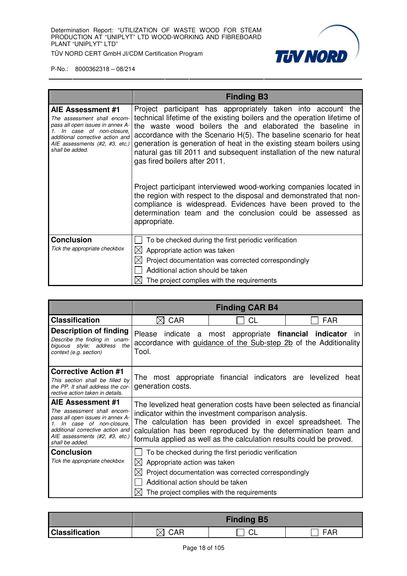

|                                                                                                                                                                                                                | <b>Finding B3</b>                                                                                                                                                                                                                                                                                                                                                                                                                                                                                                                                                                                                                                                                                                                                   |
|----------------------------------------------------------------------------------------------------------------------------------------------------------------------------------------------------------------|-----------------------------------------------------------------------------------------------------------------------------------------------------------------------------------------------------------------------------------------------------------------------------------------------------------------------------------------------------------------------------------------------------------------------------------------------------------------------------------------------------------------------------------------------------------------------------------------------------------------------------------------------------------------------------------------------------------------------------------------------------|
| AIE Assessment #1<br>The assessment shall encom-<br>pass all open issues in annex A-<br>In case of non-closure,<br>1.<br>additional corrective action and<br>AIE assessments (#2, #3, etc.)<br>shall be added. | Project participant has appropriately taken into account the<br>technical lifetime of the existing boilers and the operation lifetime of<br>the waste wood boilers the and elaborated the baseline in<br>accordance with the Scenario H(5). The baseline scenario for heat<br>generation is generation of heat in the existing steam boilers using<br>natural gas till 2011 and subsequent installation of the new natural<br>gas fired boilers after 2011.<br>Project participant interviewed wood-working companies located in<br>the region with respect to the disposal and demonstrated that non-<br>compliance is widespread. Evidences have been proved to the<br>determination team and the conclusion could be assessed as<br>appropriate. |
| <b>Conclusion</b>                                                                                                                                                                                              | To be checked during the first periodic verification                                                                                                                                                                                                                                                                                                                                                                                                                                                                                                                                                                                                                                                                                                |
| Tick the appropriate checkbox                                                                                                                                                                                  | Appropriate action was taken<br>⊠                                                                                                                                                                                                                                                                                                                                                                                                                                                                                                                                                                                                                                                                                                                   |
|                                                                                                                                                                                                                | Project documentation was corrected correspondingly                                                                                                                                                                                                                                                                                                                                                                                                                                                                                                                                                                                                                                                                                                 |
|                                                                                                                                                                                                                | Additional action should be taken                                                                                                                                                                                                                                                                                                                                                                                                                                                                                                                                                                                                                                                                                                                   |
|                                                                                                                                                                                                                | The project complies with the requirements                                                                                                                                                                                                                                                                                                                                                                                                                                                                                                                                                                                                                                                                                                          |

|                                                                                                                                                                                                          |                                                                          | <b>Finding CAR B4</b>                                                                                                                                                                                                                                                                                                              |            |
|----------------------------------------------------------------------------------------------------------------------------------------------------------------------------------------------------------|--------------------------------------------------------------------------|------------------------------------------------------------------------------------------------------------------------------------------------------------------------------------------------------------------------------------------------------------------------------------------------------------------------------------|------------|
| <b>Classification</b>                                                                                                                                                                                    | <b>CAR</b><br>IXI                                                        | <b>CL</b>                                                                                                                                                                                                                                                                                                                          | <b>FAR</b> |
| <b>Description of finding</b><br>Describe the finding in unam-<br>biguous style; address the<br>context (e.g. section)                                                                                   | Tool.                                                                    | Please indicate a most appropriate financial indicator<br>accordance with guidance of the Sub-step 2b of the Additionality                                                                                                                                                                                                         | in.        |
| <b>Corrective Action #1</b><br>This section shall be filled by<br>the PP. It shall address the cor-<br>rective action taken in details.                                                                  | generation costs.                                                        | The most appropriate financial indicators are levelized                                                                                                                                                                                                                                                                            | heat       |
| AIE Assessment #1<br>The assessment shall encom-<br>pass all open issues in annex A-<br>In case of non-closure.<br>additional corrective action and<br>AIE assessments (#2, #3, etc.)<br>shall be added. |                                                                          | The levelized heat generation costs have been selected as financial<br>indicator within the investment comparison analysis.<br>The calculation has been provided in excel spreadsheet. The<br>calculation has been reproduced by the determination team and<br>formula applied as well as the calculation results could be proved. |            |
| <b>Conclusion</b><br>Tick the appropriate checkbox                                                                                                                                                       | Appropriate action was taken<br>IХI<br>Additional action should be taken | To be checked during the first periodic verification<br>Project documentation was corrected correspondingly<br>The project complies with the requirements                                                                                                                                                                          |            |

|                       | <b>Finding B5</b> |  |     |
|-----------------------|-------------------|--|-----|
| <b>Classification</b> | <b>CAR</b>        |  | FAR |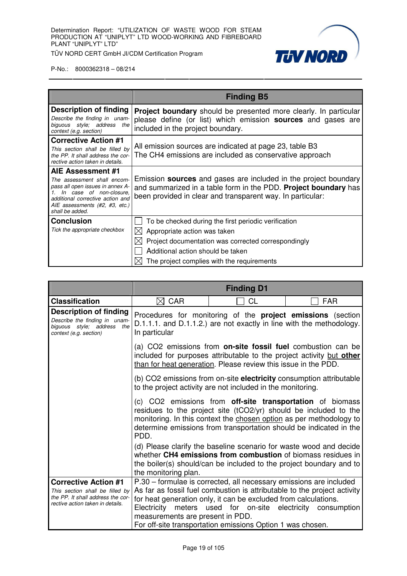

|                                                                                                                                                                                        | <b>Finding B5</b>                                                                                                                                                                                |
|----------------------------------------------------------------------------------------------------------------------------------------------------------------------------------------|--------------------------------------------------------------------------------------------------------------------------------------------------------------------------------------------------|
| Description of finding                                                                                                                                                                 | <b>Project boundary</b> should be presented more clearly. In particular                                                                                                                          |
| Describe the finding in unam-<br>biguous style; address the<br>context (e.g. section)                                                                                                  | please define (or list) which emission <b>sources</b> and gases are<br>included in the project boundary.                                                                                         |
| <b>Corrective Action #1</b>                                                                                                                                                            | All emission sources are indicated at page 23, table B3                                                                                                                                          |
| This section shall be filled by<br>the PP. It shall address the cor-<br>rective action taken in details.                                                                               | The CH4 emissions are included as conservative approach                                                                                                                                          |
| AIE Assessment #1                                                                                                                                                                      |                                                                                                                                                                                                  |
| The assessment shall encom-<br>pass all open issues in annex A-<br>1. In case of non-closure,<br>additional corrective action and<br>AIE assessments (#2, #3, etc.)<br>shall be added. | Emission sources and gases are included in the project boundary<br>and summarized in a table form in the PDD. Project boundary has<br>been provided in clear and transparent way. In particular: |
| <b>Conclusion</b>                                                                                                                                                                      | To be checked during the first periodic verification                                                                                                                                             |
| Tick the appropriate checkbox                                                                                                                                                          | Appropriate action was taken                                                                                                                                                                     |
|                                                                                                                                                                                        | Project documentation was corrected correspondingly                                                                                                                                              |
|                                                                                                                                                                                        | Additional action should be taken                                                                                                                                                                |
|                                                                                                                                                                                        | The project complies with the requirements                                                                                                                                                       |

|                                                                                                                                         |                                  | <b>Finding D1</b>                                                                                                                                                                                                                                                                                                                  |             |
|-----------------------------------------------------------------------------------------------------------------------------------------|----------------------------------|------------------------------------------------------------------------------------------------------------------------------------------------------------------------------------------------------------------------------------------------------------------------------------------------------------------------------------|-------------|
| <b>Classification</b>                                                                                                                   | $\boxtimes$ CAR                  | СL                                                                                                                                                                                                                                                                                                                                 | <b>FAR</b>  |
| <b>Description of finding</b><br>Describe the finding in unam-<br>biguous style; address<br>the<br>context (e.g. section)               | In particular                    | Procedures for monitoring of the <b>project emissions</b> (section<br>D.1.1.1. and D.1.1.2.) are not exactly in line with the methodology.                                                                                                                                                                                         |             |
|                                                                                                                                         |                                  | (a) CO2 emissions from <b>on-site fossil fuel</b> combustion can be<br>included for purposes attributable to the project activity but other<br>than for heat generation. Please review this issue in the PDD.                                                                                                                      |             |
|                                                                                                                                         |                                  | (b) CO2 emissions from on-site electricity consumption attributable<br>to the project activity are not included in the monitoring.                                                                                                                                                                                                 |             |
|                                                                                                                                         | PDD.                             | (c) CO2 emissions from off-site transportation of biomass<br>residues to the project site (tCO2/yr) should be included to the<br>monitoring. In this context the chosen option as per methodology to<br>determine emissions from transportation should be indicated in the                                                         |             |
|                                                                                                                                         | the monitoring plan.             | (d) Please clarify the baseline scenario for waste wood and decide<br>whether CH4 emissions from combustion of biomass residues in<br>the boiler(s) should/can be included to the project boundary and to                                                                                                                          |             |
| <b>Corrective Action #1</b><br>This section shall be filled by<br>the PP. It shall address the cor-<br>rective action taken in details. | measurements are present in PDD. | P.30 - formulae is corrected, all necessary emissions are included<br>As far as fossil fuel combustion is attributable to the project activity<br>for heat generation only, it can be excluded from calculations.<br>Electricity meters used for on-site electricity<br>For off-site transportation emissions Option 1 was chosen. | consumption |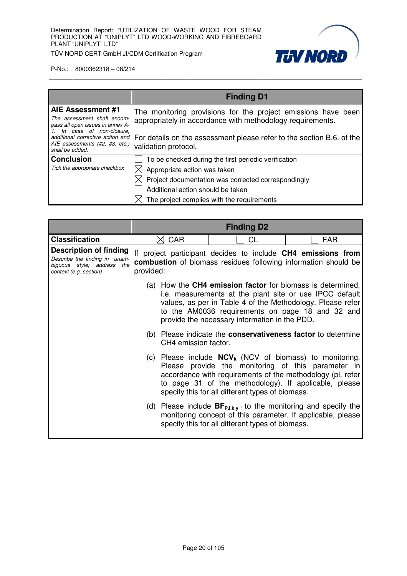**TUV NORD** 

TÜV NORD CERT GmbH JI/CDM Certification Program

|                                                                                                                                                        | <b>Finding D1</b>                                                                                                                                                                                    |  |
|--------------------------------------------------------------------------------------------------------------------------------------------------------|------------------------------------------------------------------------------------------------------------------------------------------------------------------------------------------------------|--|
| AIE Assessment #1<br>The assessment shall encom-<br>pass all open issues in annex A-<br>1. In case of non-closure,<br>additional corrective action and | The monitoring provisions for the project emissions have been<br>appropriately in accordance with methodology requirements.<br>For details on the assessment please refer to the section B.6. of the |  |
| AIE assessments (#2, #3, etc.)<br>shall be added.                                                                                                      | validation protocol.                                                                                                                                                                                 |  |
| <b>Conclusion</b>                                                                                                                                      | To be checked during the first periodic verification                                                                                                                                                 |  |
| Tick the appropriate checkbox                                                                                                                          | $\boxtimes$ Appropriate action was taken                                                                                                                                                             |  |
|                                                                                                                                                        | Project documentation was corrected correspondingly                                                                                                                                                  |  |
|                                                                                                                                                        | Additional action should be taken                                                                                                                                                                    |  |
|                                                                                                                                                        | The project complies with the requirements                                                                                                                                                           |  |

|                                                                                                                        | <b>Finding D2</b> |                      |                                                                                                                                                                                                                                                                                                 |            |
|------------------------------------------------------------------------------------------------------------------------|-------------------|----------------------|-------------------------------------------------------------------------------------------------------------------------------------------------------------------------------------------------------------------------------------------------------------------------------------------------|------------|
| <b>Classification</b>                                                                                                  |                   | <b>CAR</b>           | СL                                                                                                                                                                                                                                                                                              | <b>FAR</b> |
| <b>Description of finding</b><br>Describe the finding in unam-<br>biguous style; address the<br>context (e.g. section) | provided:         |                      | If project participant decides to include CH4 emissions from<br><b>combustion</b> of biomass residues following information should be                                                                                                                                                           |            |
|                                                                                                                        |                   |                      | (a) How the <b>CH4 emission factor</b> for biomass is determined,<br>i.e. measurements at the plant site or use IPCC default<br>values, as per in Table 4 of the Methodology. Please refer<br>to the AM0036 requirements on page 18 and 32 and<br>provide the necessary information in the PDD. |            |
|                                                                                                                        |                   | CH4 emission factor. | (b) Please indicate the <b>conservativeness factor</b> to determine                                                                                                                                                                                                                             |            |
|                                                                                                                        |                   |                      | (c) Please include $NCV_k$ (NCV of biomass) to monitoring.<br>Please provide the monitoring of this parameter in<br>accordance with requirements of the methodology (pl. refer<br>to page 31 of the methodology). If applicable, please<br>specify this for all different types of biomass.     |            |
|                                                                                                                        |                   |                      | (d) Please include $BF_{p,j,k,y}$ to the monitoring and specify the<br>monitoring concept of this parameter. If applicable, please<br>specify this for all different types of biomass.                                                                                                          |            |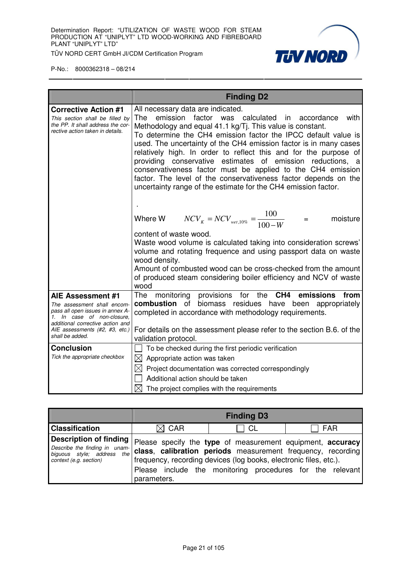

|                                                                                                                                                                                                             | <b>Finding D2</b>                                                                                                                                                                                                                                                                                                                                                                                                                                                                                                                                                                                                                          |
|-------------------------------------------------------------------------------------------------------------------------------------------------------------------------------------------------------------|--------------------------------------------------------------------------------------------------------------------------------------------------------------------------------------------------------------------------------------------------------------------------------------------------------------------------------------------------------------------------------------------------------------------------------------------------------------------------------------------------------------------------------------------------------------------------------------------------------------------------------------------|
| <b>Corrective Action #1</b><br>This section shall be filled by<br>the PP. It shall address the cor-<br>rective action taken in details.                                                                     | All necessary data are indicated.<br>emission factor was calculated in accordance<br>with<br>The<br>Methodology and equal 41.1 kg/Tj. This value is constant.<br>To determine the CH4 emission factor the IPCC default value is<br>used. The uncertainty of the CH4 emission factor is in many cases<br>relatively high. In order to reflect this and for the purpose of<br>providing conservative estimates of emission reductions, a<br>conservativeness factor must be applied to the CH4 emission<br>factor. The level of the conservativeness factor depends on the<br>uncertainty range of the estimate for the CH4 emission factor. |
|                                                                                                                                                                                                             | Where W $NCV_{K} = NCV_{wet,10\%} = \frac{100}{100-W}$<br>moisture<br>$=$<br>content of waste wood.<br>Waste wood volume is calculated taking into consideration screws'<br>volume and rotating frequence and using passport data on waste<br>wood density.<br>Amount of combusted wood can be cross-checked from the amount<br>of produced steam considering boiler efficiency and NCV of waste<br>wood                                                                                                                                                                                                                                   |
| AIE Assessment #1<br>The assessment shall encom-<br>pass all open issues in annex A-<br>1. In case of non-closure,<br>additional corrective action and<br>AIE assessments (#2, #3, etc.)<br>shall be added. | provisions for the CH4 emissions<br>monitoring<br>from<br>The<br>combustion of<br>biomass residues have been appropriately<br>completed in accordance with methodology requirements.<br>For details on the assessment please refer to the section B.6. of the<br>validation protocol.                                                                                                                                                                                                                                                                                                                                                      |
| <b>Conclusion</b><br>Tick the appropriate checkbox                                                                                                                                                          | To be checked during the first periodic verification<br>$\boxtimes$ Appropriate action was taken<br>$\boxtimes$ Project documentation was corrected correspondingly<br>Additional action should be taken<br>$\boxtimes$ The project complies with the requirements                                                                                                                                                                                                                                                                                                                                                                         |

|                                                                                                                                                                                                       |                 | <b>Finding D3</b>                                                                                                                                                                             |            |
|-------------------------------------------------------------------------------------------------------------------------------------------------------------------------------------------------------|-----------------|-----------------------------------------------------------------------------------------------------------------------------------------------------------------------------------------------|------------|
| <b>Classification</b>                                                                                                                                                                                 | $\boxtimes$ CAR | CL                                                                                                                                                                                            | <b>FAR</b> |
| <b>Description of finding</b> $ $ Please specify the type of measurement equipment, accuracy<br>Describe the finding in unam-<br>the <sup>1</sup><br>biguous style; address<br>context (e.g. section) | parameters.     | class, calibration periods measurement frequency, recording<br>frequency, recording devices (log books, electronic files, etc.).<br>Please include the monitoring procedures for the relevant |            |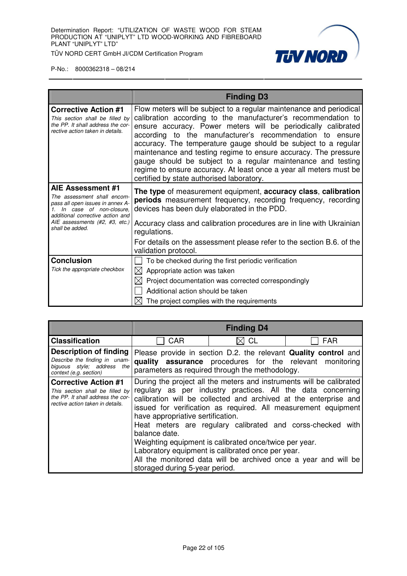

|                                                                                                                                                        | <b>Finding D3</b>                                                                                                                                                                                                                                                                                                                                                                                                                                                                                                                                                                         |
|--------------------------------------------------------------------------------------------------------------------------------------------------------|-------------------------------------------------------------------------------------------------------------------------------------------------------------------------------------------------------------------------------------------------------------------------------------------------------------------------------------------------------------------------------------------------------------------------------------------------------------------------------------------------------------------------------------------------------------------------------------------|
| <b>Corrective Action #1</b><br>This section shall be filled by<br>the PP. It shall address the cor-<br>rective action taken in details.                | Flow meters will be subject to a regular maintenance and periodical<br>calibration according to the manufacturer's recommendation to<br>ensure accuracy. Power meters will be periodically calibrated<br>according to the manufacturer's recommendation to ensure<br>accuracy. The temperature gauge should be subject to a regular<br>maintenance and testing regime to ensure accuracy. The pressure<br>gauge should be subject to a regular maintenance and testing<br>regime to ensure accuracy. At least once a year all meters must be<br>certified by state authorised laboratory. |
| AIE Assessment #1<br>The assessment shall encom-<br>pass all open issues in annex A-<br>1. In case of non-closure.<br>additional corrective action and | The type of measurement equipment, accuracy class, calibration<br><b>periods</b> measurement frequency, recording frequency, recording<br>devices has been duly elaborated in the PDD.                                                                                                                                                                                                                                                                                                                                                                                                    |
| AIE assessments (#2, #3, etc.)<br>shall be added.                                                                                                      | Accuracy class and calibration procedures are in line with Ukrainian<br>regulations.                                                                                                                                                                                                                                                                                                                                                                                                                                                                                                      |
|                                                                                                                                                        | For details on the assessment please refer to the section B.6. of the<br>validation protocol.                                                                                                                                                                                                                                                                                                                                                                                                                                                                                             |
| <b>Conclusion</b>                                                                                                                                      | To be checked during the first periodic verification                                                                                                                                                                                                                                                                                                                                                                                                                                                                                                                                      |
| Tick the appropriate checkbox                                                                                                                          | $\boxtimes$ Appropriate action was taken                                                                                                                                                                                                                                                                                                                                                                                                                                                                                                                                                  |
|                                                                                                                                                        | Project documentation was corrected correspondingly                                                                                                                                                                                                                                                                                                                                                                                                                                                                                                                                       |
|                                                                                                                                                        | Additional action should be taken                                                                                                                                                                                                                                                                                                                                                                                                                                                                                                                                                         |
|                                                                                                                                                        | The project complies with the requirements                                                                                                                                                                                                                                                                                                                                                                                                                                                                                                                                                |

|                                                                                                                                         |                                                                                                                                                                                                                                                                                                                                                                                                                                                                                                                                                                                                                   | <b>Finding D4</b>                                                                                                                                                                     |            |
|-----------------------------------------------------------------------------------------------------------------------------------------|-------------------------------------------------------------------------------------------------------------------------------------------------------------------------------------------------------------------------------------------------------------------------------------------------------------------------------------------------------------------------------------------------------------------------------------------------------------------------------------------------------------------------------------------------------------------------------------------------------------------|---------------------------------------------------------------------------------------------------------------------------------------------------------------------------------------|------------|
| <b>Classification</b>                                                                                                                   | CAR                                                                                                                                                                                                                                                                                                                                                                                                                                                                                                                                                                                                               | <b>CL</b>                                                                                                                                                                             | <b>FAR</b> |
| Description of finding<br>Describe the finding in unam-<br>biguous style; address the<br>context (e.g. section)                         |                                                                                                                                                                                                                                                                                                                                                                                                                                                                                                                                                                                                                   | Please provide in section D.2. the relevant <b>Quality control</b> and<br>quality assurance procedures for the relevant monitoring<br>parameters as required through the methodology. |            |
| <b>Corrective Action #1</b><br>This section shall be filled by<br>the PP. It shall address the cor-<br>rective action taken in details. | During the project all the meters and instruments will be calibrated<br>regulary as per industry practices. All the data concerning<br>calibration will be collected and archived at the enterprise and<br>issued for verification as required. All measurement equipment<br>have appropriative sertification.<br>Heat meters are regulary calibrated and corss-checked with<br>balance date.<br>Weighting equipment is calibrated once/twice per year.<br>Laboratory equipment is calibrated once per year.<br>All the monitored data will be archived once a year and will be<br>storaged during 5-year period. |                                                                                                                                                                                       |            |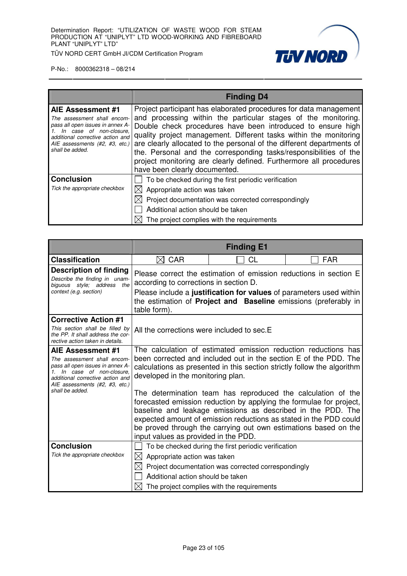**TUV NORD** 

TÜV NORD CERT GmbH JI/CDM Certification Program

|                                                                                                                                                                                                                 | <b>Finding D4</b>                                                                                                                                                                                                                                                                                                                                                                                                                                                                                                            |
|-----------------------------------------------------------------------------------------------------------------------------------------------------------------------------------------------------------------|------------------------------------------------------------------------------------------------------------------------------------------------------------------------------------------------------------------------------------------------------------------------------------------------------------------------------------------------------------------------------------------------------------------------------------------------------------------------------------------------------------------------------|
| <b>AIE Assessment #1</b><br>The assessment shall encom-<br>pass all open issues in annex A-<br>In case of non-closure,<br>additional corrective action and<br>AIE assessments (#2, #3, etc.)<br>shall be added. | Project participant has elaborated procedures for data management<br>and processing within the particular stages of the monitoring.<br>Double check procedures have been introduced to ensure high<br>quality project management. Different tasks within the monitoring<br>are clearly allocated to the personal of the different departments of<br>the. Personal and the corresponding tasks/responsibilities of the<br>project monitoring are clearly defined. Furthermore all procedures<br>have been clearly documented. |
| <b>Conclusion</b><br>Tick the appropriate checkbox                                                                                                                                                              | To be checked during the first periodic verification<br>$\boxtimes$ Appropriate action was taken<br>$\boxtimes$ Project documentation was corrected correspondingly<br>Additional action should be taken<br>The project complies with the requirements                                                                                                                                                                                                                                                                       |

|                                                                                                                                                                                          |                                                                                                                                                                                                                                                                                                                                                                                    | <b>Finding E1</b>                                                 |                                                                                                                                        |
|------------------------------------------------------------------------------------------------------------------------------------------------------------------------------------------|------------------------------------------------------------------------------------------------------------------------------------------------------------------------------------------------------------------------------------------------------------------------------------------------------------------------------------------------------------------------------------|-------------------------------------------------------------------|----------------------------------------------------------------------------------------------------------------------------------------|
| <b>Classification</b>                                                                                                                                                                    | $\boxtimes$ CAR                                                                                                                                                                                                                                                                                                                                                                    | CL                                                                | <b>FAR</b>                                                                                                                             |
| <b>Description of finding</b><br>Describe the finding in unam-<br>biguous style; address the<br>context (e.g. section)                                                                   | according to corrections in section D.<br>table form).                                                                                                                                                                                                                                                                                                                             | Please correct the estimation of emission reductions in section E | Please include a justification for values of parameters used within<br>the estimation of Project and Baseline emissions (preferably in |
| <b>Corrective Action #1</b><br>This section shall be filled by<br>the PP. It shall address the cor-<br>rective action taken in details.                                                  | All the corrections were included to sec.E                                                                                                                                                                                                                                                                                                                                         |                                                                   |                                                                                                                                        |
| AIE Assessment #1<br>The assessment shall encom-<br>pass all open issues in annex A-<br>1. In case of non-closure.<br>additional corrective action and<br>AIE assessments (#2, #3, etc.) | The calculation of estimated emission reduction reductions has<br>been corrected and included out in the section E of the PDD. The<br>calculations as presented in this section strictly follow the algorithm<br>developed in the monitoring plan.                                                                                                                                 |                                                                   |                                                                                                                                        |
| shall be added.                                                                                                                                                                          | The determination team has reproduced the calculation of the<br>forecasted emission reduction by applying the formulae for project,<br>baseline and leakage emissions as described in the PDD. The<br>expected amount of emission reductions as stated in the PDD could<br>be proved through the carrying out own estimations based on the<br>input values as provided in the PDD. |                                                                   |                                                                                                                                        |
| <b>Conclusion</b>                                                                                                                                                                        |                                                                                                                                                                                                                                                                                                                                                                                    | To be checked during the first periodic verification              |                                                                                                                                        |
| Tick the appropriate checkbox                                                                                                                                                            | $\boxtimes$ Appropriate action was taken                                                                                                                                                                                                                                                                                                                                           |                                                                   |                                                                                                                                        |
|                                                                                                                                                                                          | ⊠<br>Additional action should be taken                                                                                                                                                                                                                                                                                                                                             | Project documentation was corrected correspondingly               |                                                                                                                                        |
|                                                                                                                                                                                          | IXI                                                                                                                                                                                                                                                                                                                                                                                | The project complies with the requirements                        |                                                                                                                                        |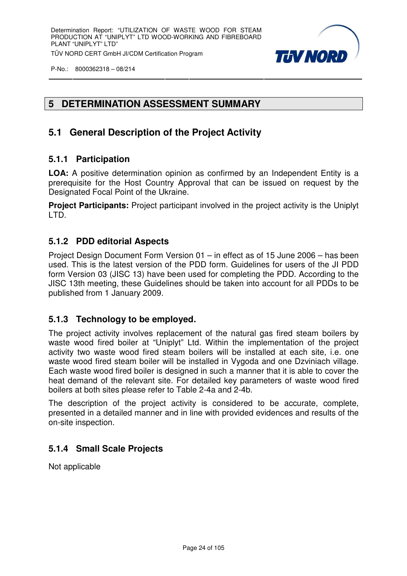

# **5 DETERMINATION ASSESSMENT SUMMARY**

# **5.1 General Description of the Project Activity**

#### **5.1.1 Participation**

**LOA:** A positive determination opinion as confirmed by an Independent Entity is a prerequisite for the Host Country Approval that can be issued on request by the Designated Focal Point of the Ukraine.

**Project Participants:** Project participant involved in the project activity is the Uniplyt LTD.

#### **5.1.2 PDD editorial Aspects**

Project Design Document Form Version 01 – in effect as of 15 June 2006 – has been used. This is the latest version of the PDD form. Guidelines for users of the JI PDD form Version 03 (JISC 13) have been used for completing the PDD. According to the JISC 13th meeting, these Guidelines should be taken into account for all PDDs to be published from 1 January 2009.

#### **5.1.3 Technology to be employed.**

The project activity involves replacement of the natural gas fired steam boilers by waste wood fired boiler at "Uniplyt" Ltd. Within the implementation of the project activity two waste wood fired steam boilers will be installed at each site, i.e. one waste wood fired steam boiler will be installed in Vygoda and one Dzviniach village. Each waste wood fired boiler is designed in such a manner that it is able to cover the heat demand of the relevant site. For detailed key parameters of waste wood fired boilers at both sites please refer to Table 2-4a and 2-4b.

The description of the project activity is considered to be accurate, complete, presented in a detailed manner and in line with provided evidences and results of the on-site inspection.

# **5.1.4 Small Scale Projects**

Not applicable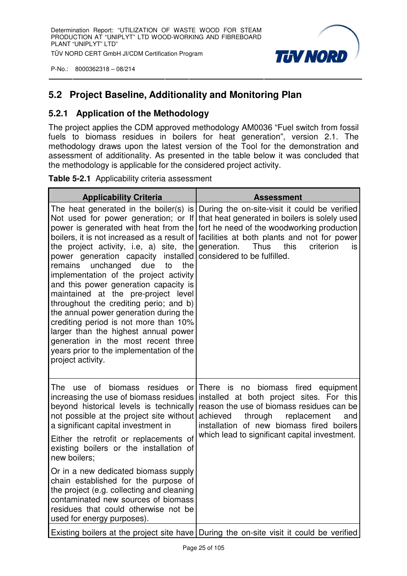

# **5.2 Project Baseline, Additionality and Monitoring Plan**

#### **5.2.1 Application of the Methodology**

The project applies the CDM approved methodology AM0036 "Fuel switch from fossil fuels to biomass residues in boilers for heat generation", version 2.1. The methodology draws upon the latest version of the Tool for the demonstration and assessment of additionality. As presented in the table below it was concluded that the methodology is applicable for the considered project activity.

|  | Table 5-2.1 Applicability criteria assessment |
|--|-----------------------------------------------|
|--|-----------------------------------------------|

| <b>Applicability Criteria</b>                                                                                                                                                                                                                                                                                                                                                                                                                                                                                                                                                                                                                                                                               | <b>Assessment</b>                                                                                                                                                                                                                                                                    |  |
|-------------------------------------------------------------------------------------------------------------------------------------------------------------------------------------------------------------------------------------------------------------------------------------------------------------------------------------------------------------------------------------------------------------------------------------------------------------------------------------------------------------------------------------------------------------------------------------------------------------------------------------------------------------------------------------------------------------|--------------------------------------------------------------------------------------------------------------------------------------------------------------------------------------------------------------------------------------------------------------------------------------|--|
| The heat generated in the boiler(s) is<br>Not used for power generation; or If<br>power is generated with heat from the<br>boilers, it is not increased as a result of<br>the project activity, i.e, a) site, the<br>power generation capacity installed<br>unchanged<br>due<br>remains<br>the<br>to<br>implementation of the project activity<br>and this power generation capacity is<br>maintained at the pre-project level<br>throughout the crediting perio; and b)<br>the annual power generation during the<br>crediting period is not more than 10%<br>larger than the highest annual power<br>generation in the most recent three<br>years prior to the implementation of the<br>project activity. | During the on-site-visit it could be verified<br>that heat generated in boilers is solely used<br>fort he need of the woodworking production<br>facilities at both plants and not for power<br>generation.<br><b>Thus</b><br>this<br>criterion<br>is<br>considered to be fulfilled.  |  |
| residues<br>The<br>of<br>biomass<br><b>use</b><br>increasing the use of biomass residues<br>beyond historical levels is technically<br>not possible at the project site without<br>a significant capital investment in                                                                                                                                                                                                                                                                                                                                                                                                                                                                                      | or There<br>is<br>biomass fired equipment<br>no<br>installed at both project sites. For this<br>reason the use of biomass residues can be<br>achieved<br>replacement<br>through<br>and<br>installation of new biomass fired boilers<br>which lead to significant capital investment. |  |
| Either the retrofit or replacements of<br>existing boilers or the installation of<br>new boilers;                                                                                                                                                                                                                                                                                                                                                                                                                                                                                                                                                                                                           |                                                                                                                                                                                                                                                                                      |  |
| Or in a new dedicated biomass supply<br>chain established for the purpose of<br>the project (e.g. collecting and cleaning<br>contaminated new sources of biomass<br>residues that could otherwise not be<br>used for energy purposes).                                                                                                                                                                                                                                                                                                                                                                                                                                                                      |                                                                                                                                                                                                                                                                                      |  |
|                                                                                                                                                                                                                                                                                                                                                                                                                                                                                                                                                                                                                                                                                                             | Existing boilers at the project site have During the on-site visit it could be verified                                                                                                                                                                                              |  |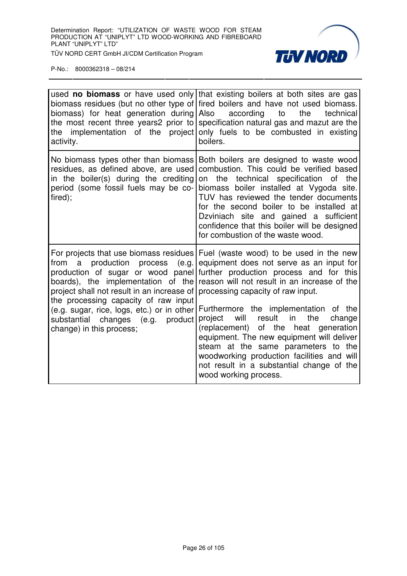

| biomass) for heat generation during Also according to<br>activity.                                                                                                                                                                            | used <b>no biomass</b> or have used only that existing boilers at both sites are gas<br>biomass residues (but no other type of fired boilers and have not used biomass.<br>the<br>technical<br>the most recent three years2 prior to specification natural gas and mazut are the<br>the implementation of the project only fuels to be combusted in existing<br>boilers.                                                                                                                                                                                                                                                                                      |
|-----------------------------------------------------------------------------------------------------------------------------------------------------------------------------------------------------------------------------------------------|---------------------------------------------------------------------------------------------------------------------------------------------------------------------------------------------------------------------------------------------------------------------------------------------------------------------------------------------------------------------------------------------------------------------------------------------------------------------------------------------------------------------------------------------------------------------------------------------------------------------------------------------------------------|
| No biomass types other than biomass<br>residues, as defined above, are used<br>in the boiler(s) during the crediting<br>period (some fossil fuels may be co-<br>fired);                                                                       | Both boilers are designed to waste wood<br>combustion. This could be verified based<br>on the<br>technical specification of the<br>biomass boiler installed at Vygoda site.<br>TUV has reviewed the tender documents<br>for the second boiler to be installed at<br>Dzviniach site and gained a sufficient<br>confidence that this boiler will be designed<br>for combustion of the waste wood.                                                                                                                                                                                                                                                               |
| from a<br>project shall not result in an increase of processing capacity of raw input.<br>the processing capacity of raw input<br>(e.g. sugar, rice, logs, etc.) or in other<br>substantial changes (e.g. product<br>change) in this process; | For projects that use biomass residues Fuel (waste wood) to be used in the new<br>production process (e.g. equipment does not serve as an input for<br>production of sugar or wood panel further production process and for this<br>boards), the implementation of the reason will not result in an increase of the<br>Furthermore the implementation of the<br>project<br>will<br>result in<br>the<br>change<br>(replacement) of the heat generation<br>equipment. The new equipment will deliver<br>steam at the same parameters to the<br>woodworking production facilities and will<br>not result in a substantial change of the<br>wood working process. |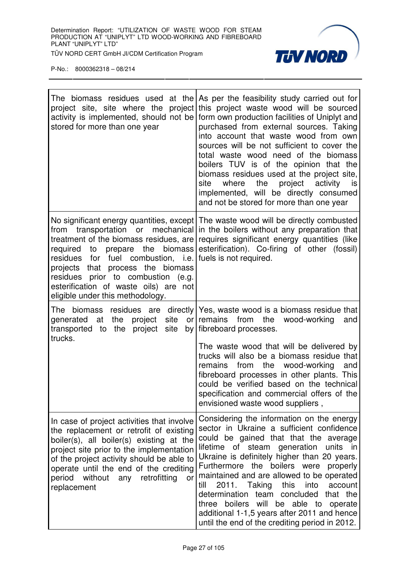

| stored for more than one year                                                                                                                                                                                                                                                                                                                | The biomass residues used at the $\mathsf{As}$ per the feasibility study carried out for<br>project site, site where the project this project waste wood will be sourced<br>activity is implemented, should not be form own production facilities of Uniplyt and<br>purchased from external sources. Taking<br>into account that waste wood from own<br>sources will be not sufficient to cover the<br>total waste wood need of the biomass<br>boilers TUV is of the opinion that the<br>biomass residues used at the project site,<br>site<br>where the project<br>activity<br>is<br>implemented, will be directly consumed<br>and not be stored for more than one year |
|----------------------------------------------------------------------------------------------------------------------------------------------------------------------------------------------------------------------------------------------------------------------------------------------------------------------------------------------|--------------------------------------------------------------------------------------------------------------------------------------------------------------------------------------------------------------------------------------------------------------------------------------------------------------------------------------------------------------------------------------------------------------------------------------------------------------------------------------------------------------------------------------------------------------------------------------------------------------------------------------------------------------------------|
| transportation or mechanical<br>from<br>treatment of the biomass residues, are<br>prepare the biomass<br>required to<br>residues for fuel combustion, i.e. fuels is not required.<br>process the biomass<br>projects that<br>residues prior to combustion (e.g.<br>esterification of waste oils) are not<br>eligible under this methodology. | No significant energy quantities, except The waste wood will be directly combusted<br>in the boilers without any preparation that<br>requires significant energy quantities (like<br>esterification). Co-firing of other (fossil)                                                                                                                                                                                                                                                                                                                                                                                                                                        |
| site<br>the<br>generated<br>at<br>project<br>project site<br>transported to the<br>trucks.                                                                                                                                                                                                                                                   | The biomass residues are directly Yes, waste wood is a biomass residue that<br>or remains from<br>the wood-working<br>and<br>by   fibreboard processes.<br>The waste wood that will be delivered by<br>trucks will also be a biomass residue that<br>from the wood-working<br>remains<br>and<br>fibreboard processes in other plants. This<br>could be verified based on the technical<br>specification and commercial offers of the<br>envisioned waste wood suppliers,                                                                                                                                                                                                 |
| In case of project activities that involve<br>the replacement or retrofit of existing<br>boiler(s), all boiler(s) existing at the<br>project site prior to the implementation<br>of the project activity should be able to<br>operate until the end of the crediting<br>without<br>any retrofitting<br>period<br>or<br>replacement           | Considering the information on the energy<br>sector in Ukraine a sufficient confidence<br>could be gained that that the average<br>units in<br>lifetime of steam generation<br>Ukraine is definitely higher than 20 years.<br>Furthermore the boilers were properly<br>maintained and are allowed to be operated<br>2011.<br>Taking<br>this<br>into<br>account<br>till<br>determination<br>team concluded that the<br>will be able to operate<br>boilers<br>three<br>additional 1-1,5 years after 2011 and hence<br>until the end of the crediting period in 2012.                                                                                                       |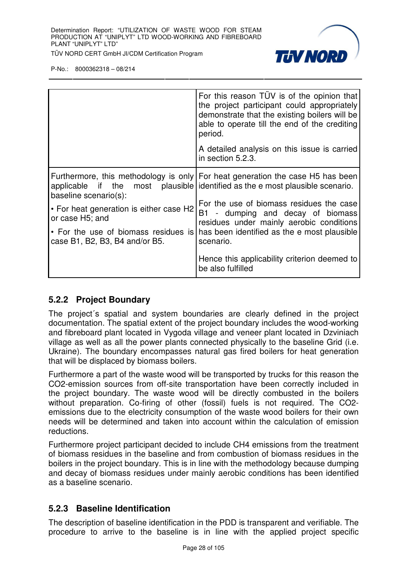

|                                                                         | For this reason TUV is of the opinion that<br>the project participant could appropriately<br>demonstrate that the existing boilers will be<br>able to operate till the end of the crediting<br>period.<br>A detailed analysis on this issue is carried<br>in section 5.2.3. |
|-------------------------------------------------------------------------|-----------------------------------------------------------------------------------------------------------------------------------------------------------------------------------------------------------------------------------------------------------------------------|
| baseline scenario(s):                                                   | Furthermore, this methodology is only   For heat generation the case H5 has been<br>applicable if the most plausible identified as the e most plausible scenario.                                                                                                           |
| • For heat generation is either case H2<br>or case H <sub>5</sub> ; and | For the use of biomass residues the case<br>B1 - dumping and decay of biomass<br>residues under mainly aerobic conditions                                                                                                                                                   |
| • For the use of biomass residues is<br>case B1, B2, B3, B4 and/or B5.  | has been identified as the e most plausible<br>scenario.                                                                                                                                                                                                                    |
|                                                                         | Hence this applicability criterion deemed to<br>be also fulfilled                                                                                                                                                                                                           |

#### **5.2.2 Project Boundary**

The project´s spatial and system boundaries are clearly defined in the project documentation. The spatial extent of the project boundary includes the wood-working and fibreboard plant located in Vygoda village and veneer plant located in Dzviniach village as well as all the power plants connected physically to the baseline Grid (i.e. Ukraine). The boundary encompasses natural gas fired boilers for heat generation that will be displaced by biomass boilers.

Furthermore a part of the waste wood will be transported by trucks for this reason the CO2-emission sources from off-site transportation have been correctly included in the project boundary. The waste wood will be directly combusted in the boilers without preparation. Co-firing of other (fossil) fuels is not required. The CO2 emissions due to the electricity consumption of the waste wood boilers for their own needs will be determined and taken into account within the calculation of emission reductions.

Furthermore project participant decided to include CH4 emissions from the treatment of biomass residues in the baseline and from combustion of biomass residues in the boilers in the project boundary. This is in line with the methodology because dumping and decay of biomass residues under mainly aerobic conditions has been identified as a baseline scenario.

# **5.2.3 Baseline Identification**

The description of baseline identification in the PDD is transparent and verifiable. The procedure to arrive to the baseline is in line with the applied project specific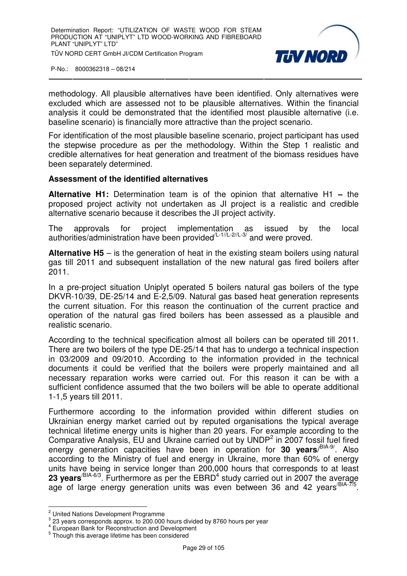

methodology. All plausible alternatives have been identified. Only alternatives were excluded which are assessed not to be plausible alternatives. Within the financial analysis it could be demonstrated that the identified most plausible alternative (i.e. baseline scenario) is financially more attractive than the project scenario.

For identification of the most plausible baseline scenario, project participant has used the stepwise procedure as per the methodology. Within the Step 1 realistic and credible alternatives for heat generation and treatment of the biomass residues have been separately determined.

#### **Assessment of the identified alternatives**

**Alternative H1:** Determination team is of the opinion that alternative H1 **–** the proposed project activity not undertaken as JI project is a realistic and credible alternative scenario because it describes the JI project activity.

The approvals for project implementation as issued by the local authorities/administration have been provided  $(2.1/(L-2)/L-3)$  and were proved.

**Alternative H5** – is the generation of heat in the existing steam boilers using natural gas till 2011 and subsequent installation of the new natural gas fired boilers after 2011.

In a pre-project situation Uniplyt operated 5 boilers natural gas boilers of the type DKVR-10/39, DE-25/14 and E-2,5/09. Natural gas based heat generation represents the current situation. For this reason the continuation of the current practice and operation of the natural gas fired boilers has been assessed as a plausible and realistic scenario.

According to the technical specification almost all boilers can be operated till 2011. There are two boilers of the type DE-25/14 that has to undergo a technical inspection in 03/2009 and 09/2010. According to the information provided in the technical documents it could be verified that the boilers were properly maintained and all necessary reparation works were carried out. For this reason it can be with a sufficient confidence assumed that the two boilers will be able to operate additional 1-1,5 years till 2011.

Furthermore according to the information provided within different studies on Ukrainian energy market carried out by reputed organisations the typical average technical lifetime energy units is higher than 20 years. For example according to the Comparative Analysis,  $EU$  and Ukraine carried out by UNDP<sup>2</sup> in 2007 fossil fuel fired energy generation capacities have been in operation for **30 years**/ BIA-9/. Also according to the Ministry of fuel and energy in Ukraine, more than 60% of energy units have being in service longer than 200,000 hours that corresponds to at least 23 years<sup>/BIA-6/3</sup>. Furthermore as per the EBRD<sup>4</sup> study carried out in 2007 the average age of large energy generation units was even between 36 and 42 years  $BIA-7/5$ .

 2 United Nations Development Programme

 $3$  23 years corresponds approx. to 200.000 hours divided by 8760 hours per year

<sup>4</sup> European Bank for Reconstruction and Development

<sup>&</sup>lt;sup>5</sup> Though this average lifetime has been considered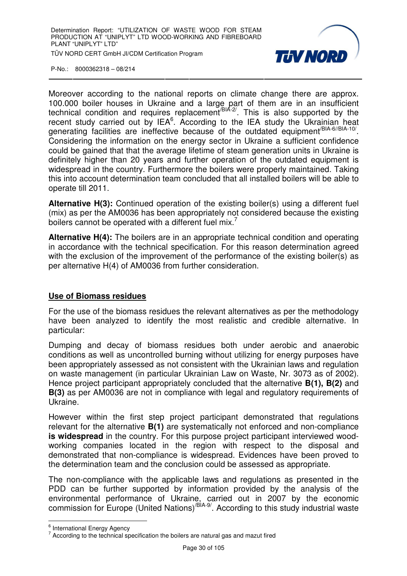

Moreover according to the national reports on climate change there are approx. 100.000 boiler houses in Ukraine and a large part of them are in an insufficient technical condition and requires replacement<sup>/BIA-2/</sup>. This is also supported by the recent study carried out by  $IEA<sup>6</sup>$ . According to the IEA study the Ukrainian heat generating facilities are ineffective because of the outdated equipment<sup>/BIA-6//BIA-10/</sup>. Considering the information on the energy sector in Ukraine a sufficient confidence could be gained that that the average lifetime of steam generation units in Ukraine is definitely higher than 20 years and further operation of the outdated equipment is widespread in the country. Furthermore the boilers were properly maintained. Taking this into account determination team concluded that all installed boilers will be able to operate till 2011.

**Alternative H(3):** Continued operation of the existing boiler(s) using a different fuel (mix) as per the AM0036 has been appropriately not considered because the existing boilers cannot be operated with a different fuel  $mix^7$ 

**Alternative H(4):** The boilers are in an appropriate technical condition and operating in accordance with the technical specification. For this reason determination agreed with the exclusion of the improvement of the performance of the existing boiler(s) as per alternative H(4) of AM0036 from further consideration.

#### **Use of Biomass residues**

For the use of the biomass residues the relevant alternatives as per the methodology have been analyzed to identify the most realistic and credible alternative. In particular:

Dumping and decay of biomass residues both under aerobic and anaerobic conditions as well as uncontrolled burning without utilizing for energy purposes have been appropriately assessed as not consistent with the Ukrainian laws and regulation on waste management (in particular Ukrainian Law on Waste, Nr. 3073 as of 2002). Hence project participant appropriately concluded that the alternative **B(1), B(2)** and **B(3)** as per AM0036 are not in compliance with legal and regulatory requirements of Ukraine.

However within the first step project participant demonstrated that regulations relevant for the alternative **B(1)** are systematically not enforced and non-compliance **is widespread** in the country. For this purpose project participant interviewed woodworking companies located in the region with respect to the disposal and demonstrated that non-compliance is widespread. Evidences have been proved to the determination team and the conclusion could be assessed as appropriate.

The non-compliance with the applicable laws and regulations as presented in the PDD can be further supported by information provided by the analysis of the environmental performance of Ukraine, carried out in 2007 by the economic commission for Europe (United Nations)/BIA-9/. According to this study industrial waste

e<br>Enternational Energy Agency

 $7$  According to the technical specification the boilers are natural gas and mazut fired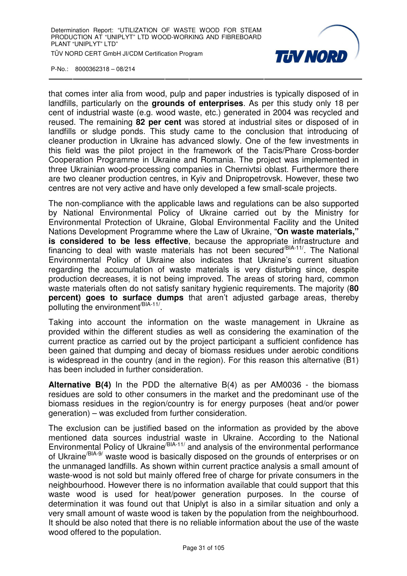

that comes inter alia from wood, pulp and paper industries is typically disposed of in landfills, particularly on the **grounds of enterprises**. As per this study only 18 per cent of industrial waste (e.g. wood waste, etc.) generated in 2004 was recycled and reused. The remaining **82 per cent** was stored at industrial sites or disposed of in landfills or sludge ponds. This study came to the conclusion that introducing of cleaner production in Ukraine has advanced slowly. One of the few investments in this field was the pilot project in the framework of the Tacis/Phare Cross-border Cooperation Programme in Ukraine and Romania. The project was implemented in three Ukrainian wood-processing companies in Chernivtsi oblast. Furthermore there are two cleaner production centres, in Kyiv and Dnipropetrovsk. However, these two centres are not very active and have only developed a few small-scale projects.

The non-compliance with the applicable laws and regulations can be also supported by National Environmental Policy of Ukraine carried out by the Ministry for Environmental Protection of Ukraine, Global Environmental Facility and the United Nations Development Programme where the Law of Ukraine, "**On waste materials," is considered to be less effective**, because the appropriate infrastructure and financing to deal with waste materials has not been secured/BIA-11/. The National Environmental Policy of Ukraine also indicates that Ukraine's current situation regarding the accumulation of waste materials is very disturbing since, despite production decreases, it is not being improved. The areas of storing hard, common waste materials often do not satisfy sanitary hygienic requirements. The majority (**80 percent) goes to surface dumps** that aren't adjusted garbage areas, thereby polluting the environment<sup>/BIA-11/</sup>.

Taking into account the information on the waste management in Ukraine as provided within the different studies as well as considering the examination of the current practice as carried out by the project participant a sufficient confidence has been gained that dumping and decay of biomass residues under aerobic conditions is widespread in the country (and in the region). For this reason this alternative (B1) has been included in further consideration.

**Alternative B(4)** In the PDD the alternative B(4) as per AM0036 - the biomass residues are sold to other consumers in the market and the predominant use of the biomass residues in the region/country is for energy purposes (heat and/or power generation) – was excluded from further consideration.

The exclusion can be justified based on the information as provided by the above mentioned data sources industrial waste in Ukraine. According to the National Environmental Policy of Ukraine<sup>/BIA-11/</sup> and analysis of the environmental performance of Ukraine<sup>/BIA-9</sup>/ waste wood is basically disposed on the grounds of enterprises or on the unmanaged landfills. As shown within current practice analysis a small amount of waste-wood is not sold but mainly offered free of charge for private consumers in the neighbourhood. However there is no information available that could support that this waste wood is used for heat/power generation purposes. In the course of determination it was found out that Uniplyt is also in a similar situation and only a very small amount of waste wood is taken by the population from the neighbourhood. It should be also noted that there is no reliable information about the use of the waste wood offered to the population.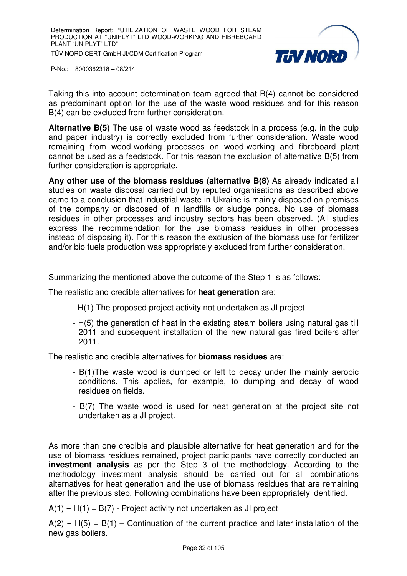

Taking this into account determination team agreed that B(4) cannot be considered as predominant option for the use of the waste wood residues and for this reason B(4) can be excluded from further consideration.

**Alternative B(5)** The use of waste wood as feedstock in a process (e.g. in the pulp and paper industry) is correctly excluded from further consideration. Waste wood remaining from wood-working processes on wood-working and fibreboard plant cannot be used as a feedstock. For this reason the exclusion of alternative B(5) from further consideration is appropriate.

**Any other use of the biomass residues (alternative B(8)** As already indicated all studies on waste disposal carried out by reputed organisations as described above came to a conclusion that industrial waste in Ukraine is mainly disposed on premises of the company or disposed of in landfills or sludge ponds. No use of biomass residues in other processes and industry sectors has been observed. (All studies express the recommendation for the use biomass residues in other processes instead of disposing it). For this reason the exclusion of the biomass use for fertilizer and/or bio fuels production was appropriately excluded from further consideration.

Summarizing the mentioned above the outcome of the Step 1 is as follows:

The realistic and credible alternatives for **heat generation** are:

- H(1) The proposed project activity not undertaken as JI project
- H(5) the generation of heat in the existing steam boilers using natural gas till 2011 and subsequent installation of the new natural gas fired boilers after 2011.

The realistic and credible alternatives for **biomass residues** are:

- B(1)The waste wood is dumped or left to decay under the mainly aerobic conditions. This applies, for example, to dumping and decay of wood residues on fields.
- B(7) The waste wood is used for heat generation at the project site not undertaken as a JI project.

As more than one credible and plausible alternative for heat generation and for the use of biomass residues remained, project participants have correctly conducted an **investment analysis** as per the Step 3 of the methodology. According to the methodology investment analysis should be carried out for all combinations alternatives for heat generation and the use of biomass residues that are remaining after the previous step. Following combinations have been appropriately identified.

 $A(1) = H(1) + B(7)$  - Project activity not undertaken as JI project

 $A(2) = H(5) + B(1) -$ Continuation of the current practice and later installation of the new gas boilers.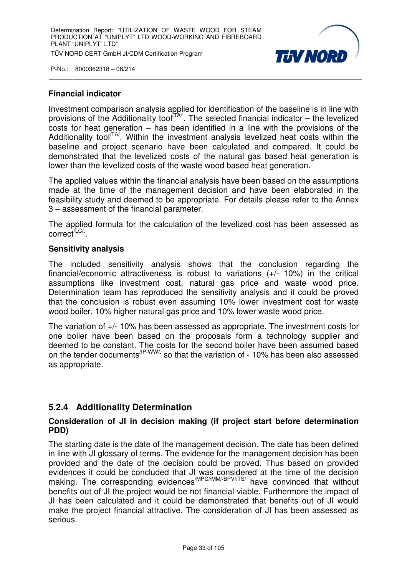

#### **Financial indicator**

Investment comparison analysis applied for identification of the baseline is in line with provisions of the Additionality tool  $T^{\mathcal{A}}$ . The selected financial indicator – the levelized costs for heat generation – has been identified in a line with the provisions of the Additionality tool<sup> $TA$ </sup>. Within the investment analysis levelized heat costs within the baseline and project scenario have been calculated and compared. It could be demonstrated that the levelized costs of the natural gas based heat generation is lower than the levelized costs of the waste wood based heat generation.

The applied values within the financial analysis have been based on the assumptions made at the time of the management decision and have been elaborated in the feasibility study and deemed to be appropriate. For details please refer to the Annex 3 – assessment of the financial parameter.

The applied formula for the calculation of the levelized cost has been assessed as correct<sup>/LC/.</sup>.

#### **Sensitivity analysis**

The included sensitivity analysis shows that the conclusion regarding the financial/economic attractiveness is robust to variations (+/- 10%) in the critical assumptions like investment cost, natural gas price and waste wood price. Determination team has reproduced the sensitivity analysis and it could be proved that the conclusion is robust even assuming 10% lower investment cost for waste wood boiler, 10% higher natural gas price and 10% lower waste wood price.

The variation of +/- 10% has been assessed as appropriate. The investment costs for one boiler have been based on the proposals form a technology supplier and deemed to be constant. The costs for the second boiler have been assumed based on the tender documents<sup>/IP-WW/,</sup> so that the variation of - 10% has been also assessed as appropriate.

#### **5.2.4 Additionality Determination**

#### **Consideration of JI in decision making (if project start before determination PDD)**

The starting date is the date of the management decision. The date has been defined in line with JI glossary of terms. The evidence for the management decision has been provided and the date of the decision could be proved. Thus based on provided evidences it could be concluded that JI was considered at the time of the decision making. The corresponding evidences<sup>/MPC//MM//BPV//TS/</sup> have convinced that without benefits out of JI the project would be not financial viable. Furthermore the impact of JI has been calculated and it could be demonstrated that benefits out of JI would make the project financial attractive. The consideration of JI has been assessed as serious.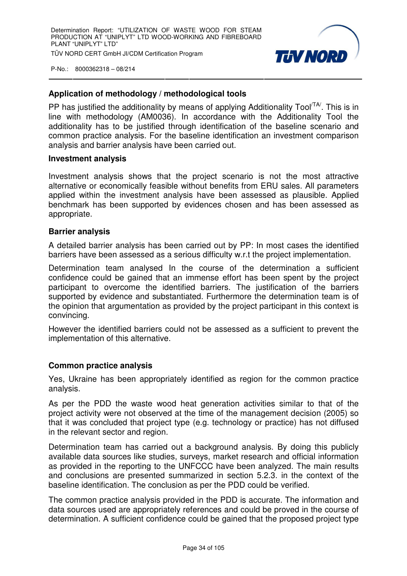

#### **Application of methodology / methodological tools**

PP has justified the additionality by means of applying Additionality Tool<sup> $\text{TA}$ </sup>. This is in line with methodology (AM0036). In accordance with the Additionality Tool the additionality has to be justified through identification of the baseline scenario and common practice analysis. For the baseline identification an investment comparison analysis and barrier analysis have been carried out.

#### **Investment analysis**

Investment analysis shows that the project scenario is not the most attractive alternative or economically feasible without benefits from ERU sales. All parameters applied within the investment analysis have been assessed as plausible. Applied benchmark has been supported by evidences chosen and has been assessed as appropriate.

#### **Barrier analysis**

A detailed barrier analysis has been carried out by PP: In most cases the identified barriers have been assessed as a serious difficulty w.r.t the project implementation.

Determination team analysed In the course of the determination a sufficient confidence could be gained that an immense effort has been spent by the project participant to overcome the identified barriers. The justification of the barriers supported by evidence and substantiated. Furthermore the determination team is of the opinion that argumentation as provided by the project participant in this context is convincing.

However the identified barriers could not be assessed as a sufficient to prevent the implementation of this alternative.

#### **Common practice analysis**

Yes, Ukraine has been appropriately identified as region for the common practice analysis.

As per the PDD the waste wood heat generation activities similar to that of the project activity were not observed at the time of the management decision (2005) so that it was concluded that project type (e.g. technology or practice) has not diffused in the relevant sector and region.

Determination team has carried out a background analysis. By doing this publicly available data sources like studies, surveys, market research and official information as provided in the reporting to the UNFCCC have been analyzed. The main results and conclusions are presented summarized in section 5.2.3. in the context of the baseline identification. The conclusion as per the PDD could be verified.

The common practice analysis provided in the PDD is accurate. The information and data sources used are appropriately references and could be proved in the course of determination. A sufficient confidence could be gained that the proposed project type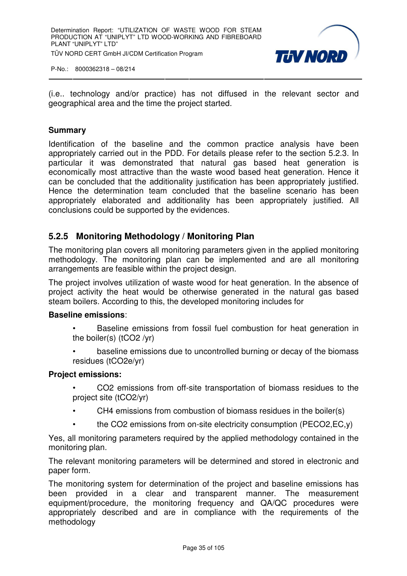

(i.e.. technology and/or practice) has not diffused in the relevant sector and geographical area and the time the project started.

#### **Summary**

Identification of the baseline and the common practice analysis have been appropriately carried out in the PDD. For details please refer to the section 5.2.3. In particular it was demonstrated that natural gas based heat generation is economically most attractive than the waste wood based heat generation. Hence it can be concluded that the additionality justification has been appropriately justified. Hence the determination team concluded that the baseline scenario has been appropriately elaborated and additionality has been appropriately justified. All conclusions could be supported by the evidences.

#### **5.2.5 Monitoring Methodology / Monitoring Plan**

The monitoring plan covers all monitoring parameters given in the applied monitoring methodology. The monitoring plan can be implemented and are all monitoring arrangements are feasible within the project design.

The project involves utilization of waste wood for heat generation. In the absence of project activity the heat would be otherwise generated in the natural gas based steam boilers. According to this, the developed monitoring includes for

#### **Baseline emissions**:

- Baseline emissions from fossil fuel combustion for heat generation in the boiler(s) (tCO2 /yr)
- baseline emissions due to uncontrolled burning or decay of the biomass residues (tCO2e/yr)

#### **Project emissions:**

- CO2 emissions from off-site transportation of biomass residues to the project site (tCO2/yr)
- CH4 emissions from combustion of biomass residues in the boiler(s)
- the CO2 emissions from on-site electricity consumption (PECO2,EC,y)

Yes, all monitoring parameters required by the applied methodology contained in the monitoring plan.

The relevant monitoring parameters will be determined and stored in electronic and paper form.

The monitoring system for determination of the project and baseline emissions has been provided in a clear and transparent manner. The measurement equipment/procedure, the monitoring frequency and QA/QC procedures were appropriately described and are in compliance with the requirements of the methodology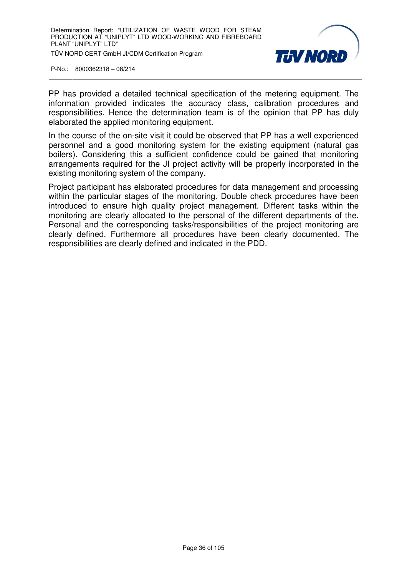

PP has provided a detailed technical specification of the metering equipment. The information provided indicates the accuracy class, calibration procedures and responsibilities. Hence the determination team is of the opinion that PP has duly elaborated the applied monitoring equipment.

In the course of the on-site visit it could be observed that PP has a well experienced personnel and a good monitoring system for the existing equipment (natural gas boilers). Considering this a sufficient confidence could be gained that monitoring arrangements required for the JI project activity will be properly incorporated in the existing monitoring system of the company.

Project participant has elaborated procedures for data management and processing within the particular stages of the monitoring. Double check procedures have been introduced to ensure high quality project management. Different tasks within the monitoring are clearly allocated to the personal of the different departments of the. Personal and the corresponding tasks/responsibilities of the project monitoring are clearly defined. Furthermore all procedures have been clearly documented. The responsibilities are clearly defined and indicated in the PDD.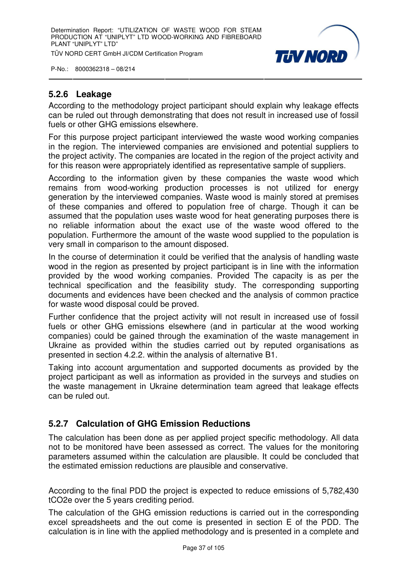TÜV NORD CERT GmbH JI/CDM Certification Program



P-No.: 8000362318 – 08/214

# **5.2.6 Leakage**

According to the methodology project participant should explain why leakage effects can be ruled out through demonstrating that does not result in increased use of fossil fuels or other GHG emissions elsewhere.

For this purpose project participant interviewed the waste wood working companies in the region. The interviewed companies are envisioned and potential suppliers to the project activity. The companies are located in the region of the project activity and for this reason were appropriately identified as representative sample of suppliers.

According to the information given by these companies the waste wood which remains from wood-working production processes is not utilized for energy generation by the interviewed companies. Waste wood is mainly stored at premises of these companies and offered to population free of charge. Though it can be assumed that the population uses waste wood for heat generating purposes there is no reliable information about the exact use of the waste wood offered to the population. Furthermore the amount of the waste wood supplied to the population is very small in comparison to the amount disposed.

In the course of determination it could be verified that the analysis of handling waste wood in the region as presented by project participant is in line with the information provided by the wood working companies. Provided The capacity is as per the technical specification and the feasibility study. The corresponding supporting documents and evidences have been checked and the analysis of common practice for waste wood disposal could be proved.

Further confidence that the project activity will not result in increased use of fossil fuels or other GHG emissions elsewhere (and in particular at the wood working companies) could be gained through the examination of the waste management in Ukraine as provided within the studies carried out by reputed organisations as presented in section 4.2.2. within the analysis of alternative B1.

Taking into account argumentation and supported documents as provided by the project participant as well as information as provided in the surveys and studies on the waste management in Ukraine determination team agreed that leakage effects can be ruled out.

# **5.2.7 Calculation of GHG Emission Reductions**

The calculation has been done as per applied project specific methodology. All data not to be monitored have been assessed as correct. The values for the monitoring parameters assumed within the calculation are plausible. It could be concluded that the estimated emission reductions are plausible and conservative.

According to the final PDD the project is expected to reduce emissions of 5,782,430 tCO2e over the 5 years crediting period.

The calculation of the GHG emission reductions is carried out in the corresponding excel spreadsheets and the out come is presented in section E of the PDD. The calculation is in line with the applied methodology and is presented in a complete and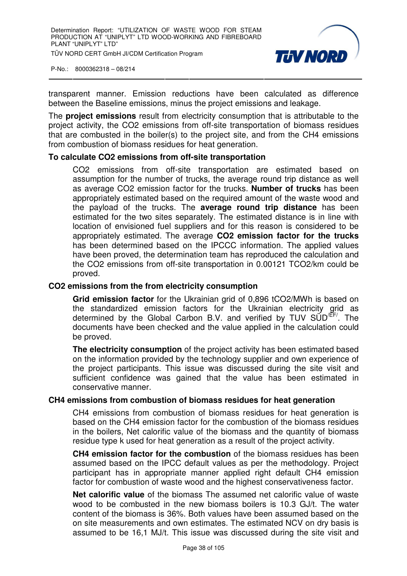

transparent manner. Emission reductions have been calculated as difference between the Baseline emissions, minus the project emissions and leakage.

The **project emissions** result from electricity consumption that is attributable to the project activity, the CO2 emissions from off-site transportation of biomass residues that are combusted in the boiler(s) to the project site, and from the CH4 emissions from combustion of biomass residues for heat generation.

# **To calculate CO2 emissions from off-site transportation**

CO2 emissions from off-site transportation are estimated based on assumption for the number of trucks, the average round trip distance as well as average CO2 emission factor for the trucks. **Number of trucks** has been appropriately estimated based on the required amount of the waste wood and the payload of the trucks. The **average round trip distance** has been estimated for the two sites separately. The estimated distance is in line with location of envisioned fuel suppliers and for this reason is considered to be appropriately estimated. The average **CO2 emission factor for the trucks**  has been determined based on the IPCCC information. The applied values have been proved, the determination team has reproduced the calculation and the CO2 emissions from off-site transportation in 0.00121 TCO2/km could be proved.

# **CO2 emissions from the from electricity consumption**

**Grid emission factor** for the Ukrainian grid of 0,896 tCO2/MWh is based on the standardized emission factors for the Ukrainian electricity grid as determined by the Global Carbon B.V. and verified by TUV  $SUD<sup>EE/</sup>$ . The documents have been checked and the value applied in the calculation could be proved.

**The electricity consumption** of the project activity has been estimated based on the information provided by the technology supplier and own experience of the project participants. This issue was discussed during the site visit and sufficient confidence was gained that the value has been estimated in conservative manner.

# **CH4 emissions from combustion of biomass residues for heat generation**

CH4 emissions from combustion of biomass residues for heat generation is based on the CH4 emission factor for the combustion of the biomass residues in the boilers, Net calorific value of the biomass and the quantity of biomass residue type k used for heat generation as a result of the project activity.

**CH4 emission factor for the combustion** of the biomass residues has been assumed based on the IPCC default values as per the methodology. Project participant has in appropriate manner applied right default CH4 emission factor for combustion of waste wood and the highest conservativeness factor.

**Net calorific value** of the biomass The assumed net calorific value of waste wood to be combusted in the new biomass boilers is 10.3 GJ/t. The water content of the biomass is 36%. Both values have been assumed based on the on site measurements and own estimates. The estimated NCV on dry basis is assumed to be 16,1 MJ/t. This issue was discussed during the site visit and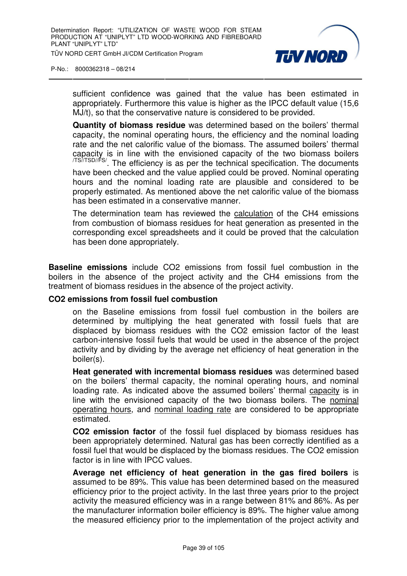

sufficient confidence was gained that the value has been estimated in appropriately. Furthermore this value is higher as the IPCC default value (15,6 MJ/t), so that the conservative nature is considered to be provided.

**Quantity of biomass residue** was determined based on the boilers' thermal capacity, the nominal operating hours, the efficiency and the nominal loading rate and the net calorific value of the biomass. The assumed boilers' thermal capacity is in line with the envisioned capacity of the two biomass boilers /TS//TSD//FS/. The efficiency is as per the technical specification. The documents have been checked and the value applied could be proved. Nominal operating hours and the nominal loading rate are plausible and considered to be properly estimated. As mentioned above the net calorific value of the biomass has been estimated in a conservative manner.

The determination team has reviewed the calculation of the CH4 emissions from combustion of biomass residues for heat generation as presented in the corresponding excel spreadsheets and it could be proved that the calculation has been done appropriately.

**Baseline emissions** include CO2 emissions from fossil fuel combustion in the boilers in the absence of the project activity and the CH4 emissions from the treatment of biomass residues in the absence of the project activity.

# **CO2 emissions from fossil fuel combustion**

on the Baseline emissions from fossil fuel combustion in the boilers are determined by multiplying the heat generated with fossil fuels that are displaced by biomass residues with the CO2 emission factor of the least carbon-intensive fossil fuels that would be used in the absence of the project activity and by dividing by the average net efficiency of heat generation in the boiler(s).

**Heat generated with incremental biomass residues** was determined based on the boilers' thermal capacity, the nominal operating hours, and nominal loading rate. As indicated above the assumed boilers' thermal capacity is in line with the envisioned capacity of the two biomass boilers. The nominal operating hours, and nominal loading rate are considered to be appropriate estimated.

**CO2 emission factor** of the fossil fuel displaced by biomass residues has been appropriately determined. Natural gas has been correctly identified as a fossil fuel that would be displaced by the biomass residues. The CO2 emission factor is in line with IPCC values.

**Average net efficiency of heat generation in the gas fired boilers** is assumed to be 89%. This value has been determined based on the measured efficiency prior to the project activity. In the last three years prior to the project activity the measured efficiency was in a range between 81% and 86%. As per the manufacturer information boiler efficiency is 89%. The higher value among the measured efficiency prior to the implementation of the project activity and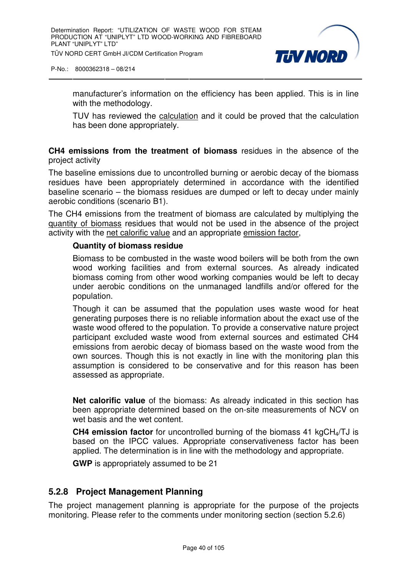

manufacturer's information on the efficiency has been applied. This is in line with the methodology.

TUV has reviewed the calculation and it could be proved that the calculation has been done appropriately.

**CH4 emissions from the treatment of biomass** residues in the absence of the project activity

The baseline emissions due to uncontrolled burning or aerobic decay of the biomass residues have been appropriately determined in accordance with the identified baseline scenario – the biomass residues are dumped or left to decay under mainly aerobic conditions (scenario B1).

The CH4 emissions from the treatment of biomass are calculated by multiplying the quantity of biomass residues that would not be used in the absence of the project activity with the net calorific value and an appropriate emission factor,

# **Quantity of biomass residue**

Biomass to be combusted in the waste wood boilers will be both from the own wood working facilities and from external sources. As already indicated biomass coming from other wood working companies would be left to decay under aerobic conditions on the unmanaged landfills and/or offered for the population.

Though it can be assumed that the population uses waste wood for heat generating purposes there is no reliable information about the exact use of the waste wood offered to the population. To provide a conservative nature project participant excluded waste wood from external sources and estimated CH4 emissions from aerobic decay of biomass based on the waste wood from the own sources. Though this is not exactly in line with the monitoring plan this assumption is considered to be conservative and for this reason has been assessed as appropriate.

**Net calorific value** of the biomass: As already indicated in this section has been appropriate determined based on the on-site measurements of NCV on wet basis and the wet content.

**CH4 emission factor** for uncontrolled burning of the biomass 41 kgCH4/TJ is based on the IPCC values. Appropriate conservativeness factor has been applied. The determination is in line with the methodology and appropriate.

**GWP** is appropriately assumed to be 21

# **5.2.8 Project Management Planning**

The project management planning is appropriate for the purpose of the projects monitoring. Please refer to the comments under monitoring section (section 5.2.6)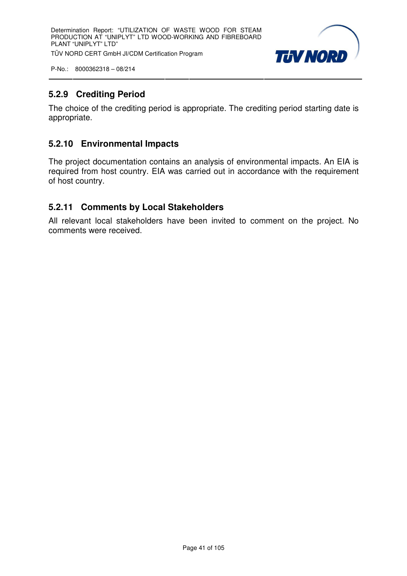

# **5.2.9 Crediting Period**

The choice of the crediting period is appropriate. The crediting period starting date is appropriate.

# **5.2.10 Environmental Impacts**

The project documentation contains an analysis of environmental impacts. An EIA is required from host country. EIA was carried out in accordance with the requirement of host country.

# **5.2.11 Comments by Local Stakeholders**

All relevant local stakeholders have been invited to comment on the project. No comments were received.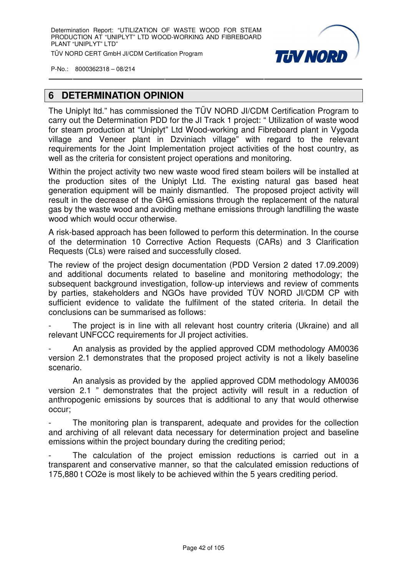

# **6 DETERMINATION OPINION**

The Uniplyt ltd." has commissioned the TÜV NORD JI/CDM Certification Program to carry out the Determination PDD for the JI Track 1 project: " Utilization of waste wood for steam production at "Uniplyt" Ltd Wood-working and Fibreboard plant in Vygoda village and Veneer plant in Dzviniach village" with regard to the relevant requirements for the Joint Implementation project activities of the host country, as well as the criteria for consistent project operations and monitoring.

Within the project activity two new waste wood fired steam boilers will be installed at the production sites of the Uniplyt Ltd. The existing natural gas based heat generation equipment will be mainly dismantled. The proposed project activity will result in the decrease of the GHG emissions through the replacement of the natural gas by the waste wood and avoiding methane emissions through landfilling the waste wood which would occur otherwise.

A risk-based approach has been followed to perform this determination. In the course of the determination 10 Corrective Action Requests (CARs) and 3 Clarification Requests (CLs) were raised and successfully closed.

The review of the project design documentation (PDD Version 2 dated 17.09.2009) and additional documents related to baseline and monitoring methodology; the subsequent background investigation, follow-up interviews and review of comments by parties, stakeholders and NGOs have provided TÜV NORD JI/CDM CP with sufficient evidence to validate the fulfilment of the stated criteria. In detail the conclusions can be summarised as follows:

The project is in line with all relevant host country criteria (Ukraine) and all relevant UNFCCC requirements for JI project activities.

- An analysis as provided by the applied approved CDM methodology AM0036 version 2.1 demonstrates that the proposed project activity is not a likely baseline scenario.

 An analysis as provided by the applied approved CDM methodology AM0036 version 2.1 " demonstrates that the project activity will result in a reduction of anthropogenic emissions by sources that is additional to any that would otherwise occur;

The monitoring plan is transparent, adequate and provides for the collection and archiving of all relevant data necessary for determination project and baseline emissions within the project boundary during the crediting period;

The calculation of the project emission reductions is carried out in a transparent and conservative manner, so that the calculated emission reductions of 175,880 t CO2e is most likely to be achieved within the 5 years crediting period.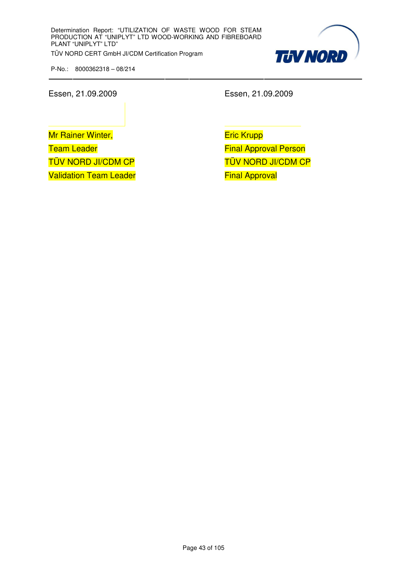

Essen, 21.09.2009 Essen, 21.09.2009

Mr Rainer Winter, Team Leader TÜV NORD JI/CDM CP Validation Team Leader

Eric Krupp Final Approval Person TÜV NORD JI/CDM CP Final Approval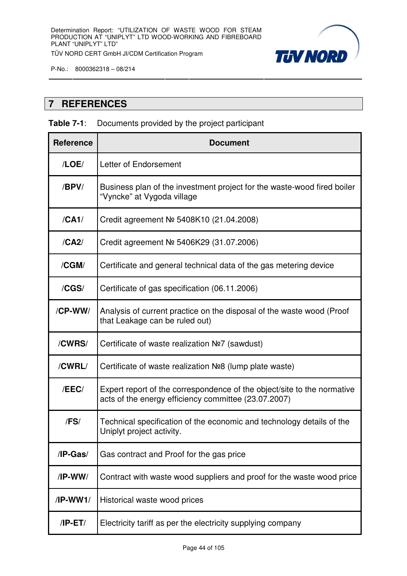

# **7 REFERENCES**

# **Table 7-1**: Documents provided by the project participant

| <b>Reference</b> | <b>Document</b>                                                                                                                 |
|------------------|---------------------------------------------------------------------------------------------------------------------------------|
| /LOE/            | Letter of Endorsement                                                                                                           |
| /BPV/            | Business plan of the investment project for the waste-wood fired boiler<br>"Vyncke" at Vygoda village                           |
| /CA1/            | Credit agreement № 5408K10 (21.04.2008)                                                                                         |
| /CA2/            | Credit agreement Nº 5406K29 (31.07.2006)                                                                                        |
| /CGM/            | Certificate and general technical data of the gas metering device                                                               |
| /CGS/            | Certificate of gas specification (06.11.2006)                                                                                   |
| /CP-WW/          | Analysis of current practice on the disposal of the waste wood (Proof<br>that Leakage can be ruled out)                         |
| /CWRS/           | Certificate of waste realization $N2$ (sawdust)                                                                                 |
| /CWRL/           | Certificate of waste realization $N28$ (lump plate waste)                                                                       |
| /EEC/            | Expert report of the correspondence of the object/site to the normative<br>acts of the energy efficiency committee (23.07.2007) |
| /FS/             | Technical specification of the economic and technology details of the<br>Uniplyt project activity.                              |
| /IP-Gas/         | Gas contract and Proof for the gas price                                                                                        |
| $/IP-WW/$        | Contract with waste wood suppliers and proof for the waste wood price                                                           |
| /IP-WW1/         | Historical waste wood prices                                                                                                    |
| $/IP-ET/$        | Electricity tariff as per the electricity supplying company                                                                     |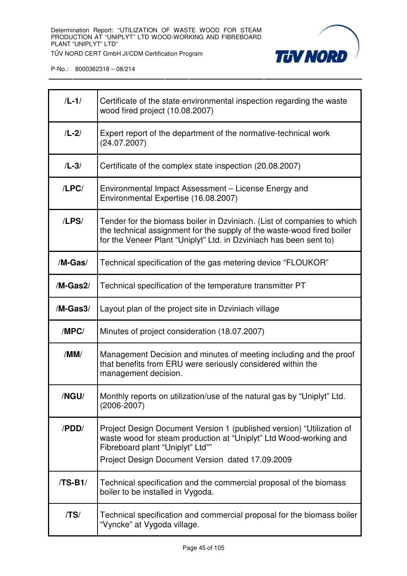

| $/L-1/$     | Certificate of the state environmental inspection regarding the waste<br>wood fired project (10.08.2007)                                                                                                                           |
|-------------|------------------------------------------------------------------------------------------------------------------------------------------------------------------------------------------------------------------------------------|
| $/L-2/$     | Expert report of the department of the normative-technical work<br>(24.07.2007)                                                                                                                                                    |
| $/L-3/$     | Certificate of the complex state inspection (20.08.2007)                                                                                                                                                                           |
| /LPC/       | Environmental Impact Assessment - License Energy and<br>Environmental Expertise (16.08.2007)                                                                                                                                       |
| $1$ LPS $/$ | Tender for the biomass boiler in Dzviniach. (List of companies to which<br>the technical assignment for the supply of the waste-wood fired boiler<br>for the Veneer Plant "Uniplyt" Ltd. in Dzviniach has been sent to)            |
| /M-Gas/     | Technical specification of the gas metering device "FLOUKOR"                                                                                                                                                                       |
| $/M-Gas2/$  | Technical specification of the temperature transmitter PT                                                                                                                                                                          |
| /M-Gas3/    | Layout plan of the project site in Dzviniach village                                                                                                                                                                               |
| /MPC/       | Minutes of project consideration (18.07.2007)                                                                                                                                                                                      |
| /MM/        | Management Decision and minutes of meeting including and the proof<br>that benefits from ERU were seriously considered within the<br>management decision.                                                                          |
| /NGU/       | Monthly reports on utilization/use of the natural gas by "Uniplyt" Ltd.<br>$(2006 - 2007)$                                                                                                                                         |
| /PDD/       | Project Design Document Version 1 (published version) "Utilization of<br>waste wood for steam production at "Uniplyt" Ltd Wood-working and<br>Fibreboard plant "Uniplyt" Ltd""<br>Project Design Document Version dated 17.09.2009 |
| /TS-B1/     | Technical specification and the commercial proposal of the biomass<br>boiler to be installed in Vygoda.                                                                                                                            |
| /TS/        | Technical specification and commercial proposal for the biomass boiler<br>"Vyncke" at Vygoda village.                                                                                                                              |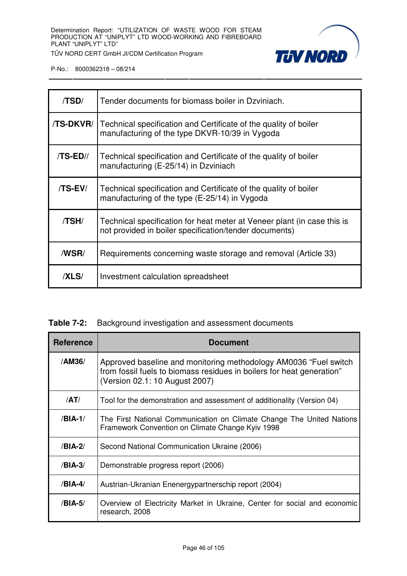

| /TSD/       | Tender documents for biomass boiler in Dzviniach.                                                                                 |
|-------------|-----------------------------------------------------------------------------------------------------------------------------------|
| /TS-DKVR/   | Technical specification and Certificate of the quality of boiler<br>manufacturing of the type DKVR-10/39 in Vygoda                |
| /TS-ED//    | Technical specification and Certificate of the quality of boiler<br>manufacturing (E-25/14) in Dzviniach                          |
| /TS-EV/     | Technical specification and Certificate of the quality of boiler<br>manufacturing of the type (E-25/14) in Vygoda                 |
| /TSH/       | Technical specification for heat meter at Veneer plant (in case this is<br>not provided in boiler specification/tender documents) |
| /WSR/       | Requirements concerning waste storage and removal (Article 33)                                                                    |
| <b>XLS/</b> | Investment calculation spreadsheet                                                                                                |

|  |  |  |  | <b>Table 7-2:</b> Background investigation and assessment documents |  |
|--|--|--|--|---------------------------------------------------------------------|--|
|--|--|--|--|---------------------------------------------------------------------|--|

| <b>Reference</b> | <b>Document</b>                                                                                                                                                             |
|------------------|-----------------------------------------------------------------------------------------------------------------------------------------------------------------------------|
| /AM36/           | Approved baseline and monitoring methodology AM0036 "Fuel switch<br>from fossil fuels to biomass residues in boilers for heat generation"<br>(Version 02.1: 10 August 2007) |
| /AT/             | Tool for the demonstration and assessment of additionality (Version 04)                                                                                                     |
| /BIA-1/          | The First National Communication on Climate Change The United Nations<br>Framework Convention on Climate Change Kyiv 1998                                                   |
| /BIA-2/          | Second National Communication Ukraine (2006)                                                                                                                                |
| /BIA-3/          | Demonstrable progress report (2006)                                                                                                                                         |
| $/BIA-4/$        | Austrian-Ukranian Enenergypartnerschip report (2004)                                                                                                                        |
| /BIA-5/          | Overview of Electricity Market in Ukraine, Center for social and economic<br>research, 2008                                                                                 |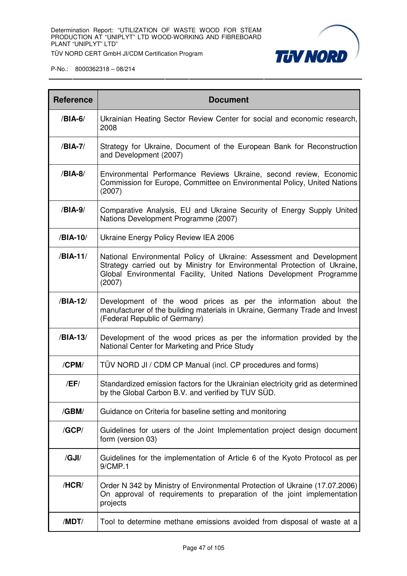

| <b>Reference</b> | <b>Document</b>                                                                                                                                                                                                                    |
|------------------|------------------------------------------------------------------------------------------------------------------------------------------------------------------------------------------------------------------------------------|
| /BIA-6/          | Ukrainian Heating Sector Review Center for social and economic research,<br>2008                                                                                                                                                   |
| /BIA-7/          | Strategy for Ukraine, Document of the European Bank for Reconstruction<br>and Development (2007)                                                                                                                                   |
| /BIA-8/          | Environmental Performance Reviews Ukraine, second review, Economic<br>Commission for Europe, Committee on Environmental Policy, United Nations<br>(2007)                                                                           |
| /BIA-9/          | Comparative Analysis, EU and Ukraine Security of Energy Supply United<br>Nations Development Programme (2007)                                                                                                                      |
| /BIA-10/         | Ukraine Energy Policy Review IEA 2006                                                                                                                                                                                              |
| /BIA-11/         | National Environmental Policy of Ukraine: Assessment and Development<br>Strategy carried out by Ministry for Environmental Protection of Ukraine,<br>Global Environmental Facility, United Nations Development Programme<br>(2007) |
| /BIA-12/         | Development of the wood prices as per the information about the<br>manufacturer of the building materials in Ukraine, Germany Trade and Invest<br>(Federal Republic of Germany)                                                    |
| /BIA-13/         | Development of the wood prices as per the information provided by the<br>National Center for Marketing and Price Study                                                                                                             |
| /CPM/            | TÜV NORD JI / CDM CP Manual (incl. CP procedures and forms)                                                                                                                                                                        |
| /EF/             | Standardized emission factors for the Ukrainian electricity grid as determined<br>by the Global Carbon B.V. and verified by TUV SUD.                                                                                               |
| /GBM/            | Guidance on Criteria for baseline setting and monitoring                                                                                                                                                                           |
| /GCP/            | Guidelines for users of the Joint Implementation project design document<br>form (version 03)                                                                                                                                      |
| /GJI/            | Guidelines for the implementation of Article 6 of the Kyoto Protocol as per<br>9/CMP.1                                                                                                                                             |
| /HCR/            | Order N 342 by Ministry of Environmental Protection of Ukraine (17.07.2006)<br>On approval of requirements to preparation of the joint implementation<br>projects                                                                  |
| /MDT/            | Tool to determine methane emissions avoided from disposal of waste at a                                                                                                                                                            |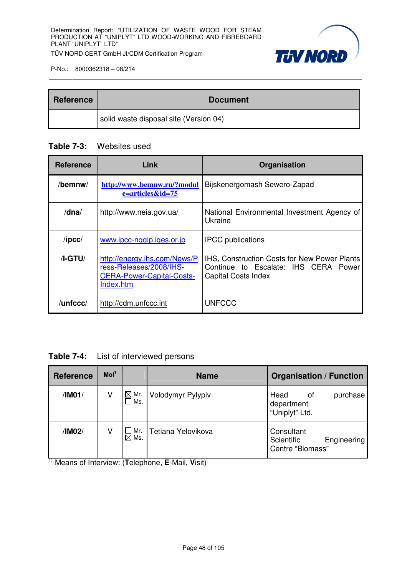

| <b>Reference</b> | <b>Document</b>                        |
|------------------|----------------------------------------|
|                  | solid waste disposal site (Version 04) |

# **Table 7-3:** Websites used

| <b>Reference</b> | Link                                                                                                     | Organisation                                                                                                              |
|------------------|----------------------------------------------------------------------------------------------------------|---------------------------------------------------------------------------------------------------------------------------|
| /bemnw/          | http://www.bemnw.ru/?modul<br>$e=$ articles $&$ id=75                                                    | Bijskenergomash Sewero-Zapad                                                                                              |
| $/d$ na $/$      | http://www.neia.gov.ua/                                                                                  | National Environmental Investment Agency of<br>Ukraine                                                                    |
| $/$ ipcc $/$     | www.ipcc-nggip.iges.or.jp                                                                                | <b>IPCC</b> publications                                                                                                  |
| $/I-GTU/$        | http://energy.ihs.com/News/P<br>ress-Releases/2008/IHS-<br><b>CERA-Power-Capital-Costs-</b><br>Index.htm | <b>IHS, Construction Costs for New Power Plants</b><br>Continue to Escalate: IHS CERA Power<br><b>Capital Costs Index</b> |
| /unfccc/         | http://cdm.unfccc.int                                                                                    | <b>UNFCCC</b>                                                                                                             |

**Table 7-4:** List of interviewed persons

| <b>Reference</b> | Mol <sup>1</sup> |                                  | <b>Name</b>        | <b>Organisation / Function</b>                              |
|------------------|------------------|----------------------------------|--------------------|-------------------------------------------------------------|
| /IM01/           | V                | $\boxtimes$ Mr.<br>∃Ms.          | Volodymyr Pylypiv  | Head<br>purchase<br>0f<br>department<br>"Uniplyt" Ltd.      |
| /IM02/           | ٧                | $\square$ Mr.<br>$\boxtimes$ Ms. | Tetiana Yelovikova | Consultant<br>Scientific<br>Engineering<br>Centre "Biomass" |

1) Means of Interview: (**T**elephone, **E**-Mail, **V**isit)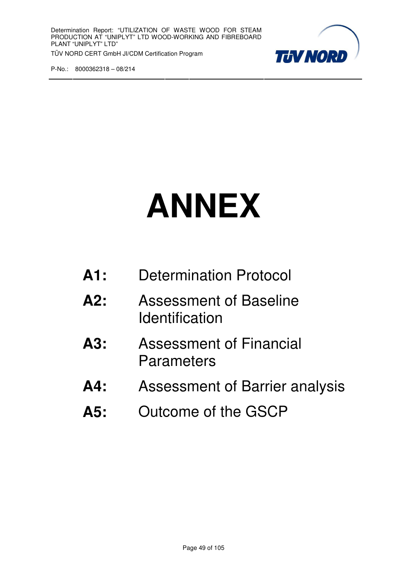

# **ANNEX**

| A1: | <b>Determination Protocol</b> |
|-----|-------------------------------|
|-----|-------------------------------|

- **A2:** Assessment of Baseline **Identification**
- **A3:** Assessment of Financial **Parameters**
- **A4:** Assessment of Barrier analysis
- **A5:** Outcome of the GSCP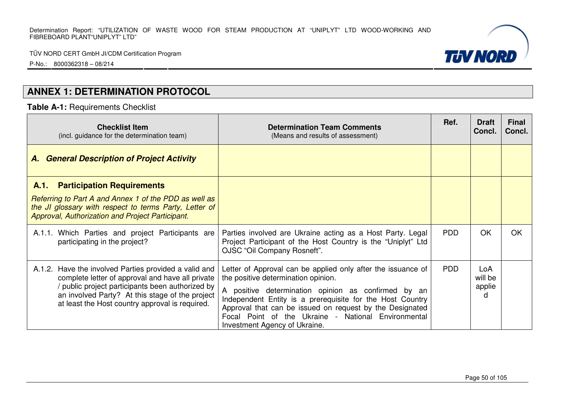P-No.: 8000362318 – 08/214

# **ANNEX 1: DETERMINATION PROTOCOL**

**Table A-1:** Requirements Checklist

| <b>Checklist Item</b><br>(incl. guidance for the determination team)                                                                                                                                                                                              | <b>Determination Team Comments</b><br>(Means and results of assessment)                                                                                                                                                                                                                                                                                                     | Ref.       | <b>Draft</b><br>Concl.                   | <b>Final</b><br>Concl. |
|-------------------------------------------------------------------------------------------------------------------------------------------------------------------------------------------------------------------------------------------------------------------|-----------------------------------------------------------------------------------------------------------------------------------------------------------------------------------------------------------------------------------------------------------------------------------------------------------------------------------------------------------------------------|------------|------------------------------------------|------------------------|
| A. General Description of Project Activity                                                                                                                                                                                                                        |                                                                                                                                                                                                                                                                                                                                                                             |            |                                          |                        |
| <b>Participation Requirements</b><br>A.1.                                                                                                                                                                                                                         |                                                                                                                                                                                                                                                                                                                                                                             |            |                                          |                        |
| Referring to Part A and Annex 1 of the PDD as well as<br>the JI glossary with respect to terms Party, Letter of<br><b>Approval, Authorization and Project Participant.</b>                                                                                        |                                                                                                                                                                                                                                                                                                                                                                             |            |                                          |                        |
| A.1.1. Which Parties and project Participants are<br>participating in the project?                                                                                                                                                                                | Parties involved are Ukraine acting as a Host Party. Legal<br>Project Participant of the Host Country is the "Uniplyt" Ltd<br>OJSC "Oil Company Rosneft".                                                                                                                                                                                                                   | <b>PDD</b> | OK                                       | OK                     |
| A.1.2. Have the involved Parties provided a valid and<br>complete letter of approval and have all private<br>public project participants been authorized by<br>an involved Party? At this stage of the project<br>at least the Host country approval is required. | Letter of Approval can be applied only after the issuance of<br>the positive determination opinion.<br>A positive determination opinion as confirmed by an<br>Independent Entity is a prerequisite for the Host Country<br>Approval that can be issued on request by the Designated<br>Focal Point of the Ukraine - National Environmental<br>Investment Agency of Ukraine. | <b>PDD</b> | LoA<br>will be<br>applie<br><sub>U</sub> |                        |

Page 50 of 105

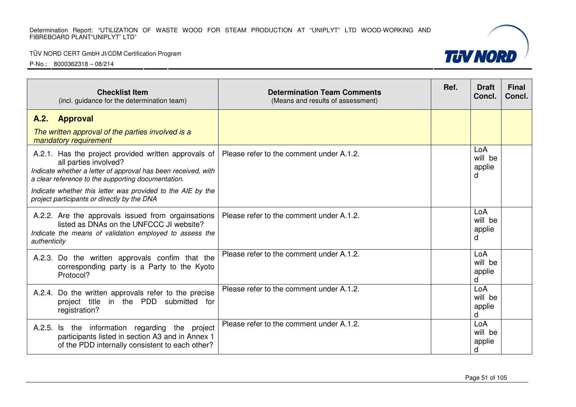#### TÜV NORD CERT GmbH JI/CDM Certification Program



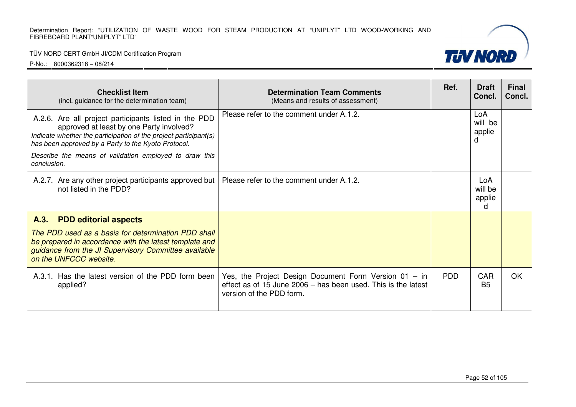## TÜV NORD CERT GmbH JI/CDM Certification Program

| <b>Checklist Item</b><br>(incl. guidance for the determination team)                                                                                                                                                                                                                   | <b>Determination Team Comments</b><br>(Means and results of assessment)                                                                            | Ref.       | <b>Draft</b><br>Concl.        | <b>Final</b><br>Concl. |
|----------------------------------------------------------------------------------------------------------------------------------------------------------------------------------------------------------------------------------------------------------------------------------------|----------------------------------------------------------------------------------------------------------------------------------------------------|------------|-------------------------------|------------------------|
| A.2.6. Are all project participants listed in the PDD<br>approved at least by one Party involved?<br>Indicate whether the participation of the project participant(s)<br>has been approved by a Party to the Kyoto Protocol.<br>Describe the means of validation employed to draw this | Please refer to the comment under A.1.2.                                                                                                           |            | LoA<br>will be<br>applie<br>d |                        |
| conclusion.                                                                                                                                                                                                                                                                            |                                                                                                                                                    |            |                               |                        |
| A.2.7. Are any other project participants approved but<br>not listed in the PDD?                                                                                                                                                                                                       | Please refer to the comment under A.1.2.                                                                                                           |            | LoA<br>will be<br>applie<br>d |                        |
| A.3.<br><b>PDD editorial aspects</b>                                                                                                                                                                                                                                                   |                                                                                                                                                    |            |                               |                        |
| The PDD used as a basis for determination PDD shall<br>be prepared in accordance with the latest template and<br>guidance from the JI Supervisory Committee available<br>on the UNFCCC website.                                                                                        |                                                                                                                                                    |            |                               |                        |
| A.3.1. Has the latest version of the PDD form been<br>applied?                                                                                                                                                                                                                         | Yes, the Project Design Document Form Version 01 - in<br>effect as of 15 June 2006 – has been used. This is the latest<br>version of the PDD form. | <b>PDD</b> | <b>GAR</b><br><b>B5</b>       | <b>OK</b>              |

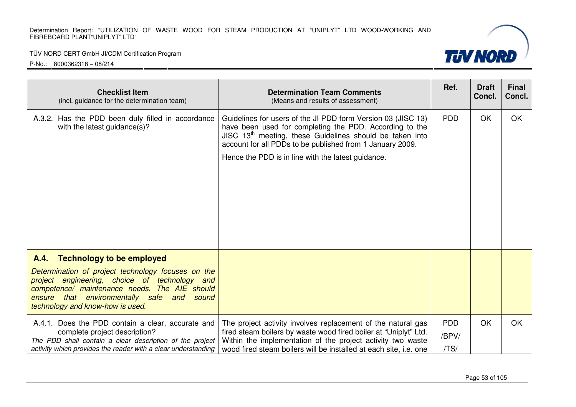## TÜV NORD CERT GmbH JI/CDM Certification Program



| <b>Checklist Item</b><br>(incl. guidance for the determination team)                                                                                                                                                                                                               | <b>Determination Team Comments</b><br>(Means and results of assessment)                                                                                                                                                                                                                                  | Ref.                        | <b>Draft</b><br>Concl. | <b>Final</b><br>Concl. |
|------------------------------------------------------------------------------------------------------------------------------------------------------------------------------------------------------------------------------------------------------------------------------------|----------------------------------------------------------------------------------------------------------------------------------------------------------------------------------------------------------------------------------------------------------------------------------------------------------|-----------------------------|------------------------|------------------------|
| A.3.2. Has the PDD been duly filled in accordance<br>with the latest guidance(s)?                                                                                                                                                                                                  | Guidelines for users of the JI PDD form Version 03 (JISC 13)<br>have been used for completing the PDD. According to the<br>JISC $13th$ meeting, these Guidelines should be taken into<br>account for all PDDs to be published from 1 January 2009.<br>Hence the PDD is in line with the latest guidance. | <b>PDD</b>                  | OK                     | OK                     |
| <b>Technology to be employed</b><br>A.4.<br>Determination of project technology focuses on the<br>project engineering, choice of technology and<br>competence/ maintenance needs. The AIE should<br>ensure that environmentally safe and sound<br>technology and know-how is used. |                                                                                                                                                                                                                                                                                                          |                             |                        |                        |
| A.4.1. Does the PDD contain a clear, accurate and<br>complete project description?<br>The PDD shall contain a clear description of the project<br>activity which provides the reader with a clear understanding                                                                    | The project activity involves replacement of the natural gas<br>fired steam boilers by waste wood fired boiler at "Uniplyt" Ltd.<br>Within the implementation of the project activity two waste<br>wood fired steam boilers will be installed at each site, i.e. one                                     | <b>PDD</b><br>/BPV/<br>/TS/ | <b>OK</b>              | <b>OK</b>              |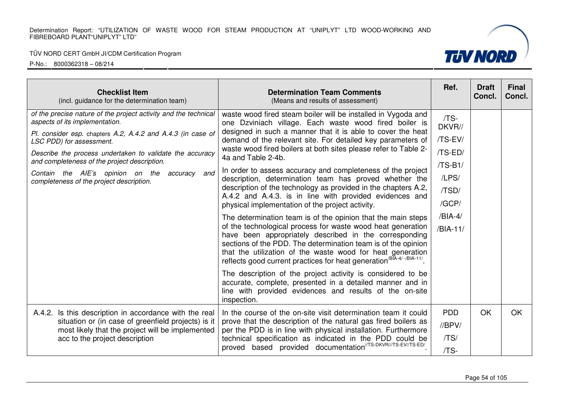#### TÜV NORD CERT GmbH JI/CDM Certification Program



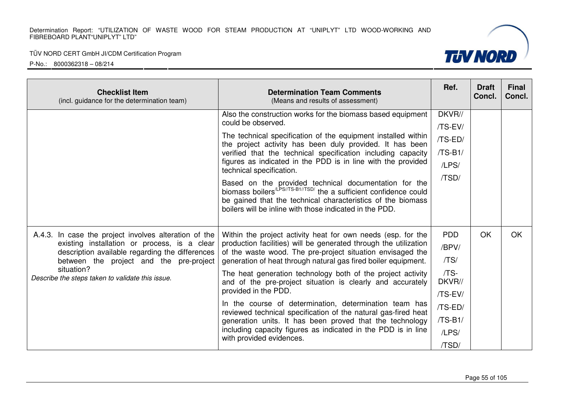#### TÜV NORD CERT GmbH JI/CDM Certification Program



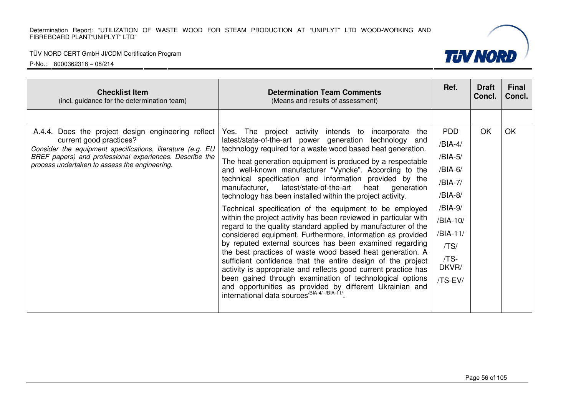#### TÜV NORD CERT GmbH JI/CDM Certification Program

P-No.: 8000362318 – 08/214



**TUV NORD**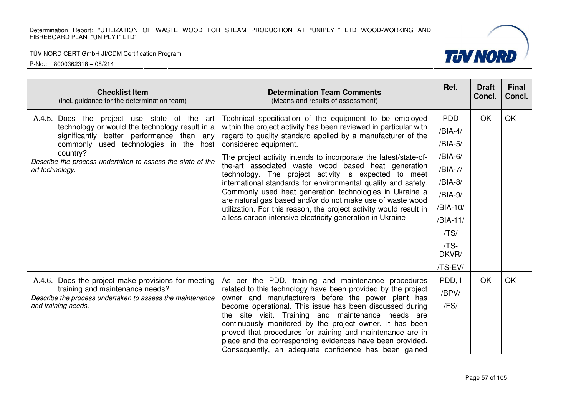

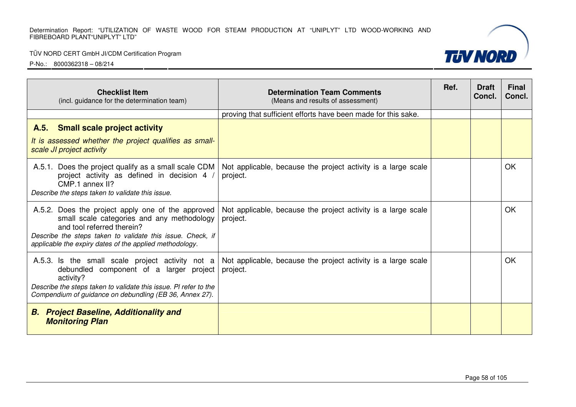## TÜV NORD CERT GmbH JI/CDM Certification Program

| <b>Checklist Item</b><br>(incl. guidance for the determination team)                                                                                                                                                                                   | <b>Determination Team Comments</b><br>(Means and results of assessment)   | Ref. | <b>Draft</b><br>Concl. | <b>Final</b><br>Concl. |
|--------------------------------------------------------------------------------------------------------------------------------------------------------------------------------------------------------------------------------------------------------|---------------------------------------------------------------------------|------|------------------------|------------------------|
|                                                                                                                                                                                                                                                        | proving that sufficient efforts have been made for this sake.             |      |                        |                        |
| <b>Small scale project activity</b><br>A.5.<br>It is assessed whether the project qualifies as small-<br>scale JI project activity                                                                                                                     |                                                                           |      |                        |                        |
| A.5.1. Does the project qualify as a small scale CDM<br>project activity as defined in decision 4 /<br>CMP.1 annex II?<br>Describe the steps taken to validate this issue.                                                                             | Not applicable, because the project activity is a large scale<br>project. |      |                        | <b>OK</b>              |
| A.5.2. Does the project apply one of the approved<br>small scale categories and any methodology<br>and tool referred therein?<br>Describe the steps taken to validate this issue. Check, if<br>applicable the expiry dates of the applied methodology. | Not applicable, because the project activity is a large scale<br>project. |      |                        | <b>OK</b>              |
| A.5.3. Is the small scale project activity not a<br>debundled component of a larger project<br>activity?<br>Describe the steps taken to validate this issue. PI refer to the<br>Compendium of guidance on debundling (EB 36, Annex 27).                | Not applicable, because the project activity is a large scale<br>project. |      |                        | OK                     |
| <b>B.</b> Project Baseline, Additionality and<br><b>Monitoring Plan</b>                                                                                                                                                                                |                                                                           |      |                        |                        |

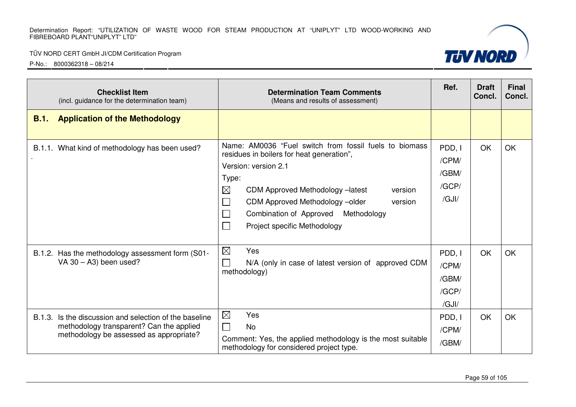#### TÜV NORD CERT GmbH JI/CDM Certification Program



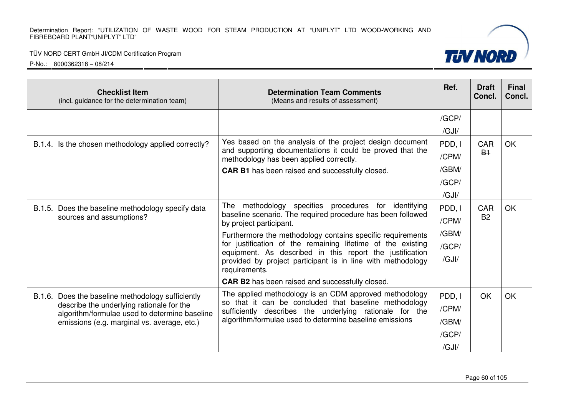## TÜV NORD CERT GmbH JI/CDM Certification Program

P-No.: 8000362318 – 08/214

| <b>Checklist Item</b><br>(incl. guidance for the determination team)                                                                                                                           | <b>Determination Team Comments</b><br>(Means and results of assessment)                                                                                                                                                               | Ref.   | <b>Draft</b><br>Concl.       | <b>Final</b><br>Concl. |
|------------------------------------------------------------------------------------------------------------------------------------------------------------------------------------------------|---------------------------------------------------------------------------------------------------------------------------------------------------------------------------------------------------------------------------------------|--------|------------------------------|------------------------|
|                                                                                                                                                                                                |                                                                                                                                                                                                                                       | /GCP/  |                              |                        |
|                                                                                                                                                                                                |                                                                                                                                                                                                                                       | /GJI/  |                              |                        |
| B.1.4. Is the chosen methodology applied correctly?                                                                                                                                            | Yes based on the analysis of the project design document                                                                                                                                                                              | PDD, I | <b>GAR</b><br>B <sub>1</sub> | <b>OK</b>              |
|                                                                                                                                                                                                | and supporting documentations it could be proved that the<br>methodology has been applied correctly.                                                                                                                                  | /CPM/  |                              |                        |
|                                                                                                                                                                                                | <b>CAR B1</b> has been raised and successfully closed.                                                                                                                                                                                | /GBM/  |                              |                        |
|                                                                                                                                                                                                |                                                                                                                                                                                                                                       | /GCP/  |                              |                        |
|                                                                                                                                                                                                |                                                                                                                                                                                                                                       | /GJI/  |                              |                        |
| B.1.5. Does the baseline methodology specify data                                                                                                                                              | The<br>methodology specifies procedures for identifying<br>baseline scenario. The required procedure has been followed<br>by project participant.                                                                                     | PDD, I | <b>GAR</b>                   | OK                     |
| sources and assumptions?                                                                                                                                                                       |                                                                                                                                                                                                                                       | /CPM/  | <b>B2</b>                    |                        |
|                                                                                                                                                                                                | Furthermore the methodology contains specific requirements                                                                                                                                                                            | /GBM/  |                              |                        |
|                                                                                                                                                                                                | for justification of the remaining lifetime of the existing<br>equipment. As described in this report the justification<br>provided by project participant is in line with methodology<br>requirements.                               | /GCP/  |                              |                        |
|                                                                                                                                                                                                |                                                                                                                                                                                                                                       | /GJI/  |                              |                        |
|                                                                                                                                                                                                | <b>CAR B2</b> has been raised and successfully closed.                                                                                                                                                                                |        |                              |                        |
| B.1.6. Does the baseline methodology sufficiently<br>describe the underlying rationale for the<br>algorithm/formulae used to determine baseline<br>emissions (e.g. marginal vs. average, etc.) | The applied methodology is an CDM approved methodology<br>so that it can be concluded that baseline methodology<br>sufficiently describes the underlying rationale for the<br>algorithm/formulae used to determine baseline emissions | PDD, I | OK                           | <b>OK</b>              |
|                                                                                                                                                                                                |                                                                                                                                                                                                                                       | /CPM/  |                              |                        |
|                                                                                                                                                                                                |                                                                                                                                                                                                                                       | /GBM/  |                              |                        |
|                                                                                                                                                                                                |                                                                                                                                                                                                                                       | /GCP/  |                              |                        |
|                                                                                                                                                                                                |                                                                                                                                                                                                                                       | /GJI/  |                              |                        |

Page 60 of 105

**TUV NORD**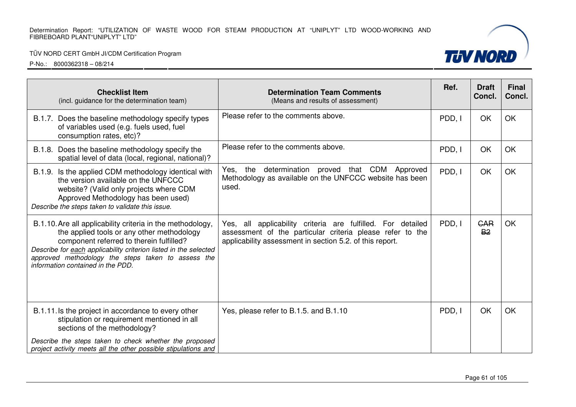## TÜV NORD CERT GmbH JI/CDM Certification Program

| <b>Checklist Item</b><br>(incl. guidance for the determination team)                                                                                                                                                                                                                                                | <b>Determination Team Comments</b><br>(Means and results of assessment)                                                                                                              | Ref.   | <b>Draft</b><br>Concl.  | <b>Final</b><br>Concl. |
|---------------------------------------------------------------------------------------------------------------------------------------------------------------------------------------------------------------------------------------------------------------------------------------------------------------------|--------------------------------------------------------------------------------------------------------------------------------------------------------------------------------------|--------|-------------------------|------------------------|
| B.1.7. Does the baseline methodology specify types<br>of variables used (e.g. fuels used, fuel<br>consumption rates, etc)?                                                                                                                                                                                          | Please refer to the comments above.                                                                                                                                                  | PDD, I | OK                      | OK                     |
| B.1.8. Does the baseline methodology specify the<br>spatial level of data (local, regional, national)?                                                                                                                                                                                                              | Please refer to the comments above.                                                                                                                                                  | PDD, I | OK                      | OK                     |
| B.1.9. Is the applied CDM methodology identical with<br>the version available on the UNFCCC<br>website? (Valid only projects where CDM<br>Approved Methodology has been used)<br>Describe the steps taken to validate this issue.                                                                                   | determination proved that CDM Approved<br>Yes,<br>the<br>Methodology as available on the UNFCCC website has been<br>used.                                                            | PDD, I | OK                      | OK                     |
| B.1.10. Are all applicability criteria in the methodology,<br>the applied tools or any other methodology<br>component referred to therein fulfilled?<br>Describe for each applicability criterion listed in the selected<br>approved methodology the steps taken to assess the<br>information contained in the PDD. | Yes, all applicability criteria are fulfilled. For detailed<br>assessment of the particular criteria please refer to the<br>applicability assessment in section 5.2. of this report. | PDD, I | <b>GAR</b><br><b>B2</b> | OK                     |
| B.1.11. Is the project in accordance to every other<br>stipulation or requirement mentioned in all<br>sections of the methodology?                                                                                                                                                                                  | Yes, please refer to B.1.5. and B.1.10                                                                                                                                               | PDD, I | OK                      | OK                     |
| Describe the steps taken to check whether the proposed<br>project activity meets all the other possible stipulations and                                                                                                                                                                                            |                                                                                                                                                                                      |        |                         |                        |

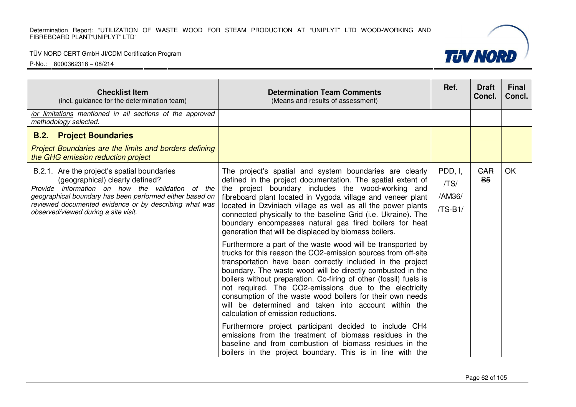#### TÜV NORD CERT GmbH JI/CDM Certification Program



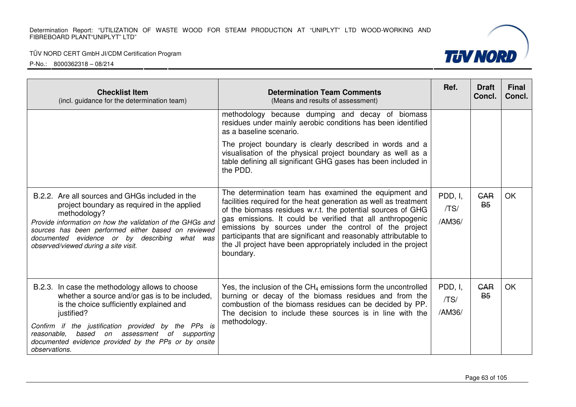| <b>Checklist Item</b><br>(incl. guidance for the determination team)                                                                                                                                                                                                                                                                               | <b>Determination Team Comments</b><br>(Means and results of assessment)                                                                                                                                                                                                                                                                                                                                                                                            | Ref.                      | <b>Draft</b><br>Concl.             | <b>Final</b><br>Concl. |
|----------------------------------------------------------------------------------------------------------------------------------------------------------------------------------------------------------------------------------------------------------------------------------------------------------------------------------------------------|--------------------------------------------------------------------------------------------------------------------------------------------------------------------------------------------------------------------------------------------------------------------------------------------------------------------------------------------------------------------------------------------------------------------------------------------------------------------|---------------------------|------------------------------------|------------------------|
|                                                                                                                                                                                                                                                                                                                                                    | methodology because dumping and decay of biomass<br>residues under mainly aerobic conditions has been identified<br>as a baseline scenario.                                                                                                                                                                                                                                                                                                                        |                           |                                    |                        |
|                                                                                                                                                                                                                                                                                                                                                    | The project boundary is clearly described in words and a<br>visualisation of the physical project boundary as well as a<br>table defining all significant GHG gases has been included in<br>the PDD.                                                                                                                                                                                                                                                               |                           |                                    |                        |
| B.2.2. Are all sources and GHGs included in the<br>project boundary as required in the applied<br>methodology?<br>Provide information on how the validation of the GHGs and<br>sources has been performed either based on reviewed<br>documented evidence or by describing<br>what was<br>observed/viewed during a site visit.                     | The determination team has examined the equipment and<br>facilities required for the heat generation as well as treatment<br>of the biomass residues w.r.t. the potential sources of GHG<br>gas emissions. It could be verified that all anthropogenic<br>emissions by sources under the control of the project<br>participants that are significant and reasonably attributable to<br>the JI project have been appropriately included in the project<br>boundary. | PDD, I,<br>/TS/<br>/AM36/ | GAR<br><b>B<sub>5</sub></b>        | <b>OK</b>              |
| B.2.3. In case the methodology allows to choose<br>whether a source and/or gas is to be included,<br>is the choice sufficiently explained and<br>justified?<br>Confirm if the justification provided by the PPs is<br>based on assessment<br>reasonable,<br>of supporting<br>documented evidence provided by the PPs or by onsite<br>observations. | Yes, the inclusion of the $CH_4$ emissions form the uncontrolled<br>burning or decay of the biomass residues and from the<br>combustion of the biomass residues can be decided by PP.<br>The decision to include these sources is in line with the<br>methodology.                                                                                                                                                                                                 | PDD, I,<br>/TS/<br>/AM36/ | <b>GAR</b><br><b>B<sub>5</sub></b> | <b>OK</b>              |

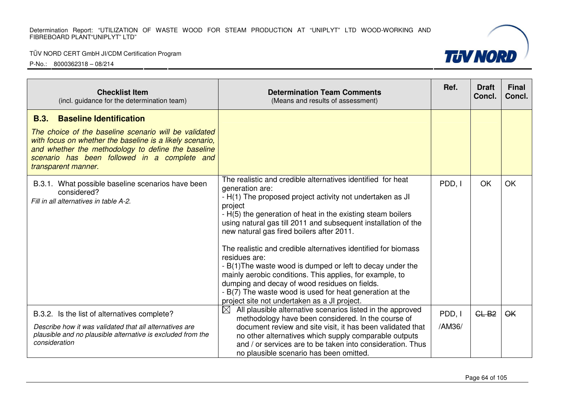#### TÜV NORD CERT GmbH JI/CDM Certification Program



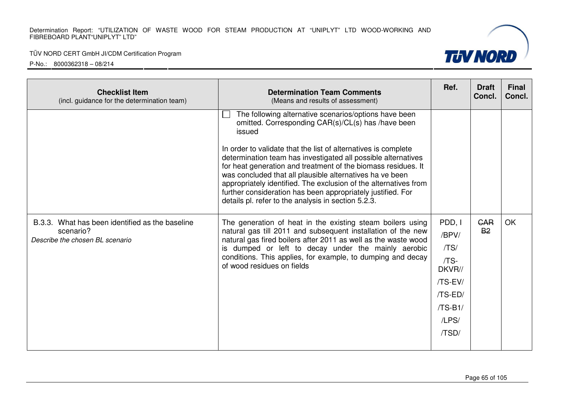#### TÜV NORD CERT GmbH JI/CDM Certification Program



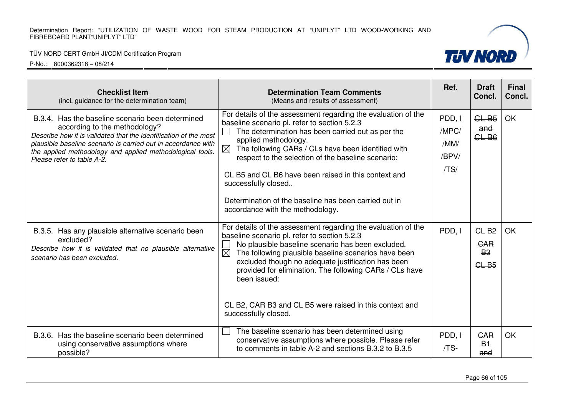#### TÜV NORD CERT GmbH JI/CDM Certification Program



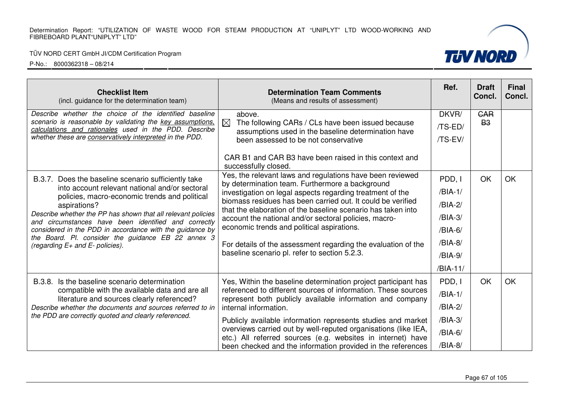#### TÜV NORD CERT GmbH JI/CDM Certification Program



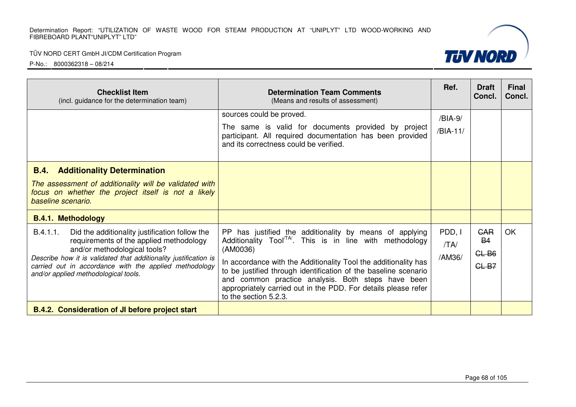| <b>Checklist Item</b><br>(incl. guidance for the determination team)                                                                                                                                                                                                                                        | <b>Determination Team Comments</b><br>(Means and results of assessment)                                                                                                                                                                                                                                                                                                                                                           | Ref.                     | <b>Draft</b><br>Concl.                        | <b>Final</b><br>Concl. |
|-------------------------------------------------------------------------------------------------------------------------------------------------------------------------------------------------------------------------------------------------------------------------------------------------------------|-----------------------------------------------------------------------------------------------------------------------------------------------------------------------------------------------------------------------------------------------------------------------------------------------------------------------------------------------------------------------------------------------------------------------------------|--------------------------|-----------------------------------------------|------------------------|
|                                                                                                                                                                                                                                                                                                             | sources could be proved.<br>The same is valid for documents provided by project<br>participant. All required documentation has been provided<br>and its correctness could be verified.                                                                                                                                                                                                                                            | /BIA-9/<br>/BIA-11/      |                                               |                        |
| <b>B.4.</b> Additionality Determination<br>The assessment of additionality will be validated with<br>focus on whether the project itself is not a likely<br>baseline scenario.<br><b>B.4.1. Methodology</b>                                                                                                 |                                                                                                                                                                                                                                                                                                                                                                                                                                   |                          |                                               |                        |
| B.4.1.1.<br>Did the additionality justification follow the<br>requirements of the applied methodology<br>and/or methodological tools?<br>Describe how it is validated that additionality justification is<br>carried out in accordance with the applied methodology<br>and/or applied methodological tools. | PP has justified the additionality by means of applying<br>Additionality Tool <sup>TA</sup> . This is in line with methodology<br>(AM0036)<br>In accordance with the Additionality Tool the additionality has<br>to be justified through identification of the baseline scenario<br>and common practice analysis. Both steps have been<br>appropriately carried out in the PDD. For details please refer<br>to the section 5.2.3. | PDD, I<br>/TA/<br>/AM36/ | <b>CAR</b><br><b>B4</b><br>$GL-B6$<br>$GL-B7$ | <b>OK</b>              |
| <b>B.4.2. Consideration of JI before project start</b>                                                                                                                                                                                                                                                      |                                                                                                                                                                                                                                                                                                                                                                                                                                   |                          |                                               |                        |

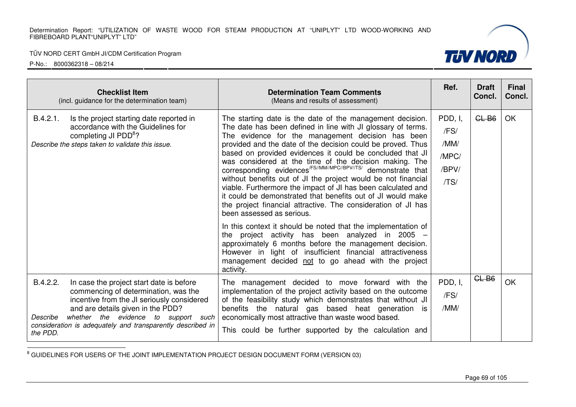P-No.: 8000362318 – 08/214



<sup>8</sup> GUIDELINES FOR USERS OF THE JOINT IMPLEMENTATION PROJECT DESIGN DOCUMENT FORM (VERSION 03)

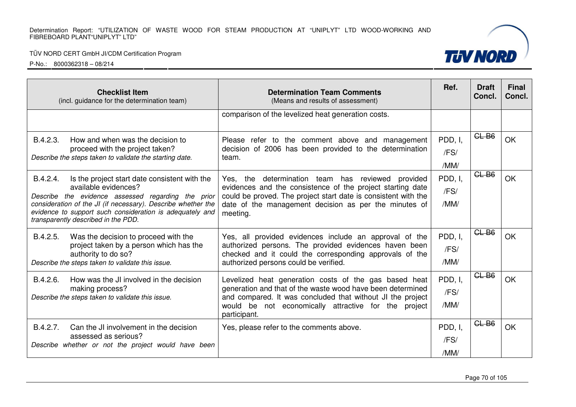| <b>Checklist Item</b><br>(incl. guidance for the determination team)                                                                                                                                                                                                                                       | <b>Determination Team Comments</b><br>(Means and results of assessment)                                                                                                                                                                                   | Ref.                    | <b>Draft</b><br>Concl. | <b>Final</b><br>Concl. |
|------------------------------------------------------------------------------------------------------------------------------------------------------------------------------------------------------------------------------------------------------------------------------------------------------------|-----------------------------------------------------------------------------------------------------------------------------------------------------------------------------------------------------------------------------------------------------------|-------------------------|------------------------|------------------------|
|                                                                                                                                                                                                                                                                                                            | comparison of the levelized heat generation costs.                                                                                                                                                                                                        |                         |                        |                        |
| B.4.2.3.<br>How and when was the decision to<br>proceed with the project taken?<br>Describe the steps taken to validate the starting date.                                                                                                                                                                 | Please refer to the comment above and management<br>decision of 2006 has been provided to the determination<br>team.                                                                                                                                      | PDD, I,<br>/FS/<br>/MM/ | CLB6                   | <b>OK</b>              |
| B.4.2.4.<br>Is the project start date consistent with the<br>available evidences?<br>Describe the evidence assessed regarding the prior<br>consideration of the JI (if necessary). Describe whether the<br>evidence to support such consideration is adequately and<br>transparently described in the PDD. | Yes, the determination team has reviewed provided<br>evidences and the consistence of the project starting date<br>could be proved. The project start date is consistent with the<br>date of the management decision as per the minutes of<br>meeting.    | PDD, I,<br>/FS/<br>/MM/ | $GL-B6$                | <b>OK</b>              |
| B.4.2.5.<br>Was the decision to proceed with the<br>project taken by a person which has the<br>authority to do so?<br>Describe the steps taken to validate this issue.                                                                                                                                     | Yes, all provided evidences include an approval of the<br>authorized persons. The provided evidences haven been<br>checked and it could the corresponding approvals of the<br>authorized persons could be verified.                                       | PDD, I,<br>/FS/<br>/MM/ | $GL-B6$                | <b>OK</b>              |
| B.4.2.6.<br>How was the JI involved in the decision<br>making process?<br>Describe the steps taken to validate this issue.                                                                                                                                                                                 | Levelized heat generation costs of the gas based heat<br>generation and that of the waste wood have been determined<br>and compared. It was concluded that without JI the project<br>would be not economically attractive for the project<br>participant. | PDD, I,<br>/FS/<br>/MM/ | $CL-B6$                | <b>OK</b>              |
| B.4.2.7.<br>Can the JI involvement in the decision<br>assessed as serious?<br>Describe whether or not the project would have been                                                                                                                                                                          | Yes, please refer to the comments above.                                                                                                                                                                                                                  | PDD, I,<br>/FS/<br>/MM/ | $GL-B6$                | <b>OK</b>              |

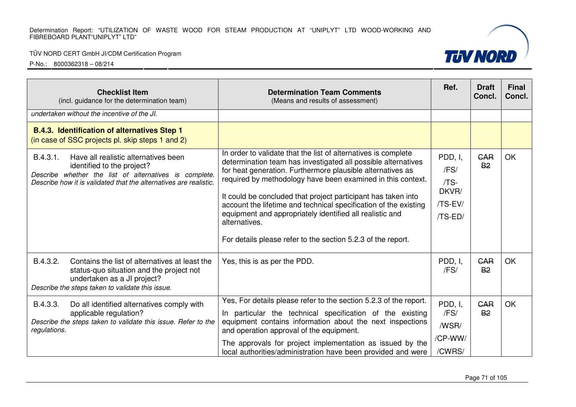#### TÜV NORD CERT GmbH JI/CDM Certification Program



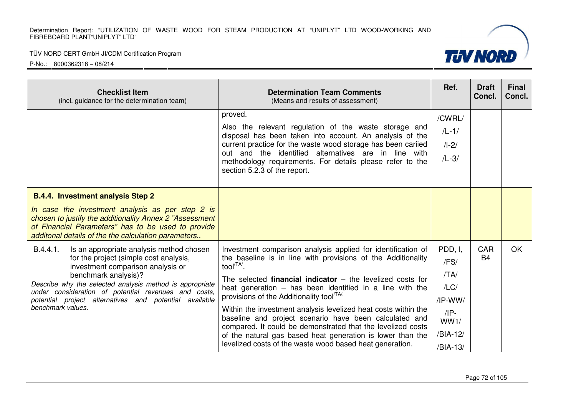

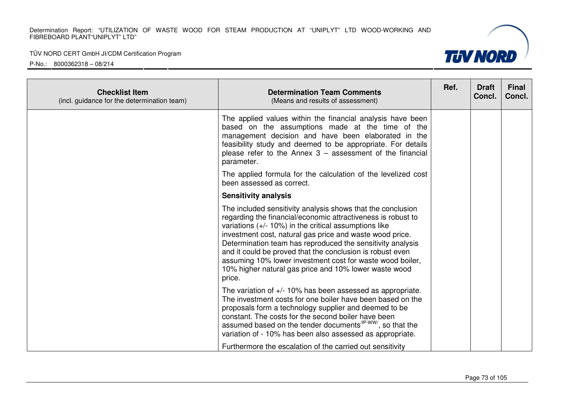#### TÜV NORD CERT GmbH JI/CDM Certification Program



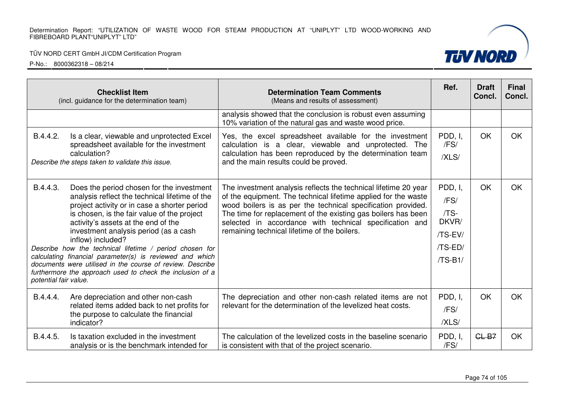## TÜV NORD CERT GmbH JI/CDM Certification Program

|                                   | <b>Checklist Item</b><br>(incl. guidance for the determination team)                                                                                                                                                                                                                                                                                                                                                                                                                                                                             | <b>Determination Team Comments</b><br>(Means and results of assessment)                                                                                                                                                                                                                                                                                                       | Ref.                                                                      | <b>Draft</b><br>Concl. | <b>Final</b><br>Concl. |
|-----------------------------------|--------------------------------------------------------------------------------------------------------------------------------------------------------------------------------------------------------------------------------------------------------------------------------------------------------------------------------------------------------------------------------------------------------------------------------------------------------------------------------------------------------------------------------------------------|-------------------------------------------------------------------------------------------------------------------------------------------------------------------------------------------------------------------------------------------------------------------------------------------------------------------------------------------------------------------------------|---------------------------------------------------------------------------|------------------------|------------------------|
|                                   |                                                                                                                                                                                                                                                                                                                                                                                                                                                                                                                                                  | analysis showed that the conclusion is robust even assuming<br>10% variation of the natural gas and waste wood price.                                                                                                                                                                                                                                                         |                                                                           |                        |                        |
| B.4.4.2.                          | Is a clear, viewable and unprotected Excel<br>spreadsheet available for the investment<br>calculation?<br>Describe the steps taken to validate this issue.                                                                                                                                                                                                                                                                                                                                                                                       | Yes, the excel spreadsheet available for the investment<br>calculation is a clear, viewable and unprotected. The<br>calculation has been reproduced by the determination team<br>and the main results could be proved.                                                                                                                                                        | PDD, I,<br>/FS/<br>/XLS/                                                  | OK                     | OK                     |
| B.4.4.3.<br>potential fair value. | Does the period chosen for the investment<br>analysis reflect the technical lifetime of the<br>project activity or in case a shorter period<br>is chosen, is the fair value of the project<br>activity's assets at the end of the<br>investment analysis period (as a cash<br>inflow) included?<br>Describe how the technical lifetime / period chosen for<br>calculating financial parameter(s) is reviewed and which<br>documents were utilised in the course of review. Describe<br>furthermore the approach used to check the inclusion of a | The investment analysis reflects the technical lifetime 20 year<br>of the equipment. The technical lifetime applied for the waste<br>wood boilers is as per the technical specification provided.<br>The time for replacement of the existing gas boilers has been<br>selected in accordance with technical specification and<br>remaining technical lifetime of the boilers. | PDD, I,<br>/FS/<br>/TS-<br>DKVR/<br>/TS-EV/<br>$/TS$ -ED $/$<br>$/TS-B1/$ | <b>OK</b>              | <b>OK</b>              |
| B.4.4.4.                          | Are depreciation and other non-cash<br>related items added back to net profits for<br>the purpose to calculate the financial<br>indicator?                                                                                                                                                                                                                                                                                                                                                                                                       | The depreciation and other non-cash related items are not<br>relevant for the determination of the levelized heat costs.                                                                                                                                                                                                                                                      | PDD, I,<br>/FS/<br>/XLS/                                                  | <b>OK</b>              | <b>OK</b>              |
| B.4.4.5.                          | Is taxation excluded in the investment<br>analysis or is the benchmark intended for                                                                                                                                                                                                                                                                                                                                                                                                                                                              | The calculation of the levelized costs in the baseline scenario<br>is consistent with that of the project scenario.                                                                                                                                                                                                                                                           | PDD, I,<br>/FS/                                                           | $GL-B7$                | OK                     |

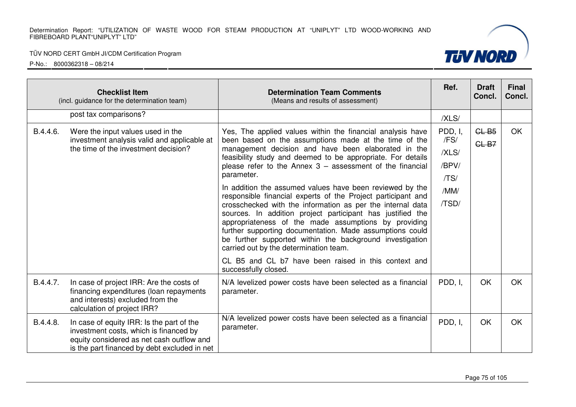#### TÜV NORD CERT GmbH JI/CDM Certification Program



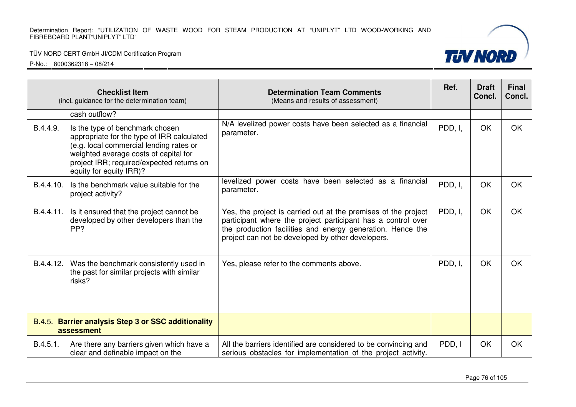## TÜV NORD CERT GmbH JI/CDM Certification Program

| <b>Checklist Item</b><br>(incl. guidance for the determination team) |                                                                                                                                                                                                                                           | <b>Determination Team Comments</b><br>(Means and results of assessment)                                                                                                                                                                           | Ref.    | <b>Draft</b><br>Concl. | <b>Final</b><br>Concl. |
|----------------------------------------------------------------------|-------------------------------------------------------------------------------------------------------------------------------------------------------------------------------------------------------------------------------------------|---------------------------------------------------------------------------------------------------------------------------------------------------------------------------------------------------------------------------------------------------|---------|------------------------|------------------------|
|                                                                      | cash outflow?                                                                                                                                                                                                                             |                                                                                                                                                                                                                                                   |         |                        |                        |
| B.4.4.9.                                                             | Is the type of benchmark chosen<br>appropriate for the type of IRR calculated<br>(e.g. local commercial lending rates or<br>weighted average costs of capital for<br>project IRR; required/expected returns on<br>equity for equity IRR)? | N/A levelized power costs have been selected as a financial<br>parameter.                                                                                                                                                                         | PDD, I, | OK                     | OK                     |
| B.4.4.10.                                                            | Is the benchmark value suitable for the<br>project activity?                                                                                                                                                                              | levelized power costs have been selected as a financial<br>parameter.                                                                                                                                                                             | PDD, I, | OK                     | <b>OK</b>              |
| B.4.4.11.                                                            | Is it ensured that the project cannot be<br>developed by other developers than the<br>PP?                                                                                                                                                 | Yes, the project is carried out at the premises of the project<br>participant where the project participant has a control over<br>the production facilities and energy generation. Hence the<br>project can not be developed by other developers. | PDD, I, | OK                     | <b>OK</b>              |
| B.4.4.12.                                                            | Was the benchmark consistently used in<br>the past for similar projects with similar<br>risks?                                                                                                                                            | Yes, please refer to the comments above.                                                                                                                                                                                                          | PDD, I, | OK                     | <b>OK</b>              |
| B.4.5. Barrier analysis Step 3 or SSC additionality<br>assessment    |                                                                                                                                                                                                                                           |                                                                                                                                                                                                                                                   |         |                        |                        |
| B.4.5.1.                                                             | Are there any barriers given which have a<br>clear and definable impact on the                                                                                                                                                            | All the barriers identified are considered to be convincing and<br>serious obstacles for implementation of the project activity.                                                                                                                  | PDD, I  | OK                     | OK                     |

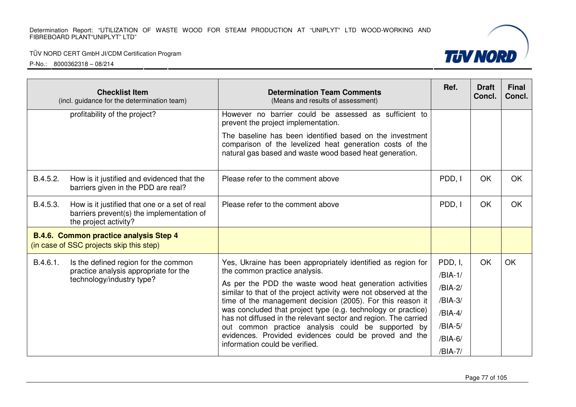#### TÜV NORD CERT GmbH JI/CDM Certification Program



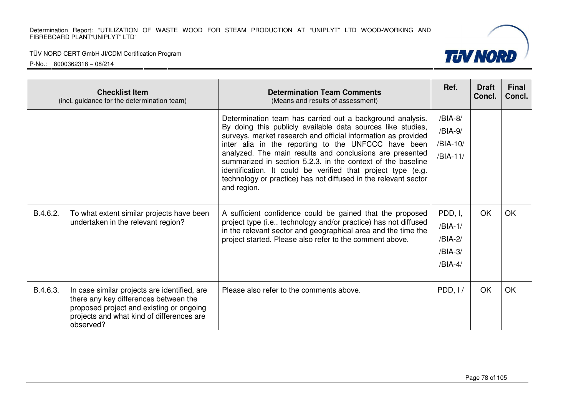

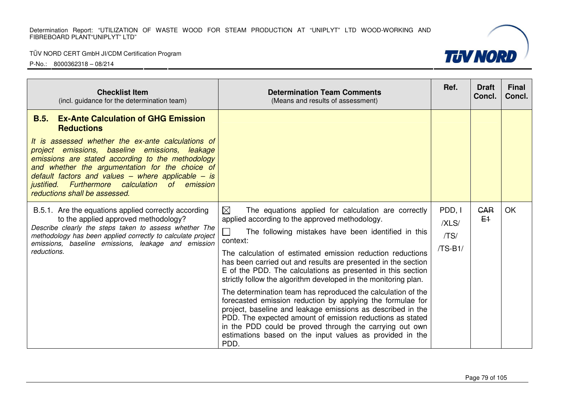## TÜV NORD CERT GmbH JI/CDM Certification Program

| <b>Checklist Item</b><br>(incl. guidance for the determination team)                                                                                                                                                                                                                                                                                                                                                             | <b>Determination Team Comments</b><br>(Means and results of assessment)                                                                                                                                                                                                                                                                                                                                                                                                                                                                                                                                                                                                                                                                                                                                                                   | Ref. | <b>Draft</b><br>Concl. | <b>Final</b><br>Concl. |
|----------------------------------------------------------------------------------------------------------------------------------------------------------------------------------------------------------------------------------------------------------------------------------------------------------------------------------------------------------------------------------------------------------------------------------|-------------------------------------------------------------------------------------------------------------------------------------------------------------------------------------------------------------------------------------------------------------------------------------------------------------------------------------------------------------------------------------------------------------------------------------------------------------------------------------------------------------------------------------------------------------------------------------------------------------------------------------------------------------------------------------------------------------------------------------------------------------------------------------------------------------------------------------------|------|------------------------|------------------------|
| <b>Ex-Ante Calculation of GHG Emission</b><br>B.5.<br><b>Reductions</b><br>It is assessed whether the ex-ante calculations of<br>project emissions, baseline emissions, leakage<br>emissions are stated according to the methodology<br>and whether the argumentation for the choice of<br>default factors and values – where applicable – is<br>justified. Furthermore calculation of emission<br>reductions shall be assessed. |                                                                                                                                                                                                                                                                                                                                                                                                                                                                                                                                                                                                                                                                                                                                                                                                                                           |      |                        |                        |
| B.5.1. Are the equations applied correctly according<br>to the applied approved methodology?<br>Describe clearly the steps taken to assess whether The<br>methodology has been applied correctly to calculate project<br>emissions, baseline emissions, leakage and emission<br>reductions.                                                                                                                                      | $\boxtimes$<br>The equations applied for calculation are correctly<br>applied according to the approved methodology.<br>The following mistakes have been identified in this<br>context:<br>The calculation of estimated emission reduction reductions<br>has been carried out and results are presented in the section<br>E of the PDD. The calculations as presented in this section<br>strictly follow the algorithm developed in the monitoring plan.<br>The determination team has reproduced the calculation of the<br>forecasted emission reduction by applying the formulae for<br>project, baseline and leakage emissions as described in the<br>PDD. The expected amount of emission reductions as stated<br>in the PDD could be proved through the carrying out own<br>estimations based on the input values as provided in the |      | <b>GAR</b><br>$E+$     | OK                     |

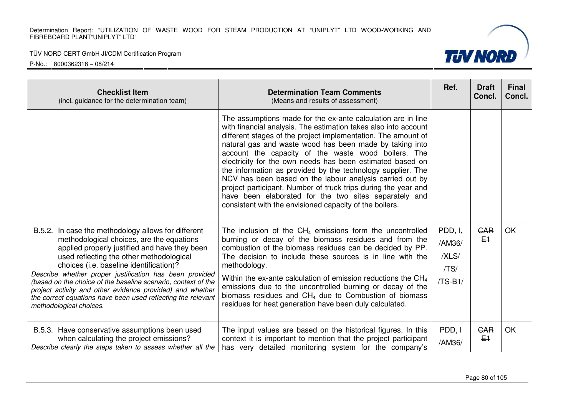

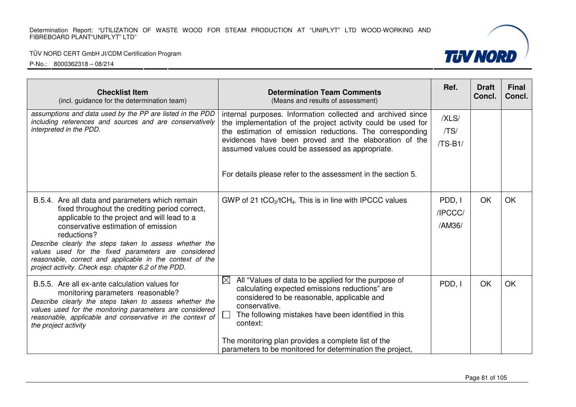## TÜV NORD CERT GmbH JI/CDM Certification Program

| <b>Checklist Item</b><br>(incl. guidance for the determination team)                                                                                                                                                                                                                                                                                                                                                                         | <b>Determination Team Comments</b><br>(Means and results of assessment)                                                                                                                                                                                                                                                                                                      | Ref.                        | <b>Draft</b><br>Concl. | <b>Final</b><br>Concl. |
|----------------------------------------------------------------------------------------------------------------------------------------------------------------------------------------------------------------------------------------------------------------------------------------------------------------------------------------------------------------------------------------------------------------------------------------------|------------------------------------------------------------------------------------------------------------------------------------------------------------------------------------------------------------------------------------------------------------------------------------------------------------------------------------------------------------------------------|-----------------------------|------------------------|------------------------|
| assumptions and data used by the PP are listed in the PDD<br>including references and sources and are conservatively<br>interpreted in the PDD.                                                                                                                                                                                                                                                                                              | internal purposes. Information collected and archived since<br>the implementation of the project activity could be used for<br>the estimation of emission reductions. The corresponding<br>evidences have been proved and the elaboration of the<br>assumed values could be assessed as appropriate.                                                                         |                             |                        |                        |
|                                                                                                                                                                                                                                                                                                                                                                                                                                              | For details please refer to the assessment in the section 5.                                                                                                                                                                                                                                                                                                                 |                             |                        |                        |
| B.5.4. Are all data and parameters which remain<br>fixed throughout the crediting period correct,<br>applicable to the project and will lead to a<br>conservative estimation of emission<br>reductions?<br>Describe clearly the steps taken to assess whether the<br>values used for the fixed parameters are considered<br>reasonable, correct and applicable in the context of the<br>project activity. Check esp. chapter 6.2 of the PDD. | GWP of 21 tCO <sub>2</sub> /tCH <sub>4</sub> . This is in line with IPCCC values                                                                                                                                                                                                                                                                                             | PDD, I<br>/IPCCC/<br>/AM36/ | OK                     | <b>OK</b>              |
| B.5.5. Are all ex-ante calculation values for<br>monitoring parameters reasonable?<br>Describe clearly the steps taken to assess whether the<br>values used for the monitoring parameters are considered<br>reasonable, applicable and conservative in the context of<br>the project activity                                                                                                                                                | All "Values of data to be applied for the purpose of<br>$\boxtimes$<br>calculating expected emissions reductions" are<br>considered to be reasonable, applicable and<br>conservative.<br>The following mistakes have been identified in this<br>context:<br>The monitoring plan provides a complete list of the<br>parameters to be monitored for determination the project, | PDD, I                      | OK                     | <b>OK</b>              |

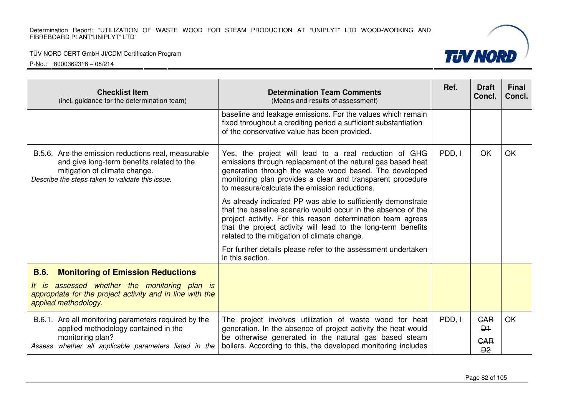## TÜV NORD CERT GmbH JI/CDM Certification Program

| <b>Checklist Item</b><br>(incl. guidance for the determination team)                                                                                                                   | <b>Determination Team Comments</b><br>(Means and results of assessment)                                                                                                                                                                                                                                      | Ref.   | <b>Draft</b><br>Concl.                  | <b>Final</b><br>Concl. |
|----------------------------------------------------------------------------------------------------------------------------------------------------------------------------------------|--------------------------------------------------------------------------------------------------------------------------------------------------------------------------------------------------------------------------------------------------------------------------------------------------------------|--------|-----------------------------------------|------------------------|
|                                                                                                                                                                                        | baseline and leakage emissions. For the values which remain<br>fixed throughout a crediting period a sufficient substantiation<br>of the conservative value has been provided.                                                                                                                               |        |                                         |                        |
| B.5.6. Are the emission reductions real, measurable<br>and give long-term benefits related to the<br>mitigation of climate change.<br>Describe the steps taken to validate this issue. | Yes, the project will lead to a real reduction of GHG<br>emissions through replacement of the natural gas based heat<br>generation through the waste wood based. The developed<br>monitoring plan provides a clear and transparent procedure<br>to measure/calculate the emission reductions.                | PDD, I | OK                                      | <b>OK</b>              |
|                                                                                                                                                                                        | As already indicated PP was able to sufficiently demonstrate<br>that the baseline scenario would occur in the absence of the<br>project activity. For this reason determination team agrees<br>that the project activity will lead to the long-term benefits<br>related to the mitigation of climate change. |        |                                         |                        |
|                                                                                                                                                                                        | For further details please refer to the assessment undertaken<br>in this section.                                                                                                                                                                                                                            |        |                                         |                        |
| <b>B.6.</b><br><b>Monitoring of Emission Reductions</b>                                                                                                                                |                                                                                                                                                                                                                                                                                                              |        |                                         |                        |
| assessed whether the monitoring plan is<br>It is<br>appropriate for the project activity and in line with the<br>applied methodology.                                                  |                                                                                                                                                                                                                                                                                                              |        |                                         |                        |
| B.6.1. Are all monitoring parameters required by the<br>applied methodology contained in the                                                                                           | The project involves utilization of waste wood for heat<br>generation. In the absence of project activity the heat would                                                                                                                                                                                     | PDD, I | <b>GAR</b><br>$\mathsf{D}$ <sup>1</sup> | <b>OK</b>              |
| monitoring plan?<br>Assess whether all applicable parameters listed in the                                                                                                             | be otherwise generated in the natural gas based steam<br>boilers. According to this, the developed monitoring includes                                                                                                                                                                                       |        | <b>GAR</b><br>D2                        |                        |

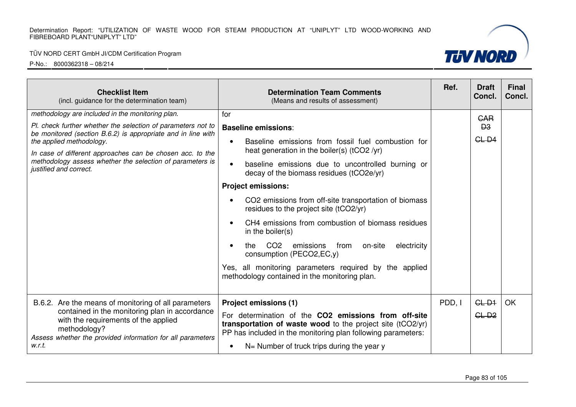#### TÜV NORD CERT GmbH JI/CDM Certification Program



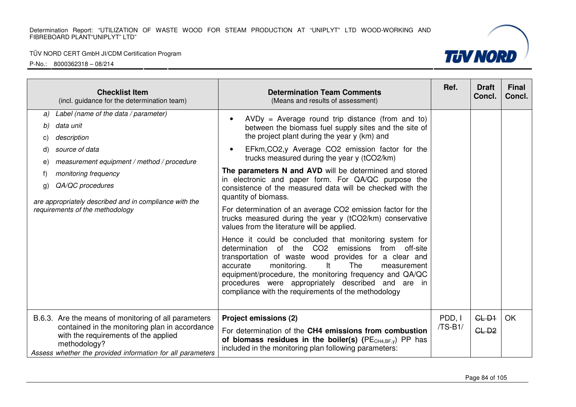#### TÜV NORD CERT GmbH JI/CDM Certification Program



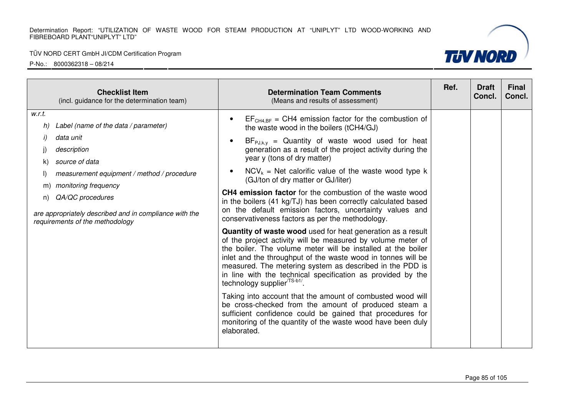#### TÜV NORD CERT GmbH JI/CDM Certification Program



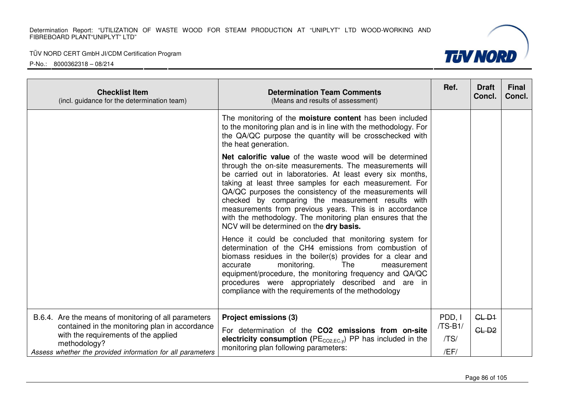TÜV NORD CERT GmbH JI/CDM Certification Program



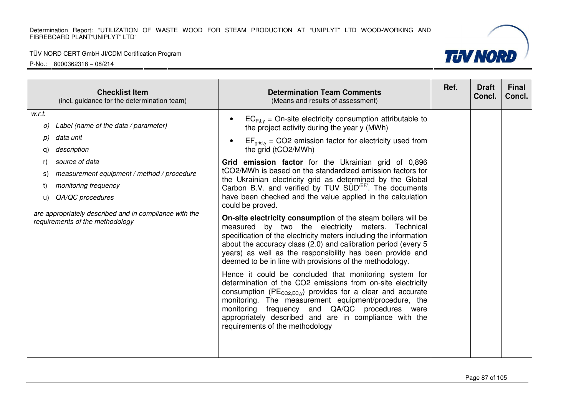

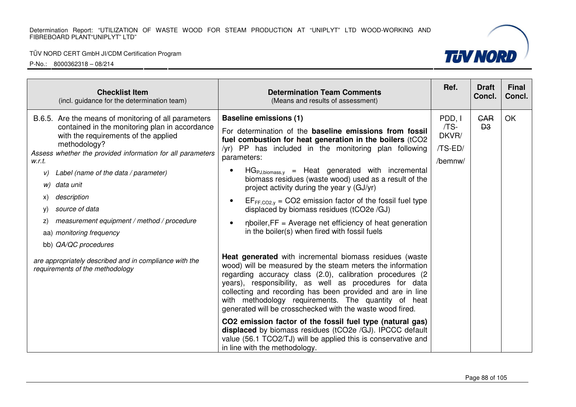#### TÜV NORD CERT GmbH JI/CDM Certification Program



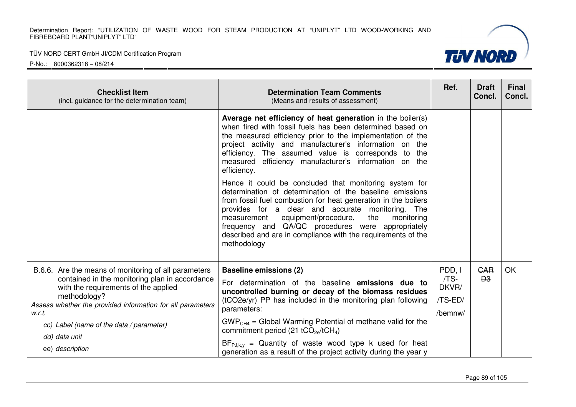

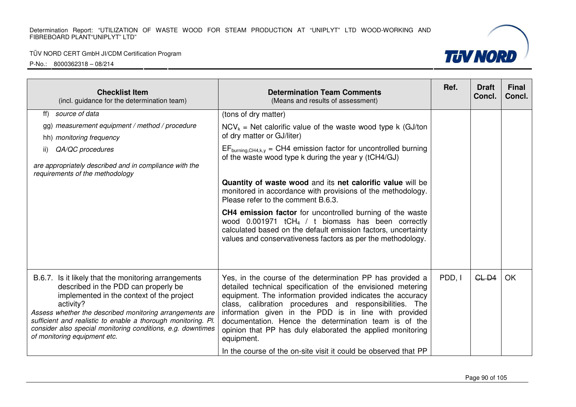#### TÜV NORD CERT GmbH JI/CDM Certification Program



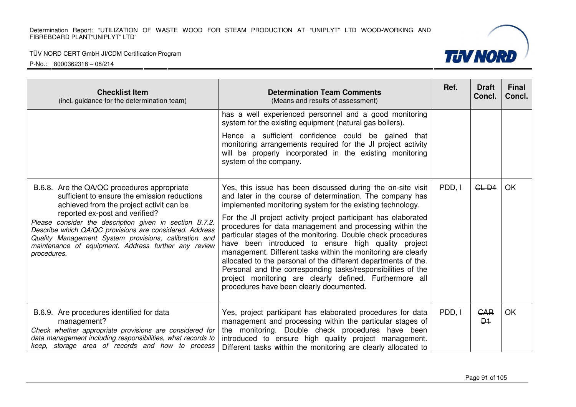| <b>Checklist Item</b><br>(incl. guidance for the determination team)                                                                                                                                                                                                                                                                                                                                                            | <b>Determination Team Comments</b><br>(Means and results of assessment)                                                                                                                                                                                                                                                                                                                                                                                                                                                                                                                                                                                                                                                                               | Ref.   | <b>Draft</b><br>Concl.     | <b>Final</b><br>Concl. |
|---------------------------------------------------------------------------------------------------------------------------------------------------------------------------------------------------------------------------------------------------------------------------------------------------------------------------------------------------------------------------------------------------------------------------------|-------------------------------------------------------------------------------------------------------------------------------------------------------------------------------------------------------------------------------------------------------------------------------------------------------------------------------------------------------------------------------------------------------------------------------------------------------------------------------------------------------------------------------------------------------------------------------------------------------------------------------------------------------------------------------------------------------------------------------------------------------|--------|----------------------------|------------------------|
|                                                                                                                                                                                                                                                                                                                                                                                                                                 | has a well experienced personnel and a good monitoring<br>system for the existing equipment (natural gas boilers).<br>Hence a sufficient confidence could be gained that<br>monitoring arrangements required for the JI project activity<br>will be properly incorporated in the existing monitoring<br>system of the company.                                                                                                                                                                                                                                                                                                                                                                                                                        |        |                            |                        |
| B.6.8. Are the QA/QC procedures appropriate<br>sufficient to ensure the emission reductions<br>achieved from the project activit can be<br>reported ex-post and verified?<br>Please consider the description given in section B.7.2.<br>Describe which QA/QC provisions are considered. Address<br>Quality Management System provisions, calibration and<br>maintenance of equipment. Address further any review<br>procedures. | Yes, this issue has been discussed during the on-site visit<br>and later in the course of determination. The company has<br>implemented monitoring system for the existing technology.<br>For the JI project activity project participant has elaborated<br>procedures for data management and processing within the<br>particular stages of the monitoring. Double check procedures<br>have been introduced to ensure high quality project<br>management. Different tasks within the monitoring are clearly<br>allocated to the personal of the different departments of the.<br>Personal and the corresponding tasks/responsibilities of the<br>project monitoring are clearly defined. Furthermore all<br>procedures have been clearly documented. | PDD, I | $GL-D4$                    | <b>OK</b>              |
| B.6.9. Are procedures identified for data<br>management?<br>Check whether appropriate provisions are considered for<br>data management including responsibilities, what records to<br>keep, storage area of records and how to process                                                                                                                                                                                          | Yes, project participant has elaborated procedures for data<br>management and processing within the particular stages of<br>the monitoring. Double check procedures have been<br>introduced to ensure high quality project management.<br>Different tasks within the monitoring are clearly allocated to                                                                                                                                                                                                                                                                                                                                                                                                                                              | PDD, I | <b>GAR</b><br>$\mathsf{P}$ | <b>OK</b>              |

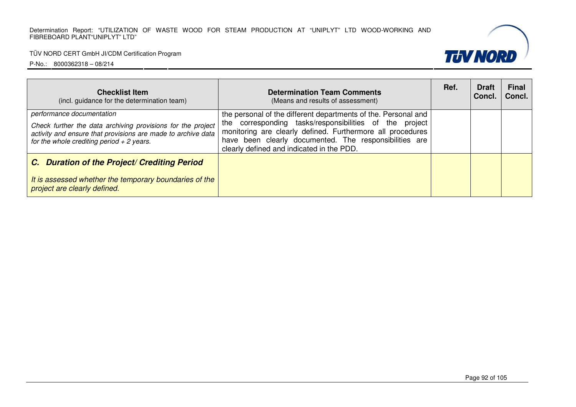

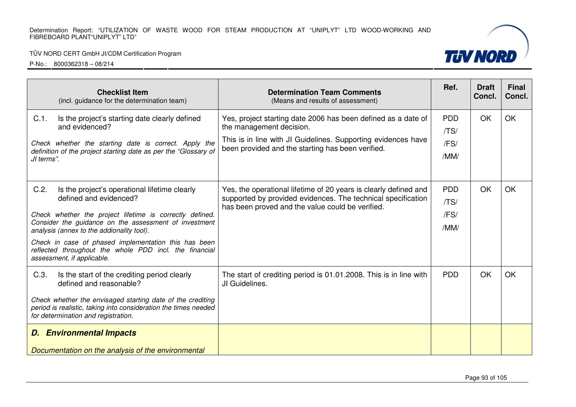#### TÜV NORD CERT GmbH JI/CDM Certification Program



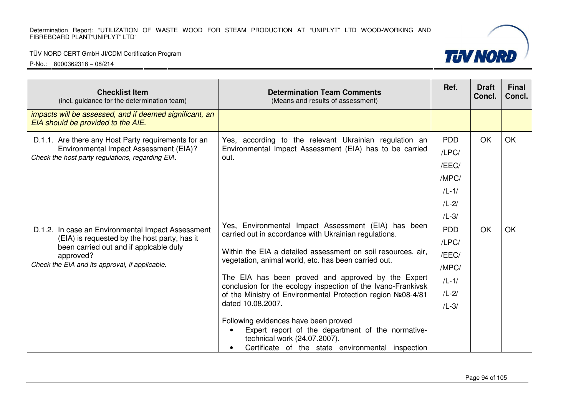## TÜV NORD CERT GmbH JI/CDM Certification Program

| <b>Checklist Item</b><br>(incl. guidance for the determination team)                          | <b>Determination Team Comments</b><br>(Means and results of assessment)                                                                                                                     | Ref.       | <b>Draft</b><br>Concl. | <b>Final</b><br>Concl. |
|-----------------------------------------------------------------------------------------------|---------------------------------------------------------------------------------------------------------------------------------------------------------------------------------------------|------------|------------------------|------------------------|
| impacts will be assessed, and if deemed significant, an<br>EIA should be provided to the AIE. |                                                                                                                                                                                             |            |                        |                        |
| D.1.1. Are there any Host Party requirements for an                                           | Yes, according to the relevant Ukrainian regulation an                                                                                                                                      | <b>PDD</b> | <b>OK</b>              | <b>OK</b>              |
| Environmental Impact Assessment (EIA)?<br>Check the host party regulations, regarding EIA.    | Environmental Impact Assessment (EIA) has to be carried<br>out.                                                                                                                             | /LPC/      |                        |                        |
|                                                                                               |                                                                                                                                                                                             | /EEC/      |                        |                        |
|                                                                                               |                                                                                                                                                                                             | /MPC/      |                        |                        |
|                                                                                               |                                                                                                                                                                                             | $/L-1/$    |                        |                        |
|                                                                                               |                                                                                                                                                                                             | $/L - 2/$  |                        |                        |
|                                                                                               |                                                                                                                                                                                             | $/L-3/$    |                        |                        |
| D.1.2. In case an Environmental Impact Assessment                                             | Yes, Environmental Impact Assessment (EIA) has been<br>carried out in accordance with Ukrainian regulations.<br>Within the EIA a detailed assessment on soil resources, air,                | <b>PDD</b> | OK                     | <b>OK</b>              |
| (EIA) is requested by the host party, has it<br>been carried out and if applcable duly        |                                                                                                                                                                                             | /LPC/      |                        |                        |
| approved?                                                                                     |                                                                                                                                                                                             | /EEC/      |                        |                        |
| Check the EIA and its approval, if applicable.                                                | vegetation, animal world, etc. has been carried out.                                                                                                                                        | /MPC/      |                        |                        |
|                                                                                               | The EIA has been proved and approved by the Expert<br>conclusion for the ecology inspection of the Ivano-Frankivsk                                                                          | $/L-1/$    |                        |                        |
|                                                                                               | of the Ministry of Environmental Protection region Nº08-4/81                                                                                                                                | $/L - 2/$  |                        |                        |
|                                                                                               | dated 10.08.2007.                                                                                                                                                                           | $/L-3/$    |                        |                        |
|                                                                                               | Following evidences have been proved<br>Expert report of the department of the normative-<br>technical work (24.07.2007).<br>Certificate of the state environmental inspection<br>$\bullet$ |            |                        |                        |

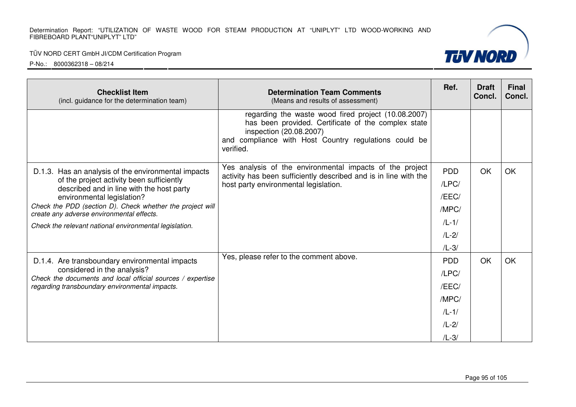## TÜV NORD CERT GmbH JI/CDM Certification Program

| <b>Checklist Item</b><br>(incl. guidance for the determination team)                                                                                                                                                                                                                  | Ref.                                                                                                                                                                                                        | <b>Draft</b><br>Concl.                                                       | <b>Final</b><br>Concl. |           |
|---------------------------------------------------------------------------------------------------------------------------------------------------------------------------------------------------------------------------------------------------------------------------------------|-------------------------------------------------------------------------------------------------------------------------------------------------------------------------------------------------------------|------------------------------------------------------------------------------|------------------------|-----------|
|                                                                                                                                                                                                                                                                                       | regarding the waste wood fired project (10.08.2007)<br>has been provided. Certificate of the complex state<br>inspection (20.08.2007)<br>and compliance with Host Country regulations could be<br>verified. |                                                                              |                        |           |
| D.1.3. Has an analysis of the environmental impacts<br>of the project activity been sufficiently<br>described and in line with the host party<br>environmental legislation?<br>Check the PDD (section D). Check whether the project will<br>create any adverse environmental effects. | Yes analysis of the environmental impacts of the project<br>activity has been sufficiently described and is in line with the<br>host party environmental legislation.                                       | <b>PDD</b><br>/LPC/<br>/EEC/<br>/MPC/                                        | OK                     | <b>OK</b> |
| Check the relevant national environmental legislation.                                                                                                                                                                                                                                |                                                                                                                                                                                                             | $/L - 1/$<br>$/L-2/$<br>$/L-3/$                                              |                        |           |
| D.1.4. Are transboundary environmental impacts<br>considered in the analysis?<br>Check the documents and local official sources / expertise<br>regarding transboundary environmental impacts.                                                                                         | Yes, please refer to the comment above.                                                                                                                                                                     | <b>PDD</b><br>/LPC/<br>/EEC/<br>/MPC/<br>$/L - 1/$<br>$/L - 2/$<br>$/L - 3/$ | OK                     | <b>OK</b> |

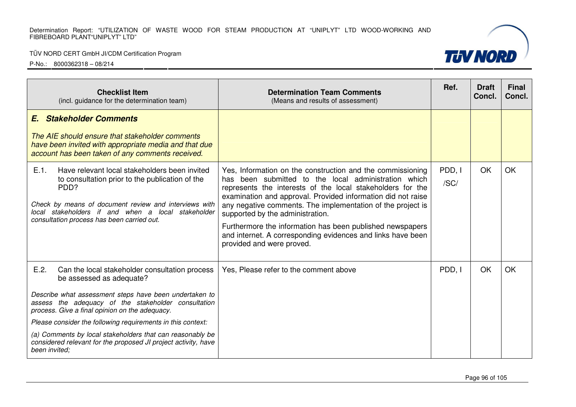## TÜV NORD CERT GmbH JI/CDM Certification Program

P-No.: 8000362318 – 08/214

| <b>Checklist Item</b><br>(incl. guidance for the determination team)                                                                                                                                                                                                                                                                                                                                                                                                 | <b>Determination Team Comments</b><br>(Means and results of assessment)                                                                                                                                                                                                                                                                                                                                                                                                                                      | Ref.           | <b>Draft</b><br>Concl. | <b>Final</b><br>Concl. |
|----------------------------------------------------------------------------------------------------------------------------------------------------------------------------------------------------------------------------------------------------------------------------------------------------------------------------------------------------------------------------------------------------------------------------------------------------------------------|--------------------------------------------------------------------------------------------------------------------------------------------------------------------------------------------------------------------------------------------------------------------------------------------------------------------------------------------------------------------------------------------------------------------------------------------------------------------------------------------------------------|----------------|------------------------|------------------------|
| <b>Stakeholder Comments</b><br>E.<br>The AIE should ensure that stakeholder comments<br>have been invited with appropriate media and that due<br>account has been taken of any comments received.                                                                                                                                                                                                                                                                    |                                                                                                                                                                                                                                                                                                                                                                                                                                                                                                              |                |                        |                        |
| $E.1$ .<br>Have relevant local stakeholders been invited<br>to consultation prior to the publication of the<br>PDD?<br>Check by means of document review and interviews with<br>local stakeholders if and when a local stakeholder<br>consultation process has been carried out.                                                                                                                                                                                     | Yes, Information on the construction and the commissioning<br>has been submitted to the local administration which<br>represents the interests of the local stakeholders for the<br>examination and approval. Provided information did not raise<br>any negative comments. The implementation of the project is<br>supported by the administration.<br>Furthermore the information has been published newspapers<br>and internet. A corresponding evidences and links have been<br>provided and were proved. | PDD, I<br>/SC/ | OK                     | <b>OK</b>              |
| E.2.<br>Can the local stakeholder consultation process<br>be assessed as adequate?<br>Describe what assessment steps have been undertaken to<br>assess the adequacy of the stakeholder consultation<br>process. Give a final opinion on the adequacy.<br>Please consider the following requirements in this context:<br>(a) Comments by local stakeholders that can reasonably be<br>considered relevant for the proposed JI project activity, have<br>been invited; | Yes, Please refer to the comment above                                                                                                                                                                                                                                                                                                                                                                                                                                                                       | PDD, I         | OK                     | OK                     |



**TUV NORD**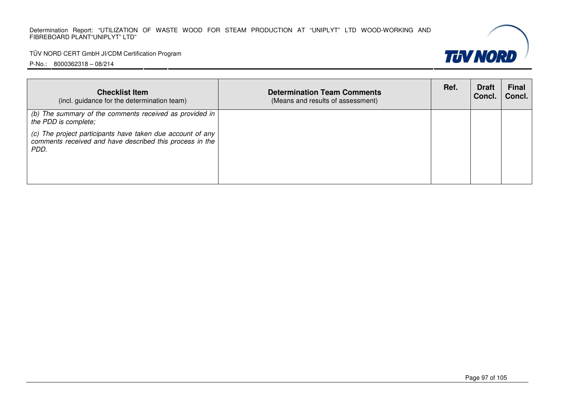### TÜV NORD CERT GmbH JI/CDM Certification Program

| <b>Checklist Item</b><br>(incl. guidance for the determination team)                                                           | <b>Determination Team Comments</b><br>(Means and results of assessment) | Ref. | <b>Draft</b><br>Concl. | <b>Final</b><br>Concl. |
|--------------------------------------------------------------------------------------------------------------------------------|-------------------------------------------------------------------------|------|------------------------|------------------------|
| (b) The summary of the comments received as provided in<br>the PDD is complete;                                                |                                                                         |      |                        |                        |
| (c) The project participants have taken due account of any<br>comments received and have described this process in the<br>PDD. |                                                                         |      |                        |                        |

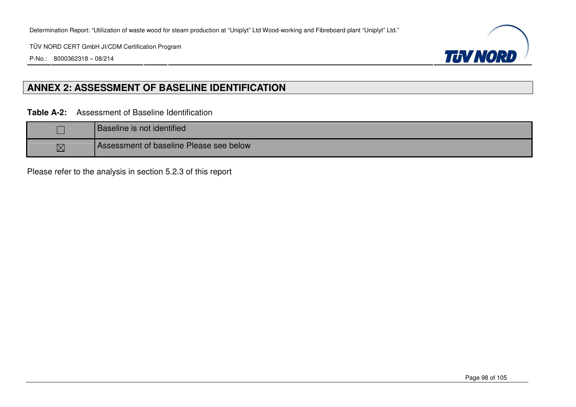P-No.: 8000362318 – 08/214



## **ANNEX 2: ASSESSMENT OF BASELINE IDENTIFICATION**

**Table A-2:** Assessment of Baseline Identification

|             | Baseline is not identified              |
|-------------|-----------------------------------------|
| $\boxtimes$ | Assessment of baseline Please see below |

Please refer to the analysis in section 5.2.3 of this report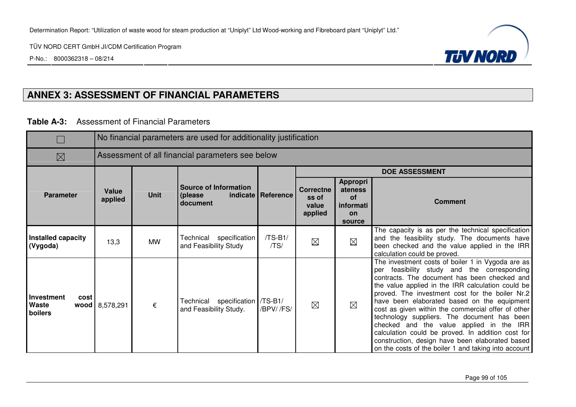P-No.: 8000362318 – 08/214



## **ANNEX 3: ASSESSMENT OF FINANCIAL PARAMETERS**

**Table A-3:** Assessment of Financial Parameters

|                                               | No financial parameters are used for additionality justification |                                                  |                                                           |                      |                                                                                                                       |             |                                                                                                                                                                                                                                                                                                                                                                                                                                                                                                                                                                                                                          |  |
|-----------------------------------------------|------------------------------------------------------------------|--------------------------------------------------|-----------------------------------------------------------|----------------------|-----------------------------------------------------------------------------------------------------------------------|-------------|--------------------------------------------------------------------------------------------------------------------------------------------------------------------------------------------------------------------------------------------------------------------------------------------------------------------------------------------------------------------------------------------------------------------------------------------------------------------------------------------------------------------------------------------------------------------------------------------------------------------------|--|
| $\boxtimes$                                   |                                                                  | Assessment of all financial parameters see below |                                                           |                      |                                                                                                                       |             |                                                                                                                                                                                                                                                                                                                                                                                                                                                                                                                                                                                                                          |  |
|                                               |                                                                  |                                                  |                                                           |                      | <b>DOE ASSESSMENT</b>                                                                                                 |             |                                                                                                                                                                                                                                                                                                                                                                                                                                                                                                                                                                                                                          |  |
| Value<br><b>Parameter</b><br>applied          |                                                                  | <b>Unit</b>                                      | <b>Source of Information</b><br>(please<br>document       | indicate   Reference | <b>Appropri</b><br><b>Correctne</b><br>ateness<br>ss of<br>of<br>value<br>informati<br>applied<br><b>on</b><br>source |             | <b>Comment</b>                                                                                                                                                                                                                                                                                                                                                                                                                                                                                                                                                                                                           |  |
| Installed capacity<br>(Vygoda)                | 13,3                                                             | <b>MW</b>                                        | Technical specification<br>and Feasibility Study          | /TS-B1/<br>/TS/      | $\boxtimes$                                                                                                           | $\boxtimes$ | The capacity is as per the technical specification<br>and the feasibility study. The documents have<br>been checked and the value applied in the IRR<br>calculation could be proved.                                                                                                                                                                                                                                                                                                                                                                                                                                     |  |
| <b>Investment</b><br>cost<br>Waste<br>boilers | wood 8,578,291                                                   | €                                                | Technical specification /TS-B1/<br>and Feasibility Study. | /BPV//FS/            | $\boxtimes$                                                                                                           | $\boxtimes$ | The investment costs of boiler 1 in Vygoda are as<br>per feasibility study and the corresponding<br>contracts. The document has been checked and<br>the value applied in the IRR calculation could be<br>proved. The investment cost for the boiler Nr.2<br>have been elaborated based on the equipment<br>cost as given within the commercial offer of other<br>technology suppliers. The document has been<br>checked and the value applied in the IRR<br>calculation could be proved. In addition cost for<br>construction, design have been elaborated based<br>on the costs of the boiler 1 and taking into account |  |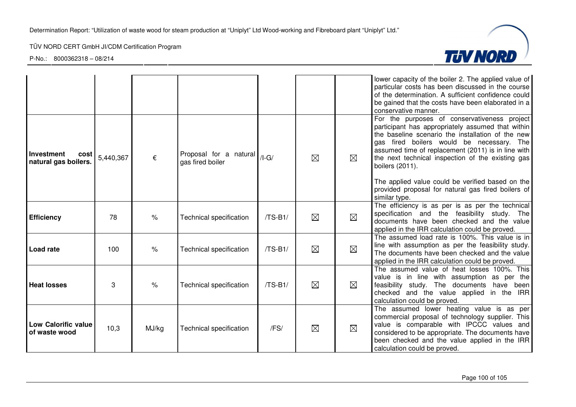

|                                             |           |               |                                            |           |             |             | lower capacity of the boiler 2. The applied value of<br>particular costs has been discussed in the course<br>of the determination. A sufficient confidence could<br>be gained that the costs have been elaborated in a<br>conservative manner.                                                                                                                                                                                              |
|---------------------------------------------|-----------|---------------|--------------------------------------------|-----------|-------------|-------------|---------------------------------------------------------------------------------------------------------------------------------------------------------------------------------------------------------------------------------------------------------------------------------------------------------------------------------------------------------------------------------------------------------------------------------------------|
| Investment<br>cost<br>natural gas boilers.  | 5,440,367 | €             | Proposal for a natural<br>gas fired boiler | $/I-G/$   | $\boxtimes$ | ⊠           | For the purposes of conservativeness project<br>participant has appropriately assumed that within<br>the baseline scenario the installation of the new<br>gas fired boilers would be necessary. The<br>assumed time of replacement (2011) is in line with<br>the next technical inspection of the existing gas<br>boilers (2011).<br>The applied value could be verified based on the<br>provided proposal for natural gas fired boilers of |
|                                             |           |               |                                            |           |             |             | similar type.                                                                                                                                                                                                                                                                                                                                                                                                                               |
| <b>Efficiency</b>                           | 78        | $\frac{1}{6}$ | <b>Technical specification</b>             | $/TS-B1/$ | $\boxtimes$ | $\boxtimes$ | The efficiency is as per is as per the technical<br>specification and the feasibility study. The<br>documents have been checked and the value<br>applied in the IRR calculation could be proved.                                                                                                                                                                                                                                            |
| <b>Load rate</b>                            | 100       | $\frac{1}{6}$ | <b>Technical specification</b>             | $/TS-B1/$ | $\boxtimes$ | $\boxtimes$ | The assumed load rate is 100%. This value is in<br>line with assumption as per the feasibility study.<br>The documents have been checked and the value<br>applied in the IRR calculation could be proved.                                                                                                                                                                                                                                   |
| <b>Heat losses</b>                          | 3         | $\%$          | <b>Technical specification</b>             | $/TS-B1/$ | $\boxtimes$ | ⊠           | The assumed value of heat losses 100%. This<br>value is in line with assumption as per the<br>feasibility study. The documents have been<br>checked and the value applied in the IRR<br>calculation could be proved.                                                                                                                                                                                                                        |
| <b>Low Calorific value</b><br>of waste wood | 10,3      | MJ/kg         | <b>Technical specification</b>             | /FS/      | $\boxtimes$ | $\boxtimes$ | The assumed lower heating value is as per<br>commercial proposal of technology supplier. This<br>value is comparable with IPCCC values and<br>considered to be appropriate. The documents have<br>been checked and the value applied in the IRR<br>calculation could be proved.                                                                                                                                                             |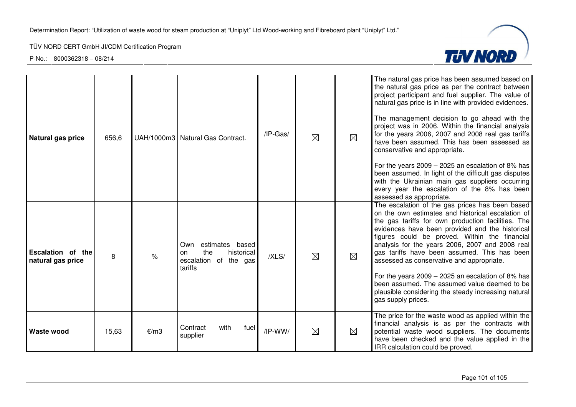

| Natural gas price                             | 656,6 |               | UAH/1000m3 Natural Gas Contract.                                                      | /IP-Gas/  | $\boxtimes$ | $\boxtimes$ | The natural gas price has been assumed based on<br>the natural gas price as per the contract between<br>project participant and fuel supplier. The value of<br>natural gas price is in line with provided evidences.<br>The management decision to go ahead with the<br>project was in 2006. Within the financial analysis<br>for the years 2006, 2007 and 2008 real gas tariffs<br>have been assumed. This has been assessed as<br>conservative and appropriate.<br>For the years $2009 - 2025$ an escalation of 8% has<br>been assumed. In light of the difficult gas disputes<br>with the Ukrainian main gas suppliers occurring<br>every year the escalation of the 8% has been<br>assessed as appropriate. |
|-----------------------------------------------|-------|---------------|---------------------------------------------------------------------------------------|-----------|-------------|-------------|-----------------------------------------------------------------------------------------------------------------------------------------------------------------------------------------------------------------------------------------------------------------------------------------------------------------------------------------------------------------------------------------------------------------------------------------------------------------------------------------------------------------------------------------------------------------------------------------------------------------------------------------------------------------------------------------------------------------|
| <b>Escalation of the</b><br>natural gas price | 8     | $\frac{1}{6}$ | estimates based<br>Own<br>the<br>historical<br>on<br>escalation of the gas<br>tariffs | /XLS/     | $\boxtimes$ | $\boxtimes$ | The escalation of the gas prices has been based<br>on the own estimates and historical escalation of<br>the gas tariffs for own production facilities. The<br>evidences have been provided and the historical<br>figures could be proved. Within the financial<br>analysis for the years 2006, 2007 and 2008 real<br>gas tariffs have been assumed. This has been<br>assessed as conservative and appropriate.<br>For the years $2009 - 2025$ an escalation of 8% has<br>been assumed. The assumed value deemed to be<br>plausible considering the steady increasing natural<br>gas supply prices.                                                                                                              |
| Waste wood                                    | 15,63 | €/m3          | Contract<br>with<br>fuel  <br>supplier                                                | $/IP-WW/$ | ⊠           | ⊠           | The price for the waste wood as applied within the<br>financial analysis is as per the contracts with<br>potential waste wood suppliers. The documents<br>have been checked and the value applied in the<br>IRR calculation could be proved.                                                                                                                                                                                                                                                                                                                                                                                                                                                                    |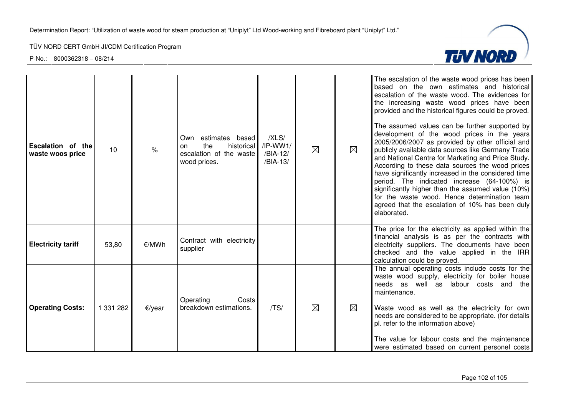

| Escalation of the<br>waste woos price | 10        | $\frac{9}{6}$ | estimates based<br>Own<br>the<br>historical<br>on<br>escalation of the waste<br>wood prices. | /XLS/<br>$/IP-WW1/$<br>/BIA-12/<br>/BIA-13/ | $\boxtimes$ | ⊠           | The escalation of the waste wood prices has been<br>based on the own estimates and historical<br>escalation of the waste wood. The evidences for<br>the increasing waste wood prices have been<br>provided and the historical figures could be proved.<br>The assumed values can be further supported by<br>development of the wood prices in the years<br>2005/2006/2007 as provided by other official and<br>publicly available data sources like Germany Trade<br>and National Centre for Marketing and Price Study.<br>According to these data sources the wood prices<br>have significantly increased in the considered time<br>period. The indicated increase (64-100%) is<br>significantly higher than the assumed value (10%)<br>for the waste wood. Hence determination team<br>agreed that the escalation of 10% has been duly<br>elaborated. |
|---------------------------------------|-----------|---------------|----------------------------------------------------------------------------------------------|---------------------------------------------|-------------|-------------|---------------------------------------------------------------------------------------------------------------------------------------------------------------------------------------------------------------------------------------------------------------------------------------------------------------------------------------------------------------------------------------------------------------------------------------------------------------------------------------------------------------------------------------------------------------------------------------------------------------------------------------------------------------------------------------------------------------------------------------------------------------------------------------------------------------------------------------------------------|
| <b>Electricity tariff</b>             | 53,80     | €/MWh         | Contract with electricity<br>supplier                                                        |                                             |             |             | The price for the electricity as applied within the<br>financial analysis is as per the contracts with<br>electricity suppliers. The documents have been<br>checked and the value applied in the IRR<br>calculation could be proved.                                                                                                                                                                                                                                                                                                                                                                                                                                                                                                                                                                                                                    |
| <b>Operating Costs:</b>               | 1 331 282 | €/year        | Operating<br>Costs<br>breakdown estimations.                                                 | /TS/                                        | $\boxtimes$ | $\boxtimes$ | The annual operating costs include costs for the<br>waste wood supply, electricity for boiler house<br>needs as well as labour costs and the<br>maintenance.<br>Waste wood as well as the electricity for own<br>needs are considered to be appropriate. (for details<br>pl. refer to the information above)<br>The value for labour costs and the maintenance<br>were estimated based on current personel costs                                                                                                                                                                                                                                                                                                                                                                                                                                        |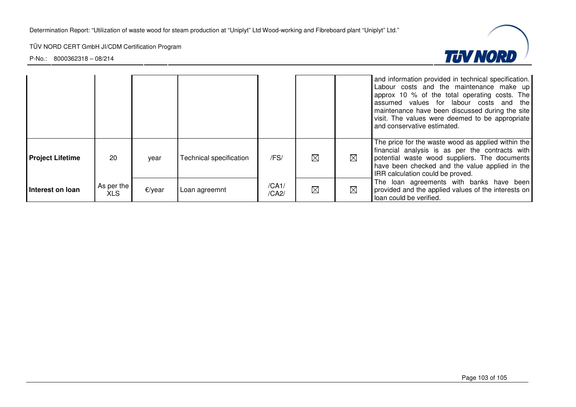

|                         |                          |           |                         |                |             |             | and information provided in technical specification.<br>Labour costs and the maintenance make up<br>approx 10 % of the total operating costs. The<br>assumed values for labour costs and the<br>maintenance have been discussed during the site<br>visit. The values were deemed to be appropriate<br>and conservative estimated. |
|-------------------------|--------------------------|-----------|-------------------------|----------------|-------------|-------------|-----------------------------------------------------------------------------------------------------------------------------------------------------------------------------------------------------------------------------------------------------------------------------------------------------------------------------------|
| <b>Project Lifetime</b> | 20                       | year      | Technical specification | /FS/           | $\boxtimes$ | ⊠           | The price for the waste wood as applied within the<br>financial analysis is as per the contracts with<br>potential waste wood suppliers. The documents<br>have been checked and the value applied in the<br>IRR calculation could be proved.                                                                                      |
| Interest on loan        | As per the<br><b>XLS</b> | $E$ /year | Loan agreemnt           | /CA1/<br>/CA2/ | $\boxtimes$ | $\boxtimes$ | The loan agreements with banks have been<br>provided and the applied values of the interests on<br>loan could be verified.                                                                                                                                                                                                        |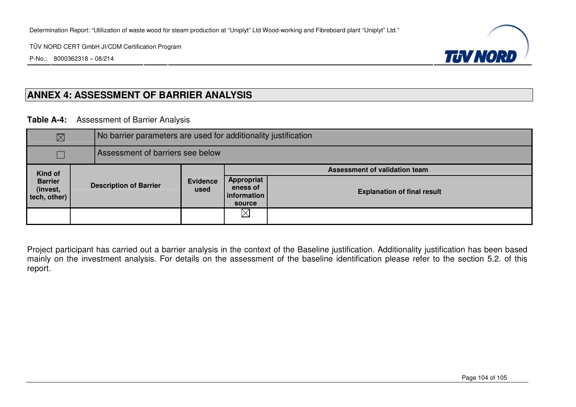P-No.: 8000362318 – 08/214



## **ANNEX 4: ASSESSMENT OF BARRIER ANALYSIS**

**Table A-4:** Assessment of Barrier Analysis

| $\boxtimes$                                |  | No barrier parameters are used for additionality justification |                         |                                                 |                                    |  |  |
|--------------------------------------------|--|----------------------------------------------------------------|-------------------------|-------------------------------------------------|------------------------------------|--|--|
| Assessment of barriers see below           |  |                                                                |                         |                                                 |                                    |  |  |
| Kind of                                    |  |                                                                |                         |                                                 | Assessment of validation team      |  |  |
| <b>Barrier</b><br>(invest,<br>tech, other) |  | <b>Description of Barrier</b>                                  | <b>Evidence</b><br>used | Appropriat<br>eness of<br>information<br>source | <b>Explanation of final result</b> |  |  |
|                                            |  |                                                                |                         | $\boxtimes$                                     |                                    |  |  |

Project participant has carried out a barrier analysis in the context of the Baseline justification. Additionality justification has been based mainly on the investment analysis. For details on the assessment of the baseline identification please refer to the section 5.2. of this report.